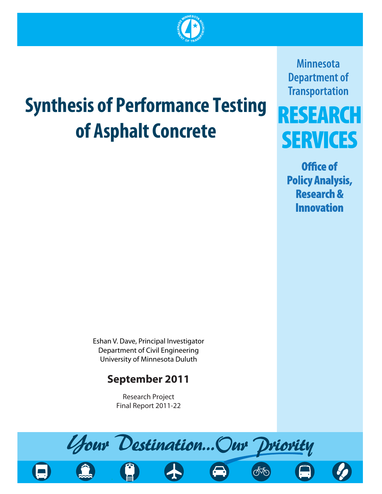

# **Synthesis of Performance Testing of Asphalt Concrete**

**Minnesota Department of Transportation** 

# RESEARCH **SERVICES**

Office of **Policy Analysis, Research & Innovation** 

Eshan V. Dave, Principal Investigator  $\frac{1}{2}$  Department of Minnesota Duluth University of Minnesota Duncan

# **September 2011**

Research Project<br>Final Report 2011-22 Final Report 2011-22

Your Destination... Our Driority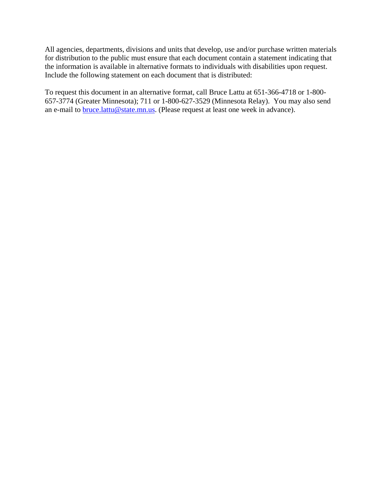All agencies, departments, divisions and units that develop, use and/or purchase written materials for distribution to the public must ensure that each document contain a statement indicating that the information is available in alternative formats to individuals with disabilities upon request. Include the following statement on each document that is distributed:

To request this document in an alternative format, call Bruce Lattu at 651-366-4718 or 1-800- 657-3774 (Greater Minnesota); 711 or 1-800-627-3529 (Minnesota Relay). You may also send an e-mail to **bruce**.lattu@state.mn.us. (Please request at least one week in advance).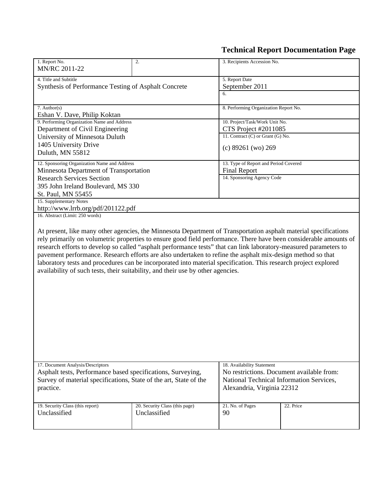## **Technical Report Documentation Page**

| 1. Report No.<br>MN/RC 2011-22                                                                                                                                                                                                                                                                                                                                                                                                                                                                                                                                                                                                                                                 | 2.                                             | 3. Recipients Accession No.                                                                                                                       |                      |  |  |
|--------------------------------------------------------------------------------------------------------------------------------------------------------------------------------------------------------------------------------------------------------------------------------------------------------------------------------------------------------------------------------------------------------------------------------------------------------------------------------------------------------------------------------------------------------------------------------------------------------------------------------------------------------------------------------|------------------------------------------------|---------------------------------------------------------------------------------------------------------------------------------------------------|----------------------|--|--|
| 4. Title and Subtitle<br>Synthesis of Performance Testing of Asphalt Concrete                                                                                                                                                                                                                                                                                                                                                                                                                                                                                                                                                                                                  |                                                | 5. Report Date<br>September 2011                                                                                                                  |                      |  |  |
|                                                                                                                                                                                                                                                                                                                                                                                                                                                                                                                                                                                                                                                                                |                                                | 6.                                                                                                                                                |                      |  |  |
| 7. Author(s)<br>Eshan V. Dave, Philip Koktan                                                                                                                                                                                                                                                                                                                                                                                                                                                                                                                                                                                                                                   |                                                | 8. Performing Organization Report No.                                                                                                             |                      |  |  |
| 9. Performing Organization Name and Address<br>Department of Civil Engineering                                                                                                                                                                                                                                                                                                                                                                                                                                                                                                                                                                                                 |                                                | 10. Project/Task/Work Unit No.                                                                                                                    | CTS Project #2011085 |  |  |
| University of Minnesota Duluth                                                                                                                                                                                                                                                                                                                                                                                                                                                                                                                                                                                                                                                 |                                                | 11. Contract (C) or Grant (G) No.                                                                                                                 |                      |  |  |
| 1405 University Drive<br>Duluth, MN 55812                                                                                                                                                                                                                                                                                                                                                                                                                                                                                                                                                                                                                                      |                                                | (c) 89261 (wo) 269                                                                                                                                |                      |  |  |
| 12. Sponsoring Organization Name and Address<br>Minnesota Department of Transportation                                                                                                                                                                                                                                                                                                                                                                                                                                                                                                                                                                                         |                                                | 13. Type of Report and Period Covered<br><b>Final Report</b>                                                                                      |                      |  |  |
| <b>Research Services Section</b>                                                                                                                                                                                                                                                                                                                                                                                                                                                                                                                                                                                                                                               |                                                | 14. Sponsoring Agency Code                                                                                                                        |                      |  |  |
| 395 John Ireland Boulevard, MS 330<br>St. Paul, MN 55455                                                                                                                                                                                                                                                                                                                                                                                                                                                                                                                                                                                                                       |                                                |                                                                                                                                                   |                      |  |  |
| 15. Supplementary Notes<br>http://www.lrrb.org/pdf/201122.pdf                                                                                                                                                                                                                                                                                                                                                                                                                                                                                                                                                                                                                  |                                                |                                                                                                                                                   |                      |  |  |
| 16. Abstract (Limit: 250 words)                                                                                                                                                                                                                                                                                                                                                                                                                                                                                                                                                                                                                                                |                                                |                                                                                                                                                   |                      |  |  |
| At present, like many other agencies, the Minnesota Department of Transportation asphalt material specifications<br>rely primarily on volumetric properties to ensure good field performance. There have been considerable amounts of<br>research efforts to develop so called "asphalt performance tests" that can link laboratory-measured parameters to<br>pavement performance. Research efforts are also undertaken to refine the asphalt mix-design method so that<br>laboratory tests and procedures can be incorporated into material specification. This research project explored<br>availability of such tests, their suitability, and their use by other agencies. |                                                |                                                                                                                                                   |                      |  |  |
| 17. Document Analysis/Descriptors<br>Asphalt tests, Performance based specifications, Surveying,<br>Survey of material specifications, State of the art, State of the<br>practice.                                                                                                                                                                                                                                                                                                                                                                                                                                                                                             |                                                | 18. Availability Statement<br>No restrictions. Document available from:<br>National Technical Information Services,<br>Alexandria, Virginia 22312 |                      |  |  |
| 19. Security Class (this report)<br>Unclassified                                                                                                                                                                                                                                                                                                                                                                                                                                                                                                                                                                                                                               | 20. Security Class (this page)<br>Unclassified | 21. No. of Pages<br>90                                                                                                                            | 22. Price            |  |  |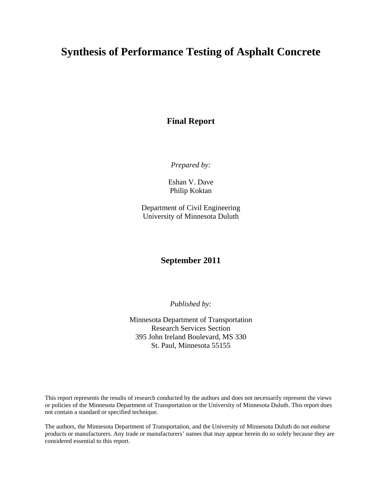### **Synthesis of Performance Testing of Asphalt Concrete**

**Final Report** 

*Prepared by:* 

Eshan V. Dave Philip Koktan

Department of Civil Engineering University of Minnesota Duluth

#### **September 2011**

*Published by:* 

Minnesota Department of Transportation Research Services Section 395 John Ireland Boulevard, MS 330 St. Paul, Minnesota 55155

This report represents the results of research conducted by the authors and does not necessarily represent the views or policies of the Minnesota Department of Transportation or the University of Minnesota Duluth. This report does not contain a standard or specified technique.

The authors, the Minnesota Department of Transportation, and the University of Minnesota Duluth do not endorse products or manufacturers. Any trade or manufacturers' names that may appear herein do so solely because they are considered essential to this report.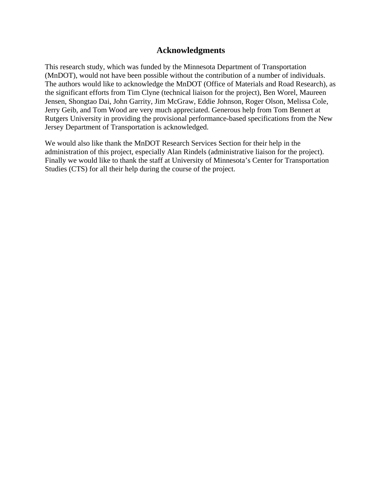#### **Acknowledgments**

This research study, which was funded by the Minnesota Department of Transportation (MnDOT), would not have been possible without the contribution of a number of individuals. The authors would like to acknowledge the MnDOT (Office of Materials and Road Research), as the significant efforts from Tim Clyne (technical liaison for the project), Ben Worel, Maureen Jensen, Shongtao Dai, John Garrity, Jim McGraw, Eddie Johnson, Roger Olson, Melissa Cole, Jerry Geib, and Tom Wood are very much appreciated. Generous help from Tom Bennert at Rutgers University in providing the provisional performance-based specifications from the New Jersey Department of Transportation is acknowledged.

We would also like thank the MnDOT Research Services Section for their help in the administration of this project, especially Alan Rindels (administrative liaison for the project). Finally we would like to thank the staff at University of Minnesota's Center for Transportation Studies (CTS) for all their help during the course of the project.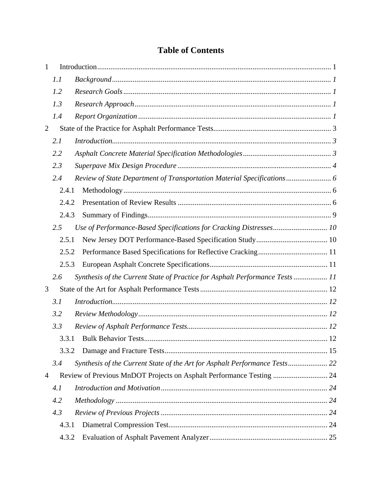#### **Table of Contents**

| 1              |       |                                                                              |  |
|----------------|-------|------------------------------------------------------------------------------|--|
|                | 1.1   |                                                                              |  |
|                | 1.2   |                                                                              |  |
|                | 1.3   |                                                                              |  |
|                | 1.4   |                                                                              |  |
| $\overline{2}$ |       |                                                                              |  |
|                | 2.1   |                                                                              |  |
|                | 2.2   |                                                                              |  |
|                | 2.3   |                                                                              |  |
|                | 2.4   | Review of State Department of Transportation Material Specifications 6       |  |
|                | 2.4.1 |                                                                              |  |
|                | 2.4.2 |                                                                              |  |
|                | 2.4.3 |                                                                              |  |
|                | 2.5   | Use of Performance-Based Specifications for Cracking Distresses 10           |  |
|                | 2.5.1 |                                                                              |  |
|                | 2.5.2 |                                                                              |  |
|                | 2.5.3 |                                                                              |  |
|                | 2.6   | Synthesis of the Current State of Practice for Asphalt Performance Tests  11 |  |
| 3              |       |                                                                              |  |
|                | 3.1   |                                                                              |  |
|                | 3.2   |                                                                              |  |
|                | 3.3   |                                                                              |  |
|                | 3.3.1 |                                                                              |  |
|                | 3.3.2 |                                                                              |  |
|                | 3.4   | Synthesis of the Current State of the Art for Asphalt Performance Tests 22   |  |
| $\overline{4}$ |       | Review of Previous MnDOT Projects on Asphalt Performance Testing  24         |  |
|                | 4.1   |                                                                              |  |
|                | 4.2   |                                                                              |  |
|                | 4.3   |                                                                              |  |
|                | 4.3.1 |                                                                              |  |
|                | 4.3.2 |                                                                              |  |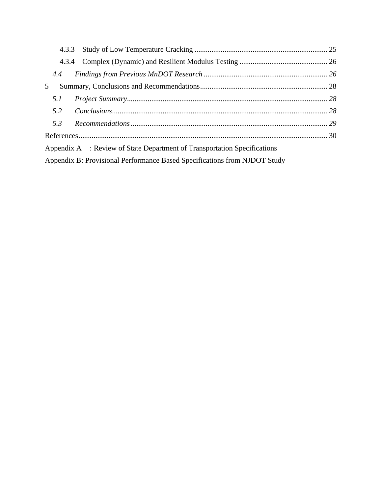|     | 4.3.3                                                                     |  |
|-----|---------------------------------------------------------------------------|--|
|     |                                                                           |  |
| 4.4 |                                                                           |  |
| 5   |                                                                           |  |
| 5.1 |                                                                           |  |
| 5.2 | Conclusions. 28                                                           |  |
| 5.3 |                                                                           |  |
|     |                                                                           |  |
|     | Appendix A : Review of State Department of Transportation Specifications  |  |
|     | Appendix B: Provisional Performance Based Specifications from NJDOT Study |  |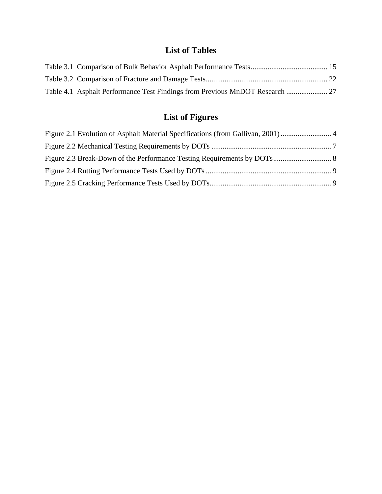#### **List of Tables**

| Table 4.1 Asphalt Performance Test Findings from Previous MnDOT Research  27 |  |
|------------------------------------------------------------------------------|--|

# **List of Figures**

| Figure 2.1 Evolution of Asphalt Material Specifications (from Gallivan, 2001)  4 |  |
|----------------------------------------------------------------------------------|--|
|                                                                                  |  |
|                                                                                  |  |
|                                                                                  |  |
|                                                                                  |  |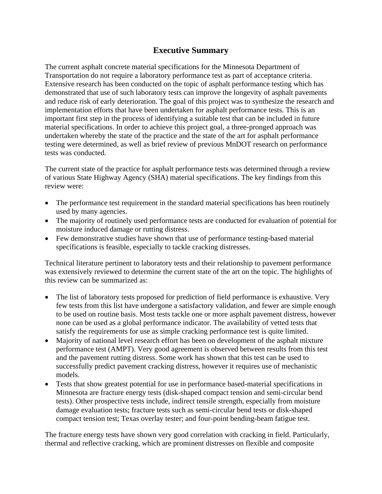#### **Executive Summary**

The current asphalt concrete material specifications for the Minnesota Department of Transportation do not require a laboratory performance test as part of acceptance criteria. Extensive research has been conducted on the topic of asphalt performance testing which has demonstrated that use of such laboratory tests can improve the longevity of asphalt pavements and reduce risk of early deterioration. The goal of this project was to synthesize the research and implementation efforts that have been undertaken for asphalt performance tests. This is an important first step in the process of identifying a suitable test that can be included in future material specifications. In order to achieve this project goal, a three-pronged approach was undertaken whereby the state of the practice and the state of the art for asphalt performance testing were determined, as well as brief review of previous MnDOT research on performance tests was conducted.

The current state of the practice for asphalt performance tests was determined through a review of various State Highway Agency (SHA) material specifications. The key findings from this review were:

- The performance test requirement in the standard material specifications has been routinely used by many agencies.
- The majority of routinely used performance tests are conducted for evaluation of potential for moisture induced damage or rutting distress.
- Few demonstrative studies have shown that use of performance testing-based material specifications is feasible, especially to tackle cracking distresses.

Technical literature pertinent to laboratory tests and their relationship to pavement performance was extensively reviewed to determine the current state of the art on the topic. The highlights of this review can be summarized as:

- The list of laboratory tests proposed for prediction of field performance is exhaustive. Very few tests from this list have undergone a satisfactory validation, and fewer are simple enough to be used on routine basis. Most tests tackle one or more asphalt pavement distress, however none can be used as a global performance indicator. The availability of vetted tests that satisfy the requirements for use as simple cracking performance test is quite limited.
- Majority of national level research effort has been on development of the asphalt mixture performance test (AMPT). Very good agreement is observed between results from this test and the pavement rutting distress. Some work has shown that this test can be used to successfully predict pavement cracking distress, however it requires use of mechanistic models.
- Tests that show greatest potential for use in performance based-material specifications in Minnesota are fracture energy tests (disk-shaped compact tension and semi-circular bend tests). Other prospective tests include, indirect tensile strength, especially from moisture damage evaluation tests; fracture tests such as semi-circular bend tests or disk-shaped compact tension test; Texas overlay tester; and four-point bending-beam fatigue test.

The fracture energy tests have shown very good correlation with cracking in field. Particularly, thermal and reflective cracking, which are prominent distresses on flexible and composite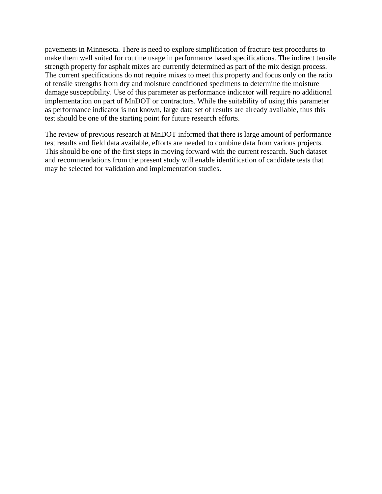pavements in Minnesota. There is need to explore simplification of fracture test procedures to make them well suited for routine usage in performance based specifications. The indirect tensile strength property for asphalt mixes are currently determined as part of the mix design process. The current specifications do not require mixes to meet this property and focus only on the ratio of tensile strengths from dry and moisture conditioned specimens to determine the moisture damage susceptibility. Use of this parameter as performance indicator will require no additional implementation on part of MnDOT or contractors. While the suitability of using this parameter as performance indicator is not known, large data set of results are already available, thus this test should be one of the starting point for future research efforts.

The review of previous research at MnDOT informed that there is large amount of performance test results and field data available, efforts are needed to combine data from various projects. This should be one of the first steps in moving forward with the current research. Such dataset and recommendations from the present study will enable identification of candidate tests that may be selected for validation and implementation studies.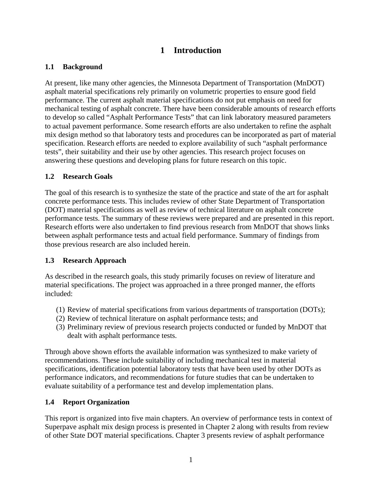#### **1 Introduction**

#### <span id="page-10-1"></span><span id="page-10-0"></span>**1.1 Background**

At present, like many other agencies, the Minnesota Department of Transportation (MnDOT) asphalt material specifications rely primarily on volumetric properties to ensure good field performance. The current asphalt material specifications do not put emphasis on need for mechanical testing of asphalt concrete. There have been considerable amounts of research efforts to develop so called "Asphalt Performance Tests" that can link laboratory measured parameters to actual pavement performance. Some research efforts are also undertaken to refine the asphalt mix design method so that laboratory tests and procedures can be incorporated as part of material specification. Research efforts are needed to explore availability of such "asphalt performance tests", their suitability and their use by other agencies. This research project focuses on answering these questions and developing plans for future research on this topic.

#### <span id="page-10-2"></span>**1.2 Research Goals**

The goal of this research is to synthesize the state of the practice and state of the art for asphalt concrete performance tests. This includes review of other State Department of Transportation (DOT) material specifications as well as review of technical literature on asphalt concrete performance tests. The summary of these reviews were prepared and are presented in this report. Research efforts were also undertaken to find previous research from MnDOT that shows links between asphalt performance tests and actual field performance. Summary of findings from those previous research are also included herein.

#### <span id="page-10-3"></span>**1.3 Research Approach**

As described in the research goals, this study primarily focuses on review of literature and material specifications. The project was approached in a three pronged manner, the efforts included:

- (1) Review of material specifications from various departments of transportation (DOTs);
- (2) Review of technical literature on asphalt performance tests; and
- (3) Preliminary review of previous research projects conducted or funded by MnDOT that dealt with asphalt performance tests.

Through above shown efforts the available information was synthesized to make variety of recommendations. These include suitability of including mechanical test in material specifications, identification potential laboratory tests that have been used by other DOTs as performance indicators, and recommendations for future studies that can be undertaken to evaluate suitability of a performance test and develop implementation plans.

#### <span id="page-10-4"></span>**1.4 Report Organization**

This report is organized into five main chapters. An overview of performance tests in context of Superpave asphalt mix design process is presented in Chapter 2 along with results from review of other State DOT material specifications. Chapter 3 presents review of asphalt performance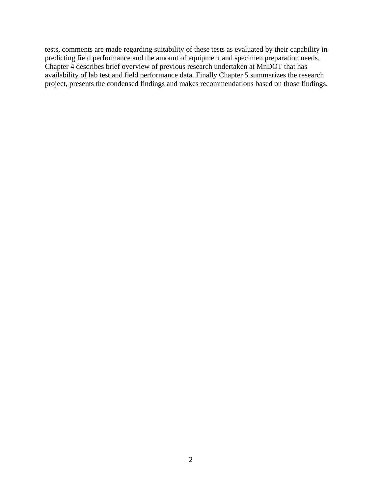tests, comments are made regarding suitability of these tests as evaluated by their capability in predicting field performance and the amount of equipment and specimen preparation needs. Chapter 4 describes brief overview of previous research undertaken at MnDOT that has availability of lab test and field performance data. Finally Chapter 5 summarizes the research project, presents the condensed findings and makes recommendations based on those findings.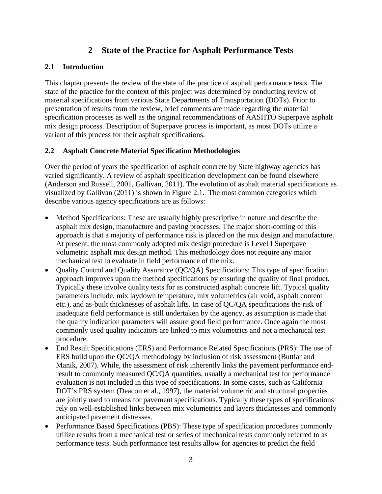#### **2 State of the Practice for Asphalt Performance Tests**

#### <span id="page-12-1"></span><span id="page-12-0"></span>**2.1 Introduction**

This chapter presents the review of the state of the practice of asphalt performance tests. The state of the practice for the context of this project was determined by conducting review of material specifications from various State Departments of Transportation (DOTs). Prior to presentation of results from the review, brief comments are made regarding the material specification processes as well as the original recommendations of AASHTO Superpave asphalt mix design process. Description of Superpave process is important, as most DOTs utilize a variant of this process for their asphalt specifications.

#### <span id="page-12-2"></span>**2.2 Asphalt Concrete Material Specification Methodologies**

Over the period of years the specification of asphalt concrete by State highway agencies has varied significantly. A review of asphalt specification development can be found elsewhere (Anderson and Russell, 2001, Gallivan, 2011). The evolution of asphalt material specifications as visualized by Gallivan (2011) is shown in Figure 2.1. The most common categories which describe various agency specifications are as follows:

- Method Specifications: These are usually highly prescriptive in nature and describe the asphalt mix design, manufacture and paving processes. The major short-coming of this approach is that a majority of performance risk is placed on the mix design and manufacture. At present, the most commonly adopted mix design procedure is Level I Superpave volumetric asphalt mix design method. This methodology does not require any major mechanical test to evaluate in field performance of the mix.
- Quality Control and Quality Assurance (QC/QA) Specifications: This type of specification approach improves upon the method specifications by ensuring the quality of final product. Typically these involve quality tests for as constructed asphalt concrete lift. Typical quality parameters include, mix laydown temperature, mix volumetrics (air void, asphalt content etc.), and as-built thicknesses of asphalt lifts. In case of QC/QA specifications the risk of inadequate field performance is still undertaken by the agency, as assumption is made that the quality indication parameters will assure good field performance. Once again the most commonly used quality indicators are linked to mix volumetrics and not a mechanical test procedure.
- End Result Specifications (ERS) and Performance Related Specifications (PRS): The use of ERS build upon the QC/QA methodology by inclusion of risk assessment (Buttlar and Manik, 2007). While, the assessment of risk inherently links the pavement performance endresult to commonly measured QC/QA quantities, usually a mechanical test for performance evaluation is not included in this type of specifications. In some cases, such as California DOT's PRS system (Deacon et al., 1997), the material volumetric and structural properties are jointly used to means for pavement specifications. Typically these types of specifications rely on well-established links between mix volumetrics and layers thicknesses and commonly anticipated pavement distresses.
- Performance Based Specifications (PBS): These type of specification procedures commonly utilize results from a mechanical test or series of mechanical tests commonly referred to as performance tests. Such performance test results allow for agencies to predict the field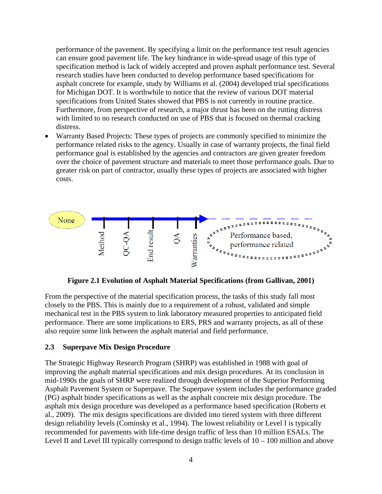performance of the pavement. By specifying a limit on the performance test result agencies can ensure good pavement life. The key hindrance in wide-spread usage of this type of specification method is lack of widely accepted and proven asphalt performance test. Several research studies have been conducted to develop performance based specifications for asphalt concrete for example, study by Williams et al. (2004) developed trial specifications for Michigan DOT. It is worthwhile to notice that the review of various DOT material specifications from United States showed that PBS is not currently in routine practice. Furthermore, from perspective of research, a major thrust has been on the rutting distress with limited to no research conducted on use of PBS that is focused on thermal cracking distress.

• Warranty Based Projects: These types of projects are commonly specified to minimize the performance related risks to the agency. Usually in case of warranty projects, the final field performance goal is established by the agencies and contractors are given greater freedom over the choice of pavement structure and materials to meet those performance goals. Due to greater risk on part of contractor, usually these types of projects are associated with higher costs.



**Figure 2.1 Evolution of Asphalt Material Specifications (from Gallivan, 2001)** 

<span id="page-13-1"></span>From the perspective of the material specification process, the tasks of this study fall most closely to the PBS. This is mainly due to a requirement of a robust, validated and simple mechanical test in the PBS system to link laboratory measured properties to anticipated field performance. There are some implications to ERS, PRS and warranty projects, as all of these also require some link between the asphalt material and field performance.

#### <span id="page-13-0"></span>**2.3 Superpave Mix Design Procedure**

The Strategic Highway Research Program (SHRP) was established in 1988 with goal of improving the asphalt material specifications and mix design procedures. At its conclusion in mid-1990s the goals of SHRP were realized through development of the Superior Performing Asphalt Pavement System or Superpave. The Superpave system includes the performance graded (PG) asphalt binder specifications as well as the asphalt concrete mix design procedure. The asphalt mix design procedure was developed as a performance based specification (Roberts et al., 2009). The mix designs specifications are divided into tiered system with three different design reliability levels (Cominsky et al., 1994). The lowest reliability or Level I is typically recommended for pavements with life-time design traffic of less than 10 million ESALs. The Level II and Level III typically correspond to design traffic levels of 10 – 100 million and above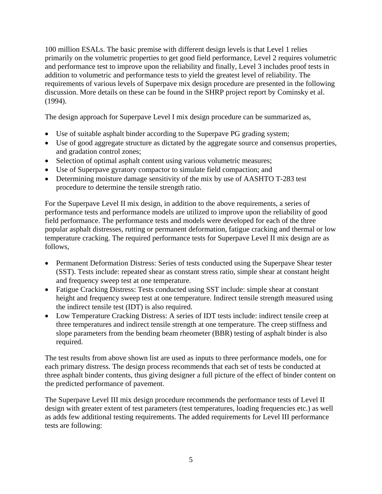100 million ESALs. The basic premise with different design levels is that Level 1 relies primarily on the volumetric properties to get good field performance, Level 2 requires volumetric and performance test to improve upon the reliability and finally, Level 3 includes proof tests in addition to volumetric and performance tests to yield the greatest level of reliability. The requirements of various levels of Superpave mix design procedure are presented in the following discussion. More details on these can be found in the SHRP project report by Cominsky et al. (1994).

The design approach for Superpave Level I mix design procedure can be summarized as,

- Use of suitable asphalt binder according to the Superpave PG grading system;
- Use of good aggregate structure as dictated by the aggregate source and consensus properties, and gradation control zones;
- Selection of optimal asphalt content using various volumetric measures;
- Use of Superpave gyratory compactor to simulate field compaction; and
- Determining moisture damage sensitivity of the mix by use of AASHTO T-283 test procedure to determine the tensile strength ratio.

For the Superpave Level II mix design, in addition to the above requirements, a series of performance tests and performance models are utilized to improve upon the reliability of good field performance. The performance tests and models were developed for each of the three popular asphalt distresses, rutting or permanent deformation, fatigue cracking and thermal or low temperature cracking. The required performance tests for Superpave Level II mix design are as follows,

- Permanent Deformation Distress: Series of tests conducted using the Superpave Shear tester (SST). Tests include: repeated shear as constant stress ratio, simple shear at constant height and frequency sweep test at one temperature.
- Fatigue Cracking Distress: Tests conducted using SST include: simple shear at constant height and frequency sweep test at one temperature. Indirect tensile strength measured using the indirect tensile test (IDT) is also required.
- Low Temperature Cracking Distress: A series of IDT tests include: indirect tensile creep at three temperatures and indirect tensile strength at one temperature. The creep stiffness and slope parameters from the bending beam rheometer (BBR) testing of asphalt binder is also required.

The test results from above shown list are used as inputs to three performance models, one for each primary distress. The design process recommends that each set of tests be conducted at three asphalt binder contents, thus giving designer a full picture of the effect of binder content on the predicted performance of pavement.

The Superpave Level III mix design procedure recommends the performance tests of Level II design with greater extent of test parameters (test temperatures, loading frequencies etc.) as well as adds few additional testing requirements. The added requirements for Level III performance tests are following: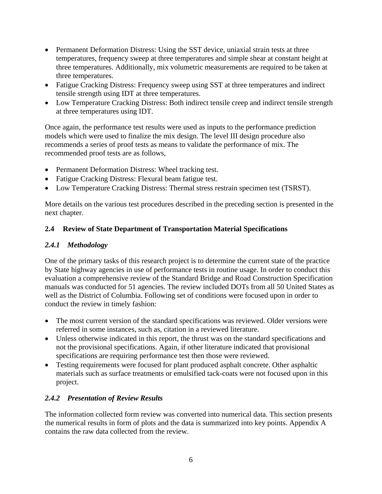- Permanent Deformation Distress: Using the SST device, uniaxial strain tests at three temperatures, frequency sweep at three temperatures and simple shear at constant height at three temperatures. Additionally, mix volumetric measurements are required to be taken at three temperatures.
- Fatigue Cracking Distress: Frequency sweep using SST at three temperatures and indirect tensile strength using IDT at three temperatures.
- Low Temperature Cracking Distress: Both indirect tensile creep and indirect tensile strength at three temperatures using IDT.

Once again, the performance test results were used as inputs to the performance prediction models which were used to finalize the mix design. The level III design procedure also recommends a series of proof tests as means to validate the performance of mix. The recommended proof tests are as follows,

- Permanent Deformation Distress: Wheel tracking test.
- Fatigue Cracking Distress: Flexural beam fatigue test.
- Low Temperature Cracking Distress: Thermal stress restrain specimen test (TSRST).

More details on the various test procedures described in the preceding section is presented in the next chapter.

#### <span id="page-15-0"></span>**2.4 Review of State Department of Transportation Material Specifications**

#### <span id="page-15-1"></span>*2.4.1 Methodology*

One of the primary tasks of this research project is to determine the current state of the practice by State highway agencies in use of performance tests in routine usage. In order to conduct this evaluation a comprehensive review of the Standard Bridge and Road Construction Specification manuals was conducted for 51 agencies. The review included DOTs from all 50 United States as well as the District of Columbia. Following set of conditions were focused upon in order to conduct the review in timely fashion:

- The most current version of the standard specifications was reviewed. Older versions were referred in some instances, such as, citation in a reviewed literature.
- Unless otherwise indicated in this report, the thrust was on the standard specifications and not the provisional specifications. Again, if other literature indicated that provisional specifications are requiring performance test then those were reviewed.
- Testing requirements were focused for plant produced asphalt concrete. Other asphaltic materials such as surface treatments or emulsified tack-coats were not focused upon in this project.

#### <span id="page-15-2"></span>*2.4.2 Presentation of Review Results*

The information collected form review was converted into numerical data. This section presents the numerical results in form of plots and the data is summarized into key points. Appendix A contains the raw data collected from the review.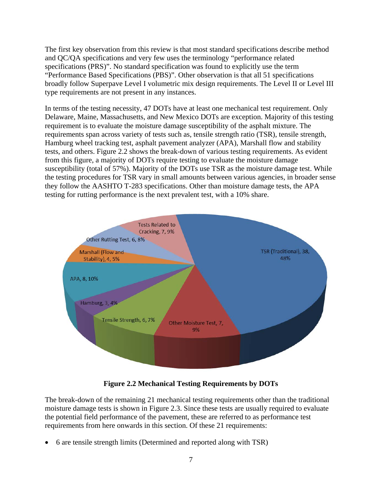The first key observation from this review is that most standard specifications describe method and QC/QA specifications and very few uses the terminology "performance related specifications (PRS)". No standard specification was found to explicitly use the term "Performance Based Specifications (PBS)". Other observation is that all 51 specifications broadly follow Superpave Level I volumetric mix design requirements. The Level II or Level III type requirements are not present in any instances.

In terms of the testing necessity, 47 DOTs have at least one mechanical test requirement. Only Delaware, Maine, Massachusetts, and New Mexico DOTs are exception. Majority of this testing requirement is to evaluate the moisture damage susceptibility of the asphalt mixture. The requirements span across variety of tests such as, tensile strength ratio (TSR), tensile strength, Hamburg wheel tracking test, asphalt pavement analyzer (APA), Marshall flow and stability tests, and others. Figure 2.2 shows the break-down of various testing requirements. As evident from this figure, a majority of DOTs require testing to evaluate the moisture damage susceptibility (total of 57%). Majority of the DOTs use TSR as the moisture damage test. While the testing procedures for TSR vary in small amounts between various agencies, in broader sense they follow the AASHTO T-283 specifications. Other than moisture damage tests, the APA testing for rutting performance is the next prevalent test, with a 10% share.



**Figure 2.2 Mechanical Testing Requirements by DOTs**

<span id="page-16-0"></span>The break-down of the remaining 21 mechanical testing requirements other than the traditional moisture damage tests is shown in Figure 2.3. Since these tests are usually required to evaluate the potential field performance of the pavement, these are referred to as performance test requirements from here onwards in this section. Of these 21 requirements:

• 6 are tensile strength limits (Determined and reported along with TSR)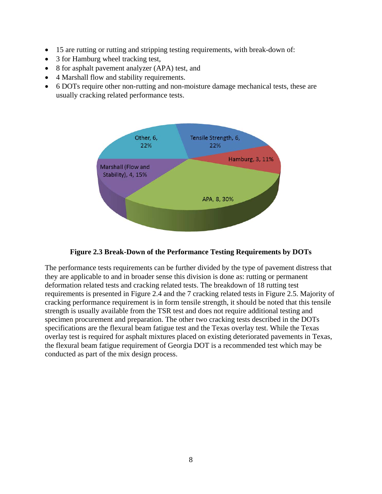- 15 are rutting or rutting and stripping testing requirements, with break-down of:
- 3 for Hamburg wheel tracking test,
- 8 for asphalt pavement analyzer (APA) test, and
- 4 Marshall flow and stability requirements.
- 6 DOTs require other non-rutting and non-moisture damage mechanical tests, these are usually cracking related performance tests.



#### **Figure 2.3 Break-Down of the Performance Testing Requirements by DOTs**

<span id="page-17-0"></span>The performance tests requirements can be further divided by the type of pavement distress that they are applicable to and in broader sense this division is done as: rutting or permanent deformation related tests and cracking related tests. The breakdown of 18 rutting test requirements is presented in Figure 2.4 and the 7 cracking related tests in Figure 2.5. Majority of cracking performance requirement is in form tensile strength, it should be noted that this tensile strength is usually available from the TSR test and does not require additional testing and specimen procurement and preparation. The other two cracking tests described in the DOTs specifications are the flexural beam fatigue test and the Texas overlay test. While the Texas overlay test is required for asphalt mixtures placed on existing deteriorated pavements in Texas, the flexural beam fatigue requirement of Georgia DOT is a recommended test which may be conducted as part of the mix design process.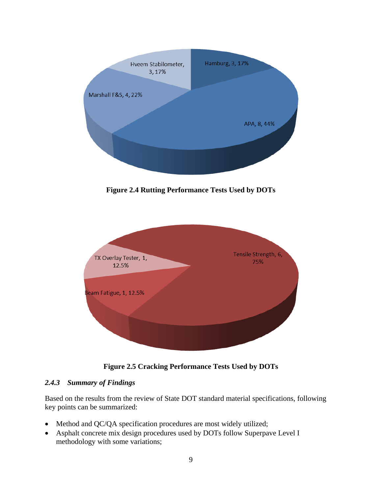

**Figure 2.4 Rutting Performance Tests Used by DOTs**

<span id="page-18-1"></span>

**Figure 2.5 Cracking Performance Tests Used by DOTs**

#### <span id="page-18-2"></span><span id="page-18-0"></span>*2.4.3 Summary of Findings*

Based on the results from the review of State DOT standard material specifications, following key points can be summarized:

- Method and QC/QA specification procedures are most widely utilized;
- Asphalt concrete mix design procedures used by DOTs follow Superpave Level I methodology with some variations;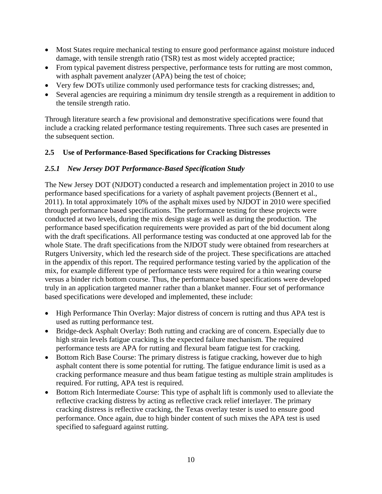- Most States require mechanical testing to ensure good performance against moisture induced damage, with tensile strength ratio (TSR) test as most widely accepted practice;
- From typical pavement distress perspective, performance tests for rutting are most common, with asphalt pavement analyzer (APA) being the test of choice;
- Very few DOTs utilize commonly used performance tests for cracking distresses; and,
- Several agencies are requiring a minimum dry tensile strength as a requirement in addition to the tensile strength ratio.

Through literature search a few provisional and demonstrative specifications were found that include a cracking related performance testing requirements. Three such cases are presented in the subsequent section.

#### <span id="page-19-1"></span><span id="page-19-0"></span>**2.5 Use of Performance-Based Specifications for Cracking Distresses**

#### *2.5.1 New Jersey DOT Performance-Based Specification Study*

The New Jersey DOT (NJDOT) conducted a research and implementation project in 2010 to use performance based specifications for a variety of asphalt pavement projects (Bennert et al., 2011). In total approximately 10% of the asphalt mixes used by NJDOT in 2010 were specified through performance based specifications. The performance testing for these projects were conducted at two levels, during the mix design stage as well as during the production. The performance based specification requirements were provided as part of the bid document along with the draft specifications. All performance testing was conducted at one approved lab for the whole State. The draft specifications from the NJDOT study were obtained from researchers at Rutgers University, which led the research side of the project. These specifications are attached in the appendix of this report. The required performance testing varied by the application of the mix, for example different type of performance tests were required for a thin wearing course versus a binder rich bottom course. Thus, the performance based specifications were developed truly in an application targeted manner rather than a blanket manner. Four set of performance based specifications were developed and implemented, these include:

- High Performance Thin Overlay: Major distress of concern is rutting and thus APA test is used as rutting performance test.
- Bridge-deck Asphalt Overlay: Both rutting and cracking are of concern. Especially due to high strain levels fatigue cracking is the expected failure mechanism. The required performance tests are APA for rutting and flexural beam fatigue test for cracking.
- Bottom Rich Base Course: The primary distress is fatigue cracking, however due to high asphalt content there is some potential for rutting. The fatigue endurance limit is used as a cracking performance measure and thus beam fatigue testing as multiple strain amplitudes is required. For rutting, APA test is required.
- Bottom Rich Intermediate Course: This type of asphalt lift is commonly used to alleviate the reflective cracking distress by acting as reflective crack relief interlayer. The primary cracking distress is reflective cracking, the Texas overlay tester is used to ensure good performance. Once again, due to high binder content of such mixes the APA test is used specified to safeguard against rutting.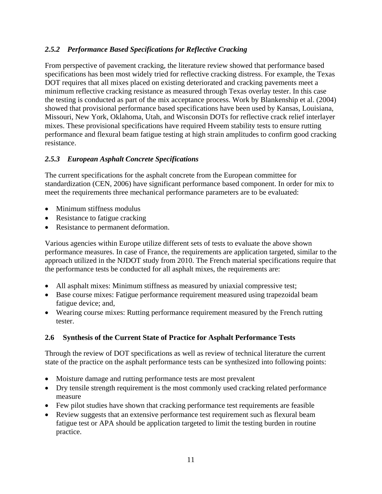#### <span id="page-20-0"></span>*2.5.2 Performance Based Specifications for Reflective Cracking*

From perspective of pavement cracking, the literature review showed that performance based specifications has been most widely tried for reflective cracking distress. For example, the Texas DOT requires that all mixes placed on existing deteriorated and cracking pavements meet a minimum reflective cracking resistance as measured through Texas overlay tester. In this case the testing is conducted as part of the mix acceptance process. Work by Blankenship et al. (2004) showed that provisional performance based specifications have been used by Kansas, Louisiana, Missouri, New York, Oklahoma, Utah, and Wisconsin DOTs for reflective crack relief interlayer mixes. These provisional specifications have required Hveem stability tests to ensure rutting performance and flexural beam fatigue testing at high strain amplitudes to confirm good cracking resistance.

#### <span id="page-20-1"></span>*2.5.3 European Asphalt Concrete Specifications*

The current specifications for the asphalt concrete from the European committee for standardization (CEN, 2006) have significant performance based component. In order for mix to meet the requirements three mechanical performance parameters are to be evaluated:

- Minimum stiffness modulus
- Resistance to fatigue cracking
- Resistance to permanent deformation.

Various agencies within Europe utilize different sets of tests to evaluate the above shown performance measures. In case of France, the requirements are application targeted, similar to the approach utilized in the NJDOT study from 2010. The French material specifications require that the performance tests be conducted for all asphalt mixes, the requirements are:

- All asphalt mixes: Minimum stiffness as measured by uniaxial compressive test;
- Base course mixes: Fatigue performance requirement measured using trapezoidal beam fatigue device; and,
- Wearing course mixes: Rutting performance requirement measured by the French rutting tester.

#### <span id="page-20-2"></span>**2.6 Synthesis of the Current State of Practice for Asphalt Performance Tests**

Through the review of DOT specifications as well as review of technical literature the current state of the practice on the asphalt performance tests can be synthesized into following points:

- Moisture damage and rutting performance tests are most prevalent
- Dry tensile strength requirement is the most commonly used cracking related performance measure
- Few pilot studies have shown that cracking performance test requirements are feasible
- Review suggests that an extensive performance test requirement such as flexural beam fatigue test or APA should be application targeted to limit the testing burden in routine practice.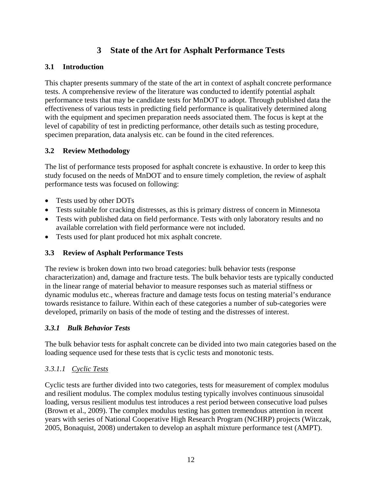#### **3 State of the Art for Asphalt Performance Tests**

#### <span id="page-21-1"></span><span id="page-21-0"></span>**3.1 Introduction**

This chapter presents summary of the state of the art in context of asphalt concrete performance tests. A comprehensive review of the literature was conducted to identify potential asphalt performance tests that may be candidate tests for MnDOT to adopt. Through published data the effectiveness of various tests in predicting field performance is qualitatively determined along with the equipment and specimen preparation needs associated them. The focus is kept at the level of capability of test in predicting performance, other details such as testing procedure, specimen preparation, data analysis etc. can be found in the cited references.

#### <span id="page-21-2"></span>**3.2 Review Methodology**

The list of performance tests proposed for asphalt concrete is exhaustive. In order to keep this study focused on the needs of MnDOT and to ensure timely completion, the review of asphalt performance tests was focused on following:

- Tests used by other DOTs
- Tests suitable for cracking distresses, as this is primary distress of concern in Minnesota
- Tests with published data on field performance. Tests with only laboratory results and no available correlation with field performance were not included.
- Tests used for plant produced hot mix asphalt concrete.

#### <span id="page-21-3"></span>**3.3 Review of Asphalt Performance Tests**

The review is broken down into two broad categories: bulk behavior tests (response characterization) and, damage and fracture tests. The bulk behavior tests are typically conducted in the linear range of material behavior to measure responses such as material stiffness or dynamic modulus etc., whereas fracture and damage tests focus on testing material's endurance towards resistance to failure. Within each of these categories a number of sub-categories were developed, primarily on basis of the mode of testing and the distresses of interest.

#### <span id="page-21-4"></span>*3.3.1 Bulk Behavior Tests*

The bulk behavior tests for asphalt concrete can be divided into two main categories based on the loading sequence used for these tests that is cyclic tests and monotonic tests.

#### *3.3.1.1 Cyclic Tests*

Cyclic tests are further divided into two categories, tests for measurement of complex modulus and resilient modulus. The complex modulus testing typically involves continuous sinusoidal loading, versus resilient modulus test introduces a rest period between consecutive load pulses (Brown et al., 2009). The complex modulus testing has gotten tremendous attention in recent years with series of National Cooperative High Research Program (NCHRP) projects (Witczak, 2005, Bonaquist, 2008) undertaken to develop an asphalt mixture performance test (AMPT).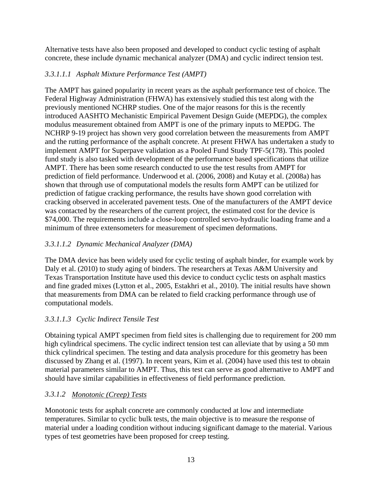Alternative tests have also been proposed and developed to conduct cyclic testing of asphalt concrete, these include dynamic mechanical analyzer (DMA) and cyclic indirect tension test.

#### *3.3.1.1.1 Asphalt Mixture Performance Test (AMPT)*

The AMPT has gained popularity in recent years as the asphalt performance test of choice. The Federal Highway Administration (FHWA) has extensively studied this test along with the previously mentioned NCHRP studies. One of the major reasons for this is the recently introduced AASHTO Mechanistic Empirical Pavement Design Guide (MEPDG), the complex modulus measurement obtained from AMPT is one of the primary inputs to MEPDG. The NCHRP 9-19 project has shown very good correlation between the measurements from AMPT and the rutting performance of the asphalt concrete. At present FHWA has undertaken a study to implement AMPT for Superpave validation as a Pooled Fund Study TPF-5(178). This pooled fund study is also tasked with development of the performance based specifications that utilize AMPT. There has been some research conducted to use the test results from AMPT for prediction of field performance. Underwood et al. (2006, 2008) and Kutay et al. (2008a) has shown that through use of computational models the results form AMPT can be utilized for prediction of fatigue cracking performance, the results have shown good correlation with cracking observed in accelerated pavement tests. One of the manufacturers of the AMPT device was contacted by the researchers of the current project, the estimated cost for the device is \$74,000. The requirements include a close-loop controlled servo-hydraulic loading frame and a minimum of three extensometers for measurement of specimen deformations.

#### *3.3.1.1.2 Dynamic Mechanical Analyzer (DMA)*

The DMA device has been widely used for cyclic testing of asphalt binder, for example work by Daly et al. (2010) to study aging of binders. The researchers at Texas A&M University and Texas Transportation Institute have used this device to conduct cyclic tests on asphalt mastics and fine graded mixes (Lytton et al., 2005, Estakhri et al., 2010). The initial results have shown that measurements from DMA can be related to field cracking performance through use of computational models.

#### *3.3.1.1.3 Cyclic Indirect Tensile Test*

Obtaining typical AMPT specimen from field sites is challenging due to requirement for 200 mm high cylindrical specimens. The cyclic indirect tension test can alleviate that by using a 50 mm thick cylindrical specimen. The testing and data analysis procedure for this geometry has been discussed by Zhang et al. (1997). In recent years, Kim et al. (2004) have used this test to obtain material parameters similar to AMPT. Thus, this test can serve as good alternative to AMPT and should have similar capabilities in effectiveness of field performance prediction.

#### *3.3.1.2 Monotonic (Creep) Tests*

Monotonic tests for asphalt concrete are commonly conducted at low and intermediate temperatures. Similar to cyclic bulk tests, the main objective is to measure the response of material under a loading condition without inducing significant damage to the material. Various types of test geometries have been proposed for creep testing.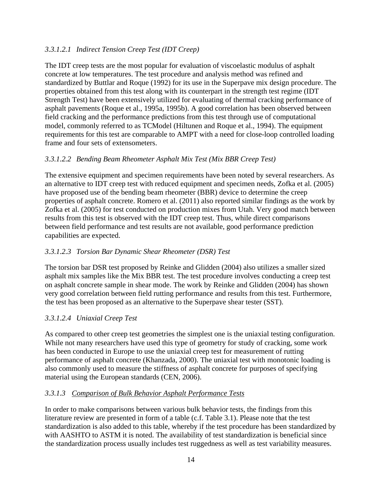#### *3.3.1.2.1 Indirect Tension Creep Test (IDT Creep)*

The IDT creep tests are the most popular for evaluation of viscoelastic modulus of asphalt concrete at low temperatures. The test procedure and analysis method was refined and standardized by Buttlar and Roque (1992) for its use in the Superpave mix design procedure. The properties obtained from this test along with its counterpart in the strength test regime (IDT Strength Test) have been extensively utilized for evaluating of thermal cracking performance of asphalt pavements (Roque et al., 1995a, 1995b). A good correlation has been observed between field cracking and the performance predictions from this test through use of computational model, commonly referred to as TCModel (Hiltunen and Roque et al., 1994). The equipment requirements for this test are comparable to AMPT with a need for close-loop controlled loading frame and four sets of extensometers.

#### *3.3.1.2.2 Bending Beam Rheometer Asphalt Mix Test (Mix BBR Creep Test)*

The extensive equipment and specimen requirements have been noted by several researchers. As an alternative to IDT creep test with reduced equipment and specimen needs, Zofka et al. (2005) have proposed use of the bending beam rheometer (BBR) device to determine the creep properties of asphalt concrete. Romero et al. (2011) also reported similar findings as the work by Zofka et al. (2005) for test conducted on production mixes from Utah. Very good match between results from this test is observed with the IDT creep test. Thus, while direct comparisons between field performance and test results are not available, good performance prediction capabilities are expected.

#### *3.3.1.2.3 Torsion Bar Dynamic Shear Rheometer (DSR) Test*

The torsion bar DSR test proposed by Reinke and Glidden (2004) also utilizes a smaller sized asphalt mix samples like the Mix BBR test. The test procedure involves conducting a creep test on asphalt concrete sample in shear mode. The work by Reinke and Glidden (2004) has shown very good correlation between field rutting performance and results from this test. Furthermore, the test has been proposed as an alternative to the Superpave shear tester (SST).

#### *3.3.1.2.4 Uniaxial Creep Test*

As compared to other creep test geometries the simplest one is the uniaxial testing configuration. While not many researchers have used this type of geometry for study of cracking, some work has been conducted in Europe to use the uniaxial creep test for measurement of rutting performance of asphalt concrete (Khanzada, 2000). The uniaxial test with monotonic loading is also commonly used to measure the stiffness of asphalt concrete for purposes of specifying material using the European standards (CEN, 2006).

#### *3.3.1.3 Comparison of Bulk Behavior Asphalt Performance Tests*

In order to make comparisons between various bulk behavior tests, the findings from this literature review are presented in form of a table (c.f. Table 3.1). Please note that the test standardization is also added to this table, whereby if the test procedure has been standardized by with AASHTO to ASTM it is noted. The availability of test standardization is beneficial since the standardization process usually includes test ruggedness as well as test variability measures.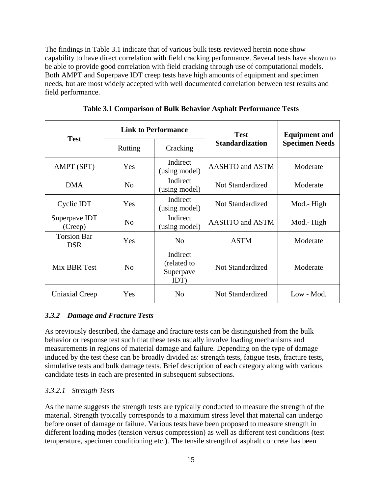The findings in Table 3.1 indicate that of various bulk tests reviewed herein none show capability to have direct correlation with field cracking performance. Several tests have shown to be able to provide good correlation with field cracking through use of computational models. Both AMPT and Superpave IDT creep tests have high amounts of equipment and specimen needs, but are most widely accepted with well documented correlation between test results and field performance.

<span id="page-24-1"></span>

| <b>Test</b>                      | <b>Link to Performance</b> |                                              | <b>Test</b>                   | <b>Equipment and</b>  |  |
|----------------------------------|----------------------------|----------------------------------------------|-------------------------------|-----------------------|--|
|                                  | Rutting                    | Cracking                                     | <b>Standardization</b>        | <b>Specimen Needs</b> |  |
| AMPT (SPT)                       | Yes                        | Indirect<br>(using model)                    | <b>AASHTO</b> and <b>ASTM</b> | Moderate              |  |
| <b>DMA</b>                       | N <sub>0</sub>             | Indirect<br>(using model)                    | Not Standardized              | Moderate              |  |
| Cyclic IDT                       | Yes                        | Indirect<br>(using model)                    | Not Standardized              | Mod.-High             |  |
| Superpave IDT<br>(Creep)         | N <sub>o</sub>             | Indirect<br>(using model)                    | AASHTO and ASTM               | Mod.-High             |  |
| <b>Torsion Bar</b><br><b>DSR</b> | Yes                        | N <sub>0</sub>                               | <b>ASTM</b>                   | Moderate              |  |
| Mix BBR Test                     | N <sub>0</sub>             | Indirect<br>(related to<br>Superpave<br>IDT) | Not Standardized              | Moderate              |  |
| Uniaxial Creep                   | Yes                        | N <sub>0</sub>                               | Not Standardized              | Low - Mod.            |  |

**Table 3.1 Comparison of Bulk Behavior Asphalt Performance Tests**

#### <span id="page-24-0"></span>*3.3.2 Damage and Fracture Tests*

As previously described, the damage and fracture tests can be distinguished from the bulk behavior or response test such that these tests usually involve loading mechanisms and measurements in regions of material damage and failure. Depending on the type of damage induced by the test these can be broadly divided as: strength tests, fatigue tests, fracture tests, simulative tests and bulk damage tests. Brief description of each category along with various candidate tests in each are presented in subsequent subsections.

#### *3.3.2.1 Strength Tests*

As the name suggests the strength tests are typically conducted to measure the strength of the material. Strength typically corresponds to a maximum stress level that material can undergo before onset of damage or failure. Various tests have been proposed to measure strength in different loading modes (tension versus compression) as well as different test conditions (test temperature, specimen conditioning etc.). The tensile strength of asphalt concrete has been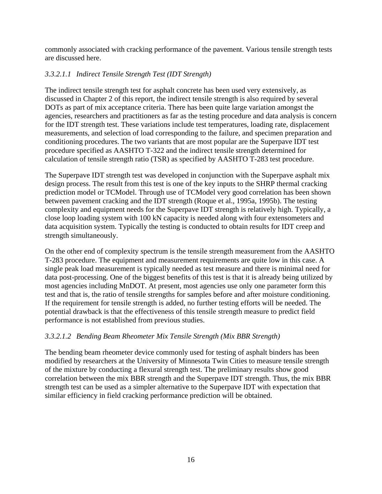commonly associated with cracking performance of the pavement. Various tensile strength tests are discussed here.

#### *3.3.2.1.1 Indirect Tensile Strength Test (IDT Strength)*

The indirect tensile strength test for asphalt concrete has been used very extensively, as discussed in Chapter 2 of this report, the indirect tensile strength is also required by several DOTs as part of mix acceptance criteria. There has been quite large variation amongst the agencies, researchers and practitioners as far as the testing procedure and data analysis is concern for the IDT strength test. These variations include test temperatures, loading rate, displacement measurements, and selection of load corresponding to the failure, and specimen preparation and conditioning procedures. The two variants that are most popular are the Superpave IDT test procedure specified as AASHTO T-322 and the indirect tensile strength determined for calculation of tensile strength ratio (TSR) as specified by AASHTO T-283 test procedure.

The Superpave IDT strength test was developed in conjunction with the Superpave asphalt mix design process. The result from this test is one of the key inputs to the SHRP thermal cracking prediction model or TCModel. Through use of TCModel very good correlation has been shown between pavement cracking and the IDT strength (Roque et al., 1995a, 1995b). The testing complexity and equipment needs for the Superpave IDT strength is relatively high. Typically, a close loop loading system with 100 kN capacity is needed along with four extensometers and data acquisition system. Typically the testing is conducted to obtain results for IDT creep and strength simultaneously.

On the other end of complexity spectrum is the tensile strength measurement from the AASHTO T-283 procedure. The equipment and measurement requirements are quite low in this case. A single peak load measurement is typically needed as test measure and there is minimal need for data post-processing. One of the biggest benefits of this test is that it is already being utilized by most agencies including MnDOT. At present, most agencies use only one parameter form this test and that is, the ratio of tensile strengths for samples before and after moisture conditioning. If the requirement for tensile strength is added, no further testing efforts will be needed. The potential drawback is that the effectiveness of this tensile strength measure to predict field performance is not established from previous studies.

#### *3.3.2.1.2 Bending Beam Rheometer Mix Tensile Strength (Mix BBR Strength)*

The bending beam rheometer device commonly used for testing of asphalt binders has been modified by researchers at the University of Minnesota Twin Cities to measure tensile strength of the mixture by conducting a flexural strength test. The preliminary results show good correlation between the mix BBR strength and the Superpave IDT strength. Thus, the mix BBR strength test can be used as a simpler alternative to the Superpave IDT with expectation that similar efficiency in field cracking performance prediction will be obtained.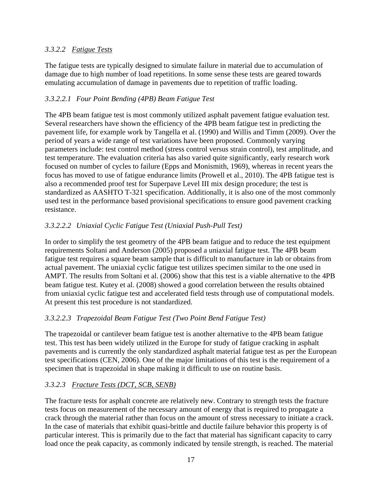#### *3.3.2.2 Fatigue Tests*

The fatigue tests are typically designed to simulate failure in material due to accumulation of damage due to high number of load repetitions. In some sense these tests are geared towards emulating accumulation of damage in pavements due to repetition of traffic loading.

#### *3.3.2.2.1 Four Point Bending (4PB) Beam Fatigue Test*

The 4PB beam fatigue test is most commonly utilized asphalt pavement fatigue evaluation test. Several researchers have shown the efficiency of the 4PB beam fatigue test in predicting the pavement life, for example work by Tangella et al. (1990) and Willis and Timm (2009). Over the period of years a wide range of test variations have been proposed. Commonly varying parameters include: test control method (stress control versus strain control), test amplitude, and test temperature. The evaluation criteria has also varied quite significantly, early research work focused on number of cycles to failure (Epps and Monismith, 1969), whereas in recent years the focus has moved to use of fatigue endurance limits (Prowell et al., 2010). The 4PB fatigue test is also a recommended proof test for Superpave Level III mix design procedure; the test is standardized as AASHTO T-321 specification. Additionally, it is also one of the most commonly used test in the performance based provisional specifications to ensure good pavement cracking resistance.

#### *3.3.2.2.2 Uniaxial Cyclic Fatigue Test (Uniaxial Push-Pull Test)*

In order to simplify the test geometry of the 4PB beam fatigue and to reduce the test equipment requirements Soltani and Anderson (2005) proposed a uniaxial fatigue test. The 4PB beam fatigue test requires a square beam sample that is difficult to manufacture in lab or obtains from actual pavement. The uniaxial cyclic fatigue test utilizes specimen similar to the one used in AMPT. The results from Soltani et al. (2006) show that this test is a viable alternative to the 4PB beam fatigue test. Kutey et al. (2008) showed a good correlation between the results obtained from uniaxial cyclic fatigue test and accelerated field tests through use of computational models. At present this test procedure is not standardized.

#### *3.3.2.2.3 Trapezoidal Beam Fatigue Test (Two Point Bend Fatigue Test)*

The trapezoidal or cantilever beam fatigue test is another alternative to the 4PB beam fatigue test. This test has been widely utilized in the Europe for study of fatigue cracking in asphalt pavements and is currently the only standardized asphalt material fatigue test as per the European test specifications (CEN, 2006). One of the major limitations of this test is the requirement of a specimen that is trapezoidal in shape making it difficult to use on routine basis.

#### *3.3.2.3 Fracture Tests (DCT, SCB, SENB)*

The fracture tests for asphalt concrete are relatively new. Contrary to strength tests the fracture tests focus on measurement of the necessary amount of energy that is required to propagate a crack through the material rather than focus on the amount of stress necessary to initiate a crack. In the case of materials that exhibit quasi-brittle and ductile failure behavior this property is of particular interest. This is primarily due to the fact that material has significant capacity to carry load once the peak capacity, as commonly indicated by tensile strength, is reached. The material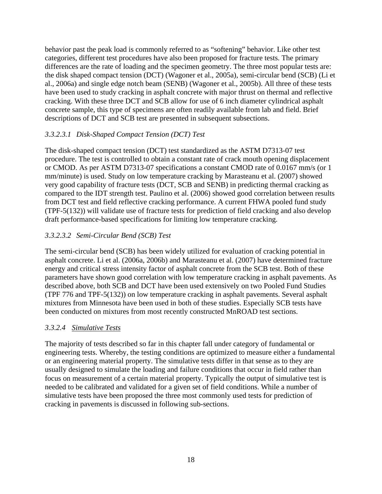behavior past the peak load is commonly referred to as "softening" behavior. Like other test categories, different test procedures have also been proposed for fracture tests. The primary differences are the rate of loading and the specimen geometry. The three most popular tests are: the disk shaped compact tension (DCT) (Wagoner et al., 2005a), semi-circular bend (SCB) (Li et al., 2006a) and single edge notch beam (SENB) (Wagoner et al., 2005b). All three of these tests have been used to study cracking in asphalt concrete with major thrust on thermal and reflective cracking. With these three DCT and SCB allow for use of 6 inch diameter cylindrical asphalt concrete sample, this type of specimens are often readily available from lab and field. Brief descriptions of DCT and SCB test are presented in subsequent subsections.

#### *3.3.2.3.1 Disk-Shaped Compact Tension (DCT) Test*

The disk-shaped compact tension (DCT) test standardized as the ASTM D7313-07 test procedure. The test is controlled to obtain a constant rate of crack mouth opening displacement or CMOD. As per ASTM D7313-07 specifications a constant CMOD rate of 0.0167 mm/s (or 1 mm/minute) is used. Study on low temperature cracking by Marasteanu et al. (2007) showed very good capability of fracture tests (DCT, SCB and SENB) in predicting thermal cracking as compared to the IDT strength test. Paulino et al. (2006) showed good correlation between results from DCT test and field reflective cracking performance. A current FHWA pooled fund study (TPF-5(132)) will validate use of fracture tests for prediction of field cracking and also develop draft performance-based specifications for limiting low temperature cracking.

#### *3.3.2.3.2 Semi-Circular Bend (SCB) Test*

The semi-circular bend (SCB) has been widely utilized for evaluation of cracking potential in asphalt concrete. Li et al. (2006a, 2006b) and Marasteanu et al. (2007) have determined fracture energy and critical stress intensity factor of asphalt concrete from the SCB test. Both of these parameters have shown good correlation with low temperature cracking in asphalt pavements. As described above, both SCB and DCT have been used extensively on two Pooled Fund Studies (TPF 776 and TPF-5(132)) on low temperature cracking in asphalt pavements. Several asphalt mixtures from Minnesota have been used in both of these studies. Especially SCB tests have been conducted on mixtures from most recently constructed MnROAD test sections.

#### *3.3.2.4 Simulative Tests*

The majority of tests described so far in this chapter fall under category of fundamental or engineering tests. Whereby, the testing conditions are optimized to measure either a fundamental or an engineering material property. The simulative tests differ in that sense as to they are usually designed to simulate the loading and failure conditions that occur in field rather than focus on measurement of a certain material property. Typically the output of simulative test is needed to be calibrated and validated for a given set of field conditions. While a number of simulative tests have been proposed the three most commonly used tests for prediction of cracking in pavements is discussed in following sub-sections.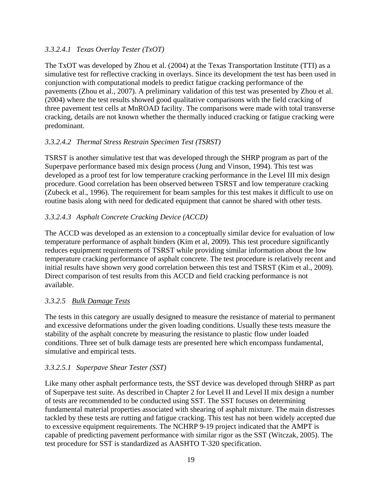#### *3.3.2.4.1 Texas Overlay Tester (TxOT)*

The TxOT was developed by Zhou et al. (2004) at the Texas Transportation Institute (TTI) as a simulative test for reflective cracking in overlays. Since its development the test has been used in conjunction with computational models to predict fatigue cracking performance of the pavements (Zhou et al., 2007). A preliminary validation of this test was presented by Zhou et al. (2004) where the test results showed good qualitative comparisons with the field cracking of three pavement test cells at MnROAD facility. The comparisons were made with total transverse cracking, details are not known whether the thermally induced cracking or fatigue cracking were predominant.

#### *3.3.2.4.2 Thermal Stress Restrain Specimen Test (TSRST)*

TSRST is another simulative test that was developed through the SHRP program as part of the Superpave performance based mix design process (Jung and Vinson, 1994). This test was developed as a proof test for low temperature cracking performance in the Level III mix design procedure. Good correlation has been observed between TSRST and low temperature cracking (Zubeck et al., 1996). The requirement for beam samples for this test makes it difficult to use on routine basis along with need for dedicated equipment that cannot be shared with other tests.

#### *3.3.2.4.3 Asphalt Concrete Cracking Device (ACCD)*

The ACCD was developed as an extension to a conceptually similar device for evaluation of low temperature performance of asphalt binders (Kim et al, 2009). This test procedure significantly reduces equipment requirements of TSRST while providing similar information about the low temperature cracking performance of asphalt concrete. The test procedure is relatively recent and initial results have shown very good correlation between this test and TSRST (Kim et al., 2009). Direct comparison of test results from this ACCD and field cracking performance is not available.

#### *3.3.2.5 Bulk Damage Tests*

The tests in this category are usually designed to measure the resistance of material to permanent and excessive deformations under the given loading conditions. Usually these tests measure the stability of the asphalt concrete by measuring the resistance to plastic flow under loaded conditions. Three set of bulk damage tests are presented here which encompass fundamental, simulative and empirical tests.

#### *3.3.2.5.1 Superpave Shear Tester (SST)*

Like many other asphalt performance tests, the SST device was developed through SHRP as part of Superpave test suite. As described in Chapter 2 for Level II and Level II mix design a number of tests are recommended to be conducted using SST. The SST focuses on determining fundamental material properties associated with shearing of asphalt mixture. The main distresses tackled by these tests are rutting and fatigue cracking. This test has not been widely accepted due to excessive equipment requirements. The NCHRP 9-19 project indicated that the AMPT is capable of predicting pavement performance with similar rigor as the SST (Witczak, 2005). The test procedure for SST is standardized as AASHTO T-320 specification.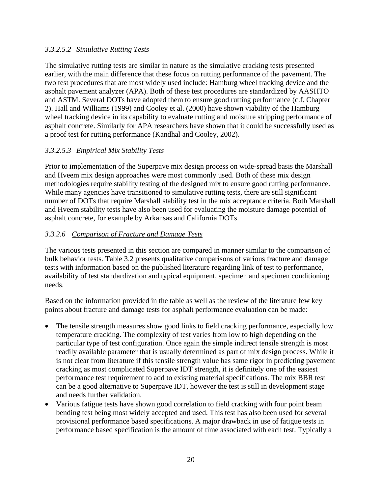#### *3.3.2.5.2 Simulative Rutting Tests*

The simulative rutting tests are similar in nature as the simulative cracking tests presented earlier, with the main difference that these focus on rutting performance of the pavement. The two test procedures that are most widely used include: Hamburg wheel tracking device and the asphalt pavement analyzer (APA). Both of these test procedures are standardized by AASHTO and ASTM. Several DOTs have adopted them to ensure good rutting performance (c.f. Chapter 2). Hall and Williams (1999) and Cooley et al. (2000) have shown viability of the Hamburg wheel tracking device in its capability to evaluate rutting and moisture stripping performance of asphalt concrete. Similarly for APA researchers have shown that it could be successfully used as a proof test for rutting performance (Kandhal and Cooley, 2002).

#### *3.3.2.5.3 Empirical Mix Stability Tests*

Prior to implementation of the Superpave mix design process on wide-spread basis the Marshall and Hveem mix design approaches were most commonly used. Both of these mix design methodologies require stability testing of the designed mix to ensure good rutting performance. While many agencies have transitioned to simulative rutting tests, there are still significant number of DOTs that require Marshall stability test in the mix acceptance criteria. Both Marshall and Hveem stability tests have also been used for evaluating the moisture damage potential of asphalt concrete, for example by Arkansas and California DOTs.

#### *3.3.2.6 Comparison of Fracture and Damage Tests*

The various tests presented in this section are compared in manner similar to the comparison of bulk behavior tests. Table 3.2 presents qualitative comparisons of various fracture and damage tests with information based on the published literature regarding link of test to performance, availability of test standardization and typical equipment, specimen and specimen conditioning needs.

Based on the information provided in the table as well as the review of the literature few key points about fracture and damage tests for asphalt performance evaluation can be made:

- The tensile strength measures show good links to field cracking performance, especially low temperature cracking. The complexity of test varies from low to high depending on the particular type of test configuration. Once again the simple indirect tensile strength is most readily available parameter that is usually determined as part of mix design process. While it is not clear from literature if this tensile strength value has same rigor in predicting pavement cracking as most complicated Superpave IDT strength, it is definitely one of the easiest performance test requirement to add to existing material specifications. The mix BBR test can be a good alternative to Superpave IDT, however the test is still in development stage and needs further validation.
- Various fatigue tests have shown good correlation to field cracking with four point beam bending test being most widely accepted and used. This test has also been used for several provisional performance based specifications. A major drawback in use of fatigue tests in performance based specification is the amount of time associated with each test. Typically a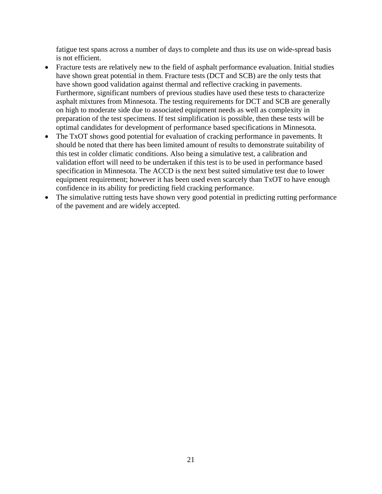fatigue test spans across a number of days to complete and thus its use on wide-spread basis is not efficient.

- Fracture tests are relatively new to the field of asphalt performance evaluation. Initial studies have shown great potential in them. Fracture tests (DCT and SCB) are the only tests that have shown good validation against thermal and reflective cracking in pavements. Furthermore, significant numbers of previous studies have used these tests to characterize asphalt mixtures from Minnesota. The testing requirements for DCT and SCB are generally on high to moderate side due to associated equipment needs as well as complexity in preparation of the test specimens. If test simplification is possible, then these tests will be optimal candidates for development of performance based specifications in Minnesota.
- The TxOT shows good potential for evaluation of cracking performance in pavements. It should be noted that there has been limited amount of results to demonstrate suitability of this test in colder climatic conditions. Also being a simulative test, a calibration and validation effort will need to be undertaken if this test is to be used in performance based specification in Minnesota. The ACCD is the next best suited simulative test due to lower equipment requirement; however it has been used even scarcely than TxOT to have enough confidence in its ability for predicting field cracking performance.
- The simulative rutting tests have shown very good potential in predicting rutting performance of the pavement and are widely accepted.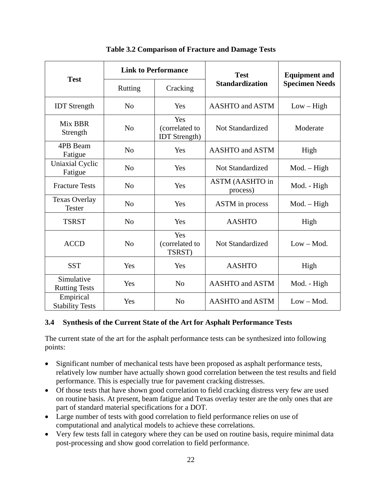<span id="page-31-1"></span>

|                                       | <b>Link to Performance</b> |                                               | <b>Test</b>                        | <b>Equipment and</b>  |  |
|---------------------------------------|----------------------------|-----------------------------------------------|------------------------------------|-----------------------|--|
| <b>Test</b>                           | <b>Rutting</b>             | Cracking                                      | <b>Standardization</b>             | <b>Specimen Needs</b> |  |
| <b>IDT</b> Strength                   | N <sub>0</sub>             | Yes                                           | <b>AASHTO</b> and ASTM             | $Low - High$          |  |
| Mix BBR<br>Strength                   | N <sub>0</sub>             | Yes<br>(correlated to<br><b>IDT</b> Strength) | <b>Not Standardized</b>            | Moderate              |  |
| 4PB Beam<br>Fatigue                   | N <sub>o</sub>             | Yes                                           | <b>AASHTO</b> and ASTM             | High                  |  |
| Uniaxial Cyclic<br>Fatigue            | N <sub>o</sub>             | Yes                                           | <b>Not Standardized</b>            | $Mod. - High$         |  |
| <b>Fracture Tests</b>                 | N <sub>o</sub>             | Yes                                           | <b>ASTM (AASHTO in</b><br>process) | Mod. - High           |  |
| <b>Texas Overlay</b><br><b>Tester</b> | N <sub>0</sub>             | Yes                                           | ASTM in process                    | $Mod. - High$         |  |
| <b>TSRST</b>                          | N <sub>0</sub>             | Yes                                           | <b>AASHTO</b>                      | High                  |  |
| <b>ACCD</b>                           | N <sub>o</sub>             | Yes<br>(correlated to<br>TSRST)               | <b>Not Standardized</b>            | $Low - Mod.$          |  |
| <b>SST</b>                            | Yes                        | Yes                                           | <b>AASHTO</b>                      | High                  |  |
| Simulative<br><b>Rutting Tests</b>    | Yes                        | N <sub>0</sub>                                | <b>AASHTO</b> and ASTM             | Mod. - High           |  |
| Empirical<br><b>Stability Tests</b>   | Yes                        | N <sub>0</sub>                                | <b>AASHTO</b> and ASTM             | $Low - Mod.$          |  |

#### **Table 3.2 Comparison of Fracture and Damage Tests**

#### <span id="page-31-0"></span>**3.4 Synthesis of the Current State of the Art for Asphalt Performance Tests**

The current state of the art for the asphalt performance tests can be synthesized into following points:

- Significant number of mechanical tests have been proposed as asphalt performance tests, relatively low number have actually shown good correlation between the test results and field performance. This is especially true for pavement cracking distresses.
- Of those tests that have shown good correlation to field cracking distress very few are used on routine basis. At present, beam fatigue and Texas overlay tester are the only ones that are part of standard material specifications for a DOT.
- Large number of tests with good correlation to field performance relies on use of computational and analytical models to achieve these correlations.
- Very few tests fall in category where they can be used on routine basis, require minimal data post-processing and show good correlation to field performance.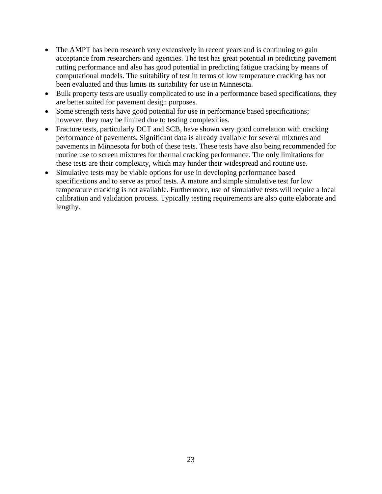- The AMPT has been research very extensively in recent years and is continuing to gain acceptance from researchers and agencies. The test has great potential in predicting pavement rutting performance and also has good potential in predicting fatigue cracking by means of computational models. The suitability of test in terms of low temperature cracking has not been evaluated and thus limits its suitability for use in Minnesota.
- Bulk property tests are usually complicated to use in a performance based specifications, they are better suited for pavement design purposes.
- Some strength tests have good potential for use in performance based specifications; however, they may be limited due to testing complexities.
- Fracture tests, particularly DCT and SCB, have shown very good correlation with cracking performance of pavements. Significant data is already available for several mixtures and pavements in Minnesota for both of these tests. These tests have also being recommended for routine use to screen mixtures for thermal cracking performance. The only limitations for these tests are their complexity, which may hinder their widespread and routine use.
- Simulative tests may be viable options for use in developing performance based specifications and to serve as proof tests. A mature and simple simulative test for low temperature cracking is not available. Furthermore, use of simulative tests will require a local calibration and validation process. Typically testing requirements are also quite elaborate and lengthy.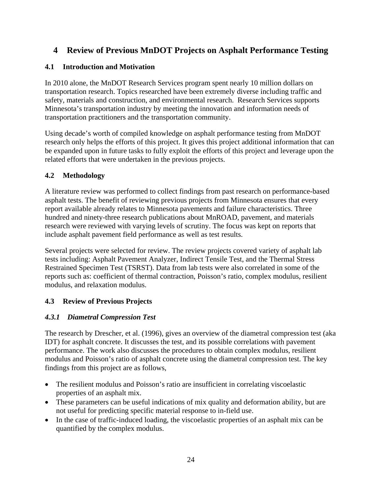#### <span id="page-33-0"></span>**4 Review of Previous MnDOT Projects on Asphalt Performance Testing**

#### <span id="page-33-1"></span>**4.1 Introduction and Motivation**

In 2010 alone, the MnDOT Research Services program spent nearly 10 million dollars on transportation research. Topics researched have been extremely diverse including traffic and safety, materials and construction, and environmental research. Research Services supports Minnesota's transportation industry by meeting the innovation and information needs of transportation practitioners and the transportation community.

Using decade's worth of compiled knowledge on asphalt performance testing from MnDOT research only helps the efforts of this project. It gives this project additional information that can be expanded upon in future tasks to fully exploit the efforts of this project and leverage upon the related efforts that were undertaken in the previous projects.

#### <span id="page-33-2"></span>**4.2 Methodology**

A literature review was performed to collect findings from past research on performance-based asphalt tests. The benefit of reviewing previous projects from Minnesota ensures that every report available already relates to Minnesota pavements and failure characteristics. Three hundred and ninety-three research publications about MnROAD, pavement, and materials research were reviewed with varying levels of scrutiny. The focus was kept on reports that include asphalt pavement field performance as well as test results.

Several projects were selected for review. The review projects covered variety of asphalt lab tests including: Asphalt Pavement Analyzer, Indirect Tensile Test, and the Thermal Stress Restrained Specimen Test (TSRST). Data from lab tests were also correlated in some of the reports such as: coefficient of thermal contraction, Poisson's ratio, complex modulus, resilient modulus, and relaxation modulus.

#### <span id="page-33-4"></span><span id="page-33-3"></span>**4.3 Review of Previous Projects**

#### *4.3.1 Diametral Compression Test*

The research by Drescher, et al. (1996), gives an overview of the diametral compression test (aka IDT) for asphalt concrete. It discusses the test, and its possible correlations with pavement performance. The work also discusses the procedures to obtain complex modulus, resilient modulus and Poisson's ratio of asphalt concrete using the diametral compression test. The key findings from this project are as follows,

- The resilient modulus and Poisson's ratio are insufficient in correlating viscoelastic properties of an asphalt mix.
- These parameters can be useful indications of mix quality and deformation ability, but are not useful for predicting specific material response to in-field use.
- In the case of traffic-induced loading, the viscoelastic properties of an asphalt mix can be quantified by the complex modulus.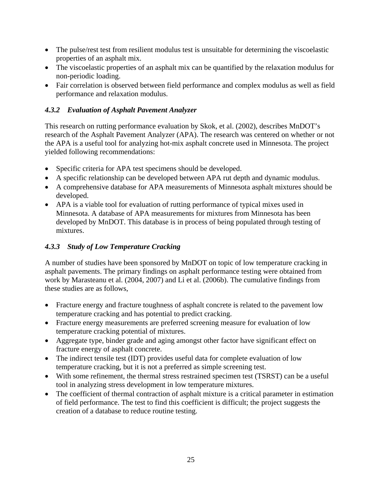- The pulse/rest test from resilient modulus test is unsuitable for determining the viscoelastic properties of an asphalt mix.
- The viscoelastic properties of an asphalt mix can be quantified by the relaxation modulus for non-periodic loading.
- Fair correlation is observed between field performance and complex modulus as well as field performance and relaxation modulus.

#### <span id="page-34-0"></span>*4.3.2 Evaluation of Asphalt Pavement Analyzer*

This research on rutting performance evaluation by Skok, et al. (2002), describes MnDOT's research of the Asphalt Pavement Analyzer (APA). The research was centered on whether or not the APA is a useful tool for analyzing hot-mix asphalt concrete used in Minnesota. The project yielded following recommendations:

- Specific criteria for APA test specimens should be developed.
- A specific relationship can be developed between APA rut depth and dynamic modulus.
- A comprehensive database for APA measurements of Minnesota asphalt mixtures should be developed.
- APA is a viable tool for evaluation of rutting performance of typical mixes used in Minnesota. A database of APA measurements for mixtures from Minnesota has been developed by MnDOT. This database is in process of being populated through testing of mixtures.

#### <span id="page-34-1"></span>*4.3.3 Study of Low Temperature Cracking*

A number of studies have been sponsored by MnDOT on topic of low temperature cracking in asphalt pavements. The primary findings on asphalt performance testing were obtained from work by Marasteanu et al. (2004, 2007) and Li et al. (2006b). The cumulative findings from these studies are as follows,

- Fracture energy and fracture toughness of asphalt concrete is related to the pavement low temperature cracking and has potential to predict cracking.
- Fracture energy measurements are preferred screening measure for evaluation of low temperature cracking potential of mixtures.
- Aggregate type, binder grade and aging amongst other factor have significant effect on fracture energy of asphalt concrete.
- The indirect tensile test (IDT) provides useful data for complete evaluation of low temperature cracking, but it is not a preferred as simple screening test.
- With some refinement, the thermal stress restrained specimen test (TSRST) can be a useful tool in analyzing stress development in low temperature mixtures.
- The coefficient of thermal contraction of asphalt mixture is a critical parameter in estimation of field performance. The test to find this coefficient is difficult; the project suggests the creation of a database to reduce routine testing.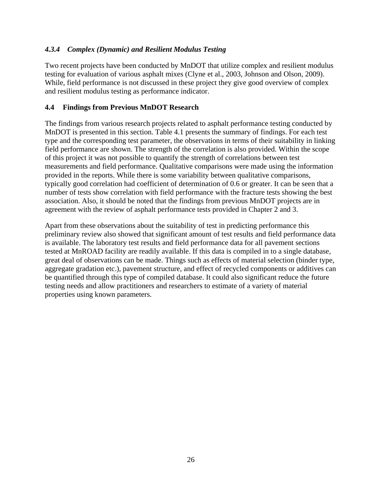#### <span id="page-35-0"></span>*4.3.4 Complex (Dynamic) and Resilient Modulus Testing*

Two recent projects have been conducted by MnDOT that utilize complex and resilient modulus testing for evaluation of various asphalt mixes (Clyne et al., 2003, Johnson and Olson, 2009). While, field performance is not discussed in these project they give good overview of complex and resilient modulus testing as performance indicator.

#### <span id="page-35-1"></span>**4.4 Findings from Previous MnDOT Research**

The findings from various research projects related to asphalt performance testing conducted by MnDOT is presented in this section. Table 4.1 presents the summary of findings. For each test type and the corresponding test parameter, the observations in terms of their suitability in linking field performance are shown. The strength of the correlation is also provided. Within the scope of this project it was not possible to quantify the strength of correlations between test measurements and field performance. Qualitative comparisons were made using the information provided in the reports. While there is some variability between qualitative comparisons, typically good correlation had coefficient of determination of 0.6 or greater. It can be seen that a number of tests show correlation with field performance with the fracture tests showing the best association. Also, it should be noted that the findings from previous MnDOT projects are in agreement with the review of asphalt performance tests provided in Chapter 2 and 3.

<span id="page-35-2"></span>Apart from these observations about the suitability of test in predicting performance this preliminary review also showed that significant amount of test results and field performance data is available. The laboratory test results and field performance data for all pavement sections tested at MnROAD facility are readily available. If this data is compiled in to a single database, great deal of observations can be made. Things such as effects of material selection (binder type, aggregate gradation etc.), pavement structure, and effect of recycled components or additives can be quantified through this type of compiled database. It could also significant reduce the future testing needs and allow practitioners and researchers to estimate of a variety of material properties using known parameters.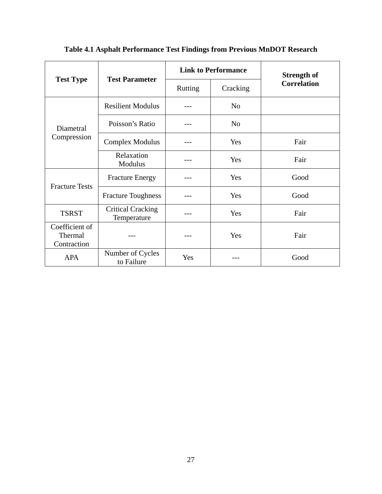|                                          | <b>Test Parameter</b>                   |         | <b>Link to Performance</b> | <b>Strength of</b> |
|------------------------------------------|-----------------------------------------|---------|----------------------------|--------------------|
| <b>Test Type</b>                         |                                         | Rutting | Cracking                   | <b>Correlation</b> |
|                                          | <b>Resilient Modulus</b>                |         | N <sub>o</sub>             |                    |
| Diametral<br>Compression                 | Poisson's Ratio                         |         | N <sub>o</sub>             |                    |
|                                          | <b>Complex Modulus</b>                  |         | Yes                        | Fair               |
|                                          | Relaxation<br>Modulus                   |         | Yes                        | Fair               |
| <b>Fracture Tests</b>                    | <b>Fracture Energy</b>                  |         | Yes                        | Good               |
|                                          | <b>Fracture Toughness</b>               |         | Yes                        | Good               |
| <b>TSRST</b>                             | <b>Critical Cracking</b><br>Temperature |         | Yes                        | Fair               |
| Coefficient of<br>Thermal<br>Contraction |                                         | ---     | Yes                        | Fair               |
| <b>APA</b>                               | Number of Cycles<br>to Failure          | Yes     |                            | Good               |

**Table 4.1 Asphalt Performance Test Findings from Previous MnDOT Research**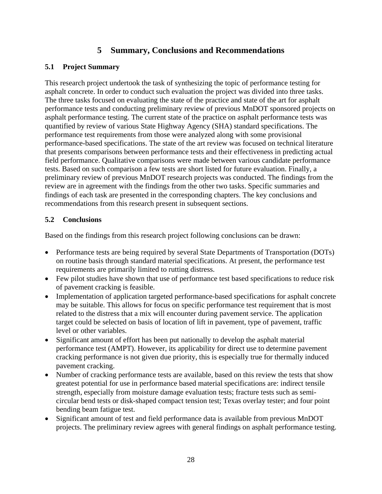# **5 Summary, Conclusions and Recommendations**

# **5.1 Project Summary**

This research project undertook the task of synthesizing the topic of performance testing for asphalt concrete. In order to conduct such evaluation the project was divided into three tasks. The three tasks focused on evaluating the state of the practice and state of the art for asphalt performance tests and conducting preliminary review of previous MnDOT sponsored projects on asphalt performance testing. The current state of the practice on asphalt performance tests was quantified by review of various State Highway Agency (SHA) standard specifications. The performance test requirements from those were analyzed along with some provisional performance-based specifications. The state of the art review was focused on technical literature that presents comparisons between performance tests and their effectiveness in predicting actual field performance. Qualitative comparisons were made between various candidate performance tests. Based on such comparison a few tests are short listed for future evaluation. Finally, a preliminary review of previous MnDOT research projects was conducted. The findings from the review are in agreement with the findings from the other two tasks. Specific summaries and findings of each task are presented in the corresponding chapters. The key conclusions and recommendations from this research present in subsequent sections.

# **5.2 Conclusions**

Based on the findings from this research project following conclusions can be drawn:

- Performance tests are being required by several State Departments of Transportation (DOTs) on routine basis through standard material specifications. At present, the performance test requirements are primarily limited to rutting distress.
- Few pilot studies have shown that use of performance test based specifications to reduce risk of pavement cracking is feasible.
- Implementation of application targeted performance-based specifications for asphalt concrete may be suitable. This allows for focus on specific performance test requirement that is most related to the distress that a mix will encounter during pavement service. The application target could be selected on basis of location of lift in pavement, type of pavement, traffic level or other variables.
- Significant amount of effort has been put nationally to develop the asphalt material performance test (AMPT). However, its applicability for direct use to determine pavement cracking performance is not given due priority, this is especially true for thermally induced pavement cracking.
- Number of cracking performance tests are available, based on this review the tests that show greatest potential for use in performance based material specifications are: indirect tensile strength, especially from moisture damage evaluation tests; fracture tests such as semicircular bend tests or disk-shaped compact tension test; Texas overlay tester; and four point bending beam fatigue test.
- Significant amount of test and field performance data is available from previous MnDOT projects. The preliminary review agrees with general findings on asphalt performance testing.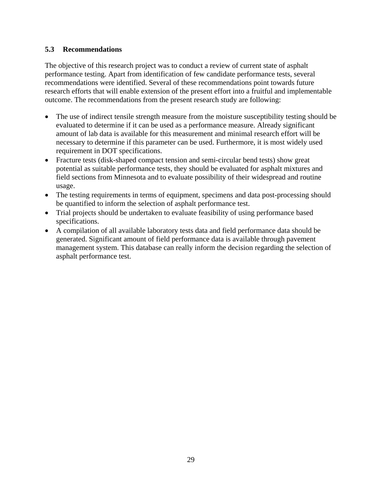# **5.3 Recommendations**

The objective of this research project was to conduct a review of current state of asphalt performance testing. Apart from identification of few candidate performance tests, several recommendations were identified. Several of these recommendations point towards future research efforts that will enable extension of the present effort into a fruitful and implementable outcome. The recommendations from the present research study are following:

- The use of indirect tensile strength measure from the moisture susceptibility testing should be evaluated to determine if it can be used as a performance measure. Already significant amount of lab data is available for this measurement and minimal research effort will be necessary to determine if this parameter can be used. Furthermore, it is most widely used requirement in DOT specifications.
- Fracture tests (disk-shaped compact tension and semi-circular bend tests) show great potential as suitable performance tests, they should be evaluated for asphalt mixtures and field sections from Minnesota and to evaluate possibility of their widespread and routine usage.
- The testing requirements in terms of equipment, specimens and data post-processing should be quantified to inform the selection of asphalt performance test.
- Trial projects should be undertaken to evaluate feasibility of using performance based specifications.
- A compilation of all available laboratory tests data and field performance data should be generated. Significant amount of field performance data is available through pavement management system. This database can really inform the decision regarding the selection of asphalt performance test.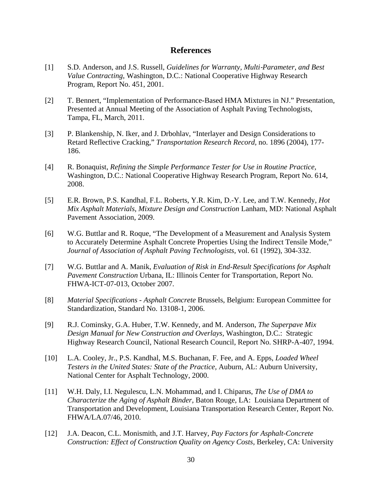# **References**

- [1] S.D. Anderson, and J.S. Russell, *Guidelines for Warranty, Multi*‐*Parameter, and Best Value Contracting*, Washington, D.C.: National Cooperative Highway Research Program, Report No. 451, 2001.
- [2] T. Bennert, "Implementation of Performance-Based HMA Mixtures in NJ." Presentation, Presented at Annual Meeting of the Association of Asphalt Paving Technologists, Tampa, FL, March, 2011.
- [3] P. Blankenship, N. Iker, and J. Drbohlav, "Interlayer and Design Considerations to Retard Reflective Cracking," *Transportation Research Record,* no. 1896 (2004), 177- 186.
- [4] R. Bonaquist, *Refining the Simple Performance Tester for Use in Routine Practice,*  Washington, D.C.: National Cooperative Highway Research Program, Report No. 614, 2008.
- [5] E.R. Brown, P.S. Kandhal, F.L. Roberts, Y.R. Kim, D.-Y. Lee, and T.W. Kennedy, *Hot Mix Asphalt Materials, Mixture Design and Construction* Lanham, MD: National Asphalt Pavement Association, 2009.
- [6] W.G. Buttlar and R. Roque, "The Development of a Measurement and Analysis System to Accurately Determine Asphalt Concrete Properties Using the Indirect Tensile Mode," *Journal of Association of Asphalt Paving Technologists,* vol. 61 (1992), 304-332.
- [7] W.G. Buttlar and A. Manik, *Evaluation of Risk in End-Result Specifications for Asphalt Pavement Construction* Urbana, IL: Illinois Center for Transportation, Report No. FHWA-ICT-07-013, October 2007.
- [8] *Material Specifications Asphalt Concrete* Brussels, Belgium: European Committee for Standardization, Standard No. 13108-1, 2006.
- [9] R.J. Cominsky, G.A. Huber, T.W. Kennedy, and M. Anderson, *The Superpave Mix Design Manual for New Construction and Overlays,* Washington, D.C.: Strategic Highway Research Council, National Research Council, Report No. SHRP-A-407, 1994.
- [10] L.A. Cooley, Jr., P.S. Kandhal, M.S. Buchanan, F. Fee, and A. Epps, *Loaded Wheel Testers in the United States: State of the Practice,* Auburn, AL: Auburn University, National Center for Asphalt Technology, 2000.
- [11] W.H. Daly, I.I. Negulescu, L.N. Mohammad, and I. Chiparus, *The Use of DMA to Characterize the Aging of Asphalt Binder,* Baton Rouge, LA: Louisiana Department of Transportation and Development, Louisiana Transportation Research Center, Report No. FHWA/LA.07/46, 2010.
- [12] J.A. Deacon, C.L. Monismith, and J.T. Harvey, *Pay Factors for Asphalt-Concrete Construction: Effect of Construction Quality on Agency Costs,* Berkeley, CA: University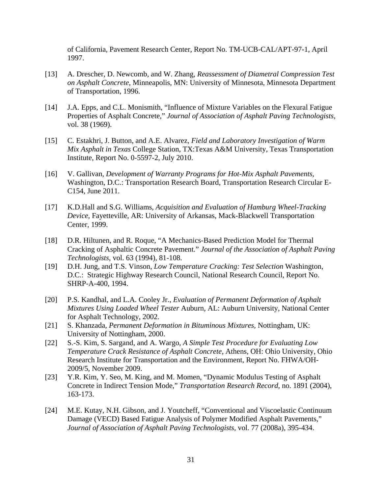of California, Pavement Research Center, Report No. TM-UCB-CAL/APT-97-1, April 1997.

- [13] A. Drescher, D. Newcomb, and W. Zhang, *Reassessment of Diametral Compression Test on Asphalt Concrete,* Minneapolis, MN: University of Minnesota, Minnesota Department of Transportation, 1996.
- [14] J.A. Epps, and C.L. Monismith, "Influence of Mixture Variables on the Flexural Fatigue Properties of Asphalt Concrete," *Journal of Association of Asphalt Paving Technologists,* vol. 38 (1969).
- [15] C. Estakhri, J. Button, and A.E. Alvarez, *Field and Laboratory Investigation of Warm Mix Asphalt in Texas* College Station, TX:Texas A&M University, Texas Transportation Institute, Report No. 0-5597-2, July 2010.
- [16] V. Gallivan, *Development of Warranty Programs for Hot-Mix Asphalt Pavements,* Washington, D.C.: Transportation Research Board, Transportation Research Circular E-C154, June 2011.
- [17] K.D.Hall and S.G. Williams, *Acquisition and Evaluation of Hamburg Wheel-Tracking Device,* Fayetteville, AR: University of Arkansas, Mack-Blackwell Transportation Center, 1999.
- [18] D.R. Hiltunen, and R. Roque, "A Mechanics-Based Prediction Model for Thermal Cracking of Asphaltic Concrete Pavement." *Journal of the Association of Asphalt Paving Technologists*, vol. 63 (1994), 81-108.
- [19] D.H. Jung, and T.S. Vinson, *Low Temperature Cracking: Test Selection* Washington, D.C.: Strategic Highway Research Council, National Research Council, Report No. SHRP-A-400, 1994.
- [20] P.S. Kandhal, and L.A. Cooley Jr., *Evaluation of Permanent Deformation of Asphalt Mixtures Using Loaded Wheel Tester* Auburn, AL: Auburn University, National Center for Asphalt Technology, 2002.
- [21] S. Khanzada, *Permanent Deformation in Bituminous Mixtures,* Nottingham, UK: University of Nottingham, 2000.
- [22] S.-S. Kim, S. Sargand, and A. Wargo, *A Simple Test Procedure for Evaluating Low Temperature Crack Resistance of Asphalt Concrete,* Athens, OH: Ohio University, Ohio Research Institute for Transportation and the Environment, Report No. FHWA/OH-2009/5, November 2009.
- [23] Y.R. Kim, Y. Seo, M. King, and M. Momen, "Dynamic Modulus Testing of Asphalt Concrete in Indirect Tension Mode," *Transportation Research Record*, no. 1891 (2004), 163-173.
- [24] M.E. Kutay, N.H. Gibson, and J. Youtcheff, "Conventional and Viscoelastic Continuum Damage (VECD) Based Fatigue Analysis of Polymer Modified Asphalt Pavements," *Journal of Association of Asphalt Paving Technologists,* vol. 77 (2008a), 395-434.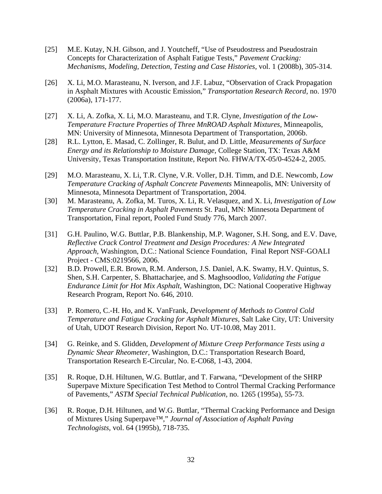- [25] M.E. Kutay, N.H. Gibson, and J. Youtcheff, "Use of Pseudostress and Pseudostrain Concepts for Characterization of Asphalt Fatigue Tests," *Pavement Cracking: Mechanisms, Modeling, Detection, Testing and Case Histories,* vol. 1 (2008b), 305-314.
- [26] X. Li, M.O. Marasteanu, N. Iverson, and J.F. Labuz, "Observation of Crack Propagation in Asphalt Mixtures with Acoustic Emission," *Transportation Research Record,* no. 1970 (2006a), 171-177.
- [27] X. Li, A. Zofka, X. Li, M.O. Marasteanu, and T.R. Clyne, *Investigation of the Low-Temperature Fracture Properties of Three MnROAD Asphalt Mixtures,* Minneapolis, MN: University of Minnesota, Minnesota Department of Transportation, 2006b.
- [28] R.L. Lytton, E. Masad, C. Zollinger, R. Bulut, and D. Little, *Measurements of Surface Energy and its Relationship to Moisture Damage,* College Station, TX: Texas A&M University, Texas Transportation Institute, Report No. FHWA/TX-05/0-4524-2, 2005.
- [29] M.O. Marasteanu, X. Li, T.R. Clyne, V.R. Voller, D.H. Timm, and D.E. Newcomb, *Low Temperature Cracking of Asphalt Concrete Pavements* Minneapolis, MN: University of Minnesota, Minnesota Department of Transportation, 2004.
- [30] M. Marasteanu, A. Zofka, M. Turos, X. Li, R. Velasquez, and X. Li, *Investigation of Low Temperature Cracking in Asphalt Pavements* St. Paul, MN: Minnesota Department of Transportation, Final report, Pooled Fund Study 776, March 2007.
- [31] G.H. Paulino, W.G. Buttlar, P.B. Blankenship, M.P. Wagoner, S.H. Song, and E.V. Dave, *Reflective Crack Control Treatment and Design Procedures: A New Integrated Approach,* Washington, D.C.: National Science Foundation, Final Report NSF-GOALI Project - CMS:0219566, 2006.
- [32] B.D. Prowell, E.R. Brown, R.M. Anderson, J.S. Daniel, A.K. Swamy, H.V. Quintus, S. Shen, S.H. Carpenter, S. Bhattacharjee, and S. Maghsoodloo, *Validating the Fatigue Endurance Limit for Hot Mix Asphalt,* Washington, DC: National Cooperative Highway Research Program, Report No. 646, 2010.
- [33] P. Romero, C.-H. Ho, and K. VanFrank, *Development of Methods to Control Cold Temperature and Fatigue Cracking for Asphalt Mixtures,* Salt Lake City, UT: University of Utah, UDOT Research Division, Report No. UT-10.08, May 2011.
- [34] G. Reinke, and S. Glidden, *Development of Mixture Creep Performance Tests using a Dynamic Shear Rheometer,* Washington, D.C.: Transportation Research Board, Transportation Research E-Circular, No. E-C068, 1-43, 2004.
- [35] R. Roque, D.H. Hiltunen, W.G. Buttlar, and T. Farwana, "Development of the SHRP Superpave Mixture Specification Test Method to Control Thermal Cracking Performance of Pavements," *ASTM Special Technical Publication,* no. 1265 (1995a), 55-73.
- [36] R. Roque, D.H. Hiltunen, and W.G. Buttlar, "Thermal Cracking Performance and Design of Mixtures Using Superpave™," *Journal of Association of Asphalt Paving Technologists,* vol. 64 (1995b), 718-735.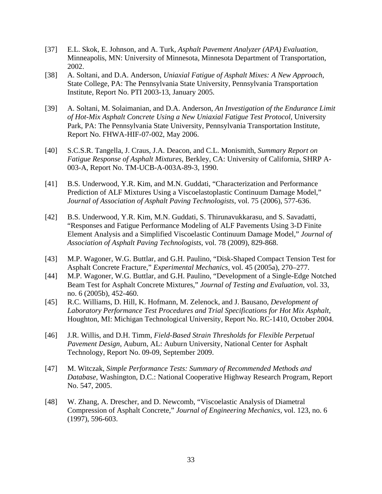- [37] E.L. Skok, E. Johnson, and A. Turk, *Asphalt Pavement Analyzer (APA) Evaluation,* Minneapolis, MN: University of Minnesota, Minnesota Department of Transportation, 2002.
- [38] A. Soltani, and D.A. Anderson, *Uniaxial Fatigue of Asphalt Mixes: A New Approach,*  State College, PA: The Pennsylvania State University, Pennsylvania Transportation Institute, Report No. PTI 2003-13, January 2005.
- [39] A. Soltani, M. Solaimanian, and D.A. Anderson, *An Investigation of the Endurance Limit of Hot-Mix Asphalt Concrete Using a New Uniaxial Fatigue Test Protocol,* University Park, PA: The Pennsylvania State University, Pennsylvania Transportation Institute, Report No. FHWA-HIF-07-002, May 2006.
- [40] S.C.S.R. Tangella, J. Craus, J.A. Deacon, and C.L. Monismith, *Summary Report on Fatigue Response of Asphalt Mixtures,* Berkley, CA: University of California, SHRP A-003-A, Report No. TM-UCB-A-003A-89-3, 1990.
- [41] B.S. Underwood, Y.R. Kim, and M.N. Guddati, "Characterization and Performance Prediction of ALF Mixtures Using a Viscoelastoplastic Continuum Damage Model," *Journal of Association of Asphalt Paving Technologists,* vol. 75 (2006), 577-636.
- [42] B.S. Underwood, Y.R. Kim, M.N. Guddati, S. Thirunavukkarasu, and S. Savadatti, "Responses and Fatigue Performance Modeling of ALF Pavements Using 3-D Finite Element Analysis and a Simplified Viscoelastic Continuum Damage Model," *Journal of Association of Asphalt Paving Technologists,* vol. 78 (2009), 829-868.
- [43] M.P. Wagoner, W.G. Buttlar, and G.H. Paulino, "Disk-Shaped Compact Tension Test for Asphalt Concrete Fracture," *Experimental Mechanics*, vol. 45 (2005a), 270–277.
- [44] M.P. Wagoner, W.G. Buttlar, and G.H. Paulino, "Development of a Single-Edge Notched Beam Test for Asphalt Concrete Mixtures," *Journal of Testing and Evaluation*, vol. 33, no. 6 (2005b), 452-460.
- [45] R.C. Williams, D. Hill, K. Hofmann, M. Zelenock, and J. Bausano, *Development of Laboratory Performance Test Procedures and Trial Specifications for Hot Mix Asphalt,* Houghton, MI: Michigan Technological University, Report No. RC-1410, October 2004.
- [46] J.R. Willis, and D.H. Timm, *Field-Based Strain Thresholds for Flexible Perpetual Pavement Design,* Auburn, AL: Auburn University, National Center for Asphalt Technology, Report No. 09-09, September 2009.
- [47] M. Witczak, *Simple Performance Tests: Summary of Recommended Methods and Database,* Washington, D.C.: National Cooperative Highway Research Program, Report No. 547, 2005.
- [48] W. Zhang, A. Drescher, and D. Newcomb, "Viscoelastic Analysis of Diametral Compression of Asphalt Concrete," *Journal of Engineering Mechanics,* vol. 123, no. 6 (1997), 596-603.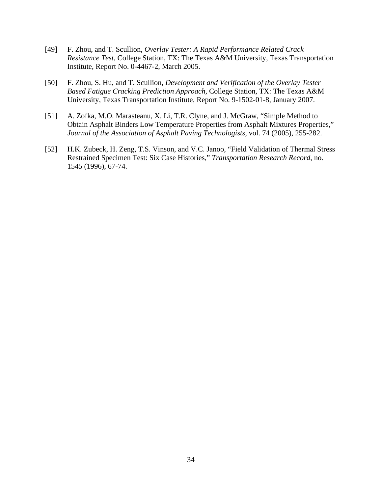- [49] F. Zhou, and T. Scullion, *Overlay Tester: A Rapid Performance Related Crack Resistance Test,* College Station, TX: The Texas A&M University, Texas Transportation Institute, Report No. 0-4467-2, March 2005.
- [50] F. Zhou, S. Hu, and T. Scullion, *Development and Verification of the Overlay Tester Based Fatigue Cracking Prediction Approach,* College Station, TX: The Texas A&M University, Texas Transportation Institute, Report No. 9-1502-01-8, January 2007.
- [51] A. Zofka, M.O. Marasteanu, X. Li, T.R. Clyne, and J. McGraw, "Simple Method to Obtain Asphalt Binders Low Temperature Properties from Asphalt Mixtures Properties," *Journal of the Association of Asphalt Paving Technologists*, vol. 74 (2005), 255-282.
- [52] H.K. Zubeck, H. Zeng, T.S. Vinson, and V.C. Janoo, "Field Validation of Thermal Stress Restrained Specimen Test: Six Case Histories," *Transportation Research Record*, no. 1545 (1996), 67-74.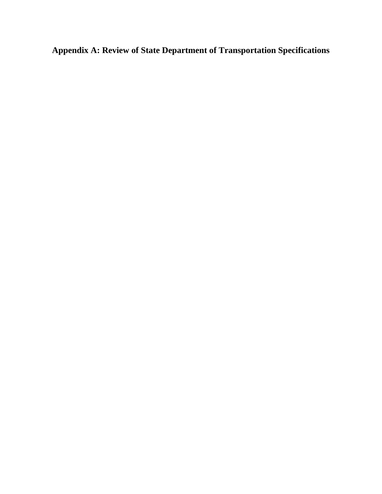**Appendix A: Review of State Department of Transportation Specifications**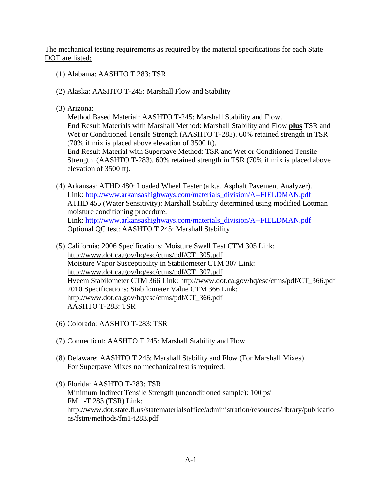The mechanical testing requirements as required by the material specifications for each State DOT are listed:

- (1) Alabama: AASHTO T 283: TSR
- (2) Alaska: AASHTO T-245: Marshall Flow and Stability
- (3) Arizona:

Method Based Material: AASHTO T-245: Marshall Stability and Flow. End Result Materials with Marshall Method: Marshall Stability and Flow **plus** TSR and End Result Material with Superpave Method: TSR and Wet or Conditioned Tensile Strength (AASHTO T-283). 60% retained strength in TSR (70% if mix is placed above elevation of 3500 ft). Wet or Conditioned Tensile Strength (AASHTO T-283). 60% retained strength in TSR (70% if mix is placed above elevation of 3500 ft).

- (4) Arkansas: ATHD 480: Loaded Wheel Tester (a.k.a. Asphalt Pavement Analyzer). Link: http://www.arkansashighways.com/materials\_division/A--FIELDMAN.pdf ATHD 455 (Water Sensitivity): Marshall Stability determined using modified Lottman moisture conditioning procedure. Link: [http://www.arkansashighways.com/materials\\_division/A--FIELDMAN.pdf](http://www.arkansashighways.com/materials_division/A--FIELDMAN.pdf) Optional QC test: AASHTO T 245: Marshall Stability
- (5) California: 2006 Specifications: Moisture Swell Test CTM 305 Link: [http://www.dot.ca.gov/hq/esc/ctms/pdf/CT\\_305.pdf](http://www.dot.ca.gov/hq/esc/ctms/pdf/CT_305.pdf) Moisture Vapor Susceptibility in Stabilometer CTM 307 Link: [http://www.dot.ca.gov/hq/esc/ctms/pdf/CT\\_307.pdf](http://www.dot.ca.gov/hq/esc/ctms/pdf/CT_307.pdf) Hveem Stabilometer CTM 366 Link: [http://www.dot.ca.gov/hq/esc/ctms/pdf/CT\\_366.pdf](http://www.dot.ca.gov/hq/esc/ctms/pdf/CT_366.pdf)  2010 Specifications: Stabilometer Value CTM 366 Link: AASHTO T-283: TSR [http://www.dot.ca.gov/hq/esc/ctms/pdf/CT\\_366.pdf](http://www.dot.ca.gov/hq/esc/ctms/pdf/CT_366.pdf)
- (6) Colorado: AASHTO T-283: TSR
- (7) Connecticut: AASHTO T 245: Marshall Stability and Flow
- (8) Delaware: AASHTO T 245: Marshall Stability and Flow (For Marshall Mixes) For Superpave Mixes no mechanical test is required.
- (9) Florida: AASHTO T-283: TSR. Minimum Indirect Tensile Strength (unconditioned sample): 100 psi FM 1-T 283 (TSR) Link: [http://www.dot.state.fl.us/statematerialsoffice/administration/resources/library/publicatio](http://www.dot.state.fl.us/statematerialsoffice/administration/resources/library/publications/fstm/methods/fm1-t283.pdf) [ns/fstm/methods/fm1-t283.pdf](http://www.dot.state.fl.us/statematerialsoffice/administration/resources/library/publications/fstm/methods/fm1-t283.pdf)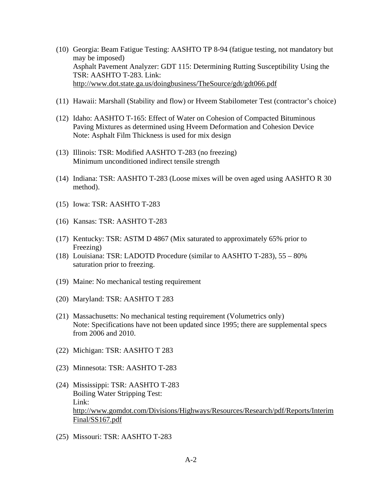- (10) Georgia: Beam Fatigue Testing: AASHTO TP 8-94 (fatigue testing, not mandatory but may be imposed) Asphalt Pavement Analyzer: GDT 115: Determining Rutting Susceptibility Using the TSR: AASHTO T-283. Link: <http://www.dot.state.ga.us/doingbusiness/TheSource/gdt/gdt066.pdf>
- (11) Hawaii: Marshall (Stability and flow) or Hveem Stabilometer Test (contractor's choice)
- (12) Idaho: AASHTO T-165: Effect of Water on Cohesion of Compacted Bituminous Paving Mixtures as determined using Hveem Deformation and Cohesion Device Note: Asphalt Film Thickness is used for mix design
- (13) Illinois: TSR: Modified AASHTO T-283 (no freezing) Minimum unconditioned indirect tensile strength
- (14) Indiana: TSR: AASHTO T-283 (Loose mixes will be oven aged using AASHTO R 30 method).
- (15) Iowa: TSR: AASHTO T-283
- (16) Kansas: TSR: AASHTO T-283
- (17) Kentucky: TSR: ASTM D 4867 (Mix saturated to approximately 65% prior to Freezing)
- (18) Louisiana: TSR: LADOTD Procedure (similar to AASHTO T-283), 55 80% saturation prior to freezing.
- (19) Maine: No mechanical testing requirement
- (20) Maryland: TSR: AASHTO T 283
- (21) Massachusetts: No mechanical testing requirement (Volumetrics only) Note: Specifications have not been updated since 1995; there are supplemental specs from 2006 and 2010.
- (22) Michigan: TSR: AASHTO T 283
- (23) Minnesota: TSR: AASHTO T-283
- (24) Mississippi: TSR: AASHTO T-283 Boiling Water Stripping Test: Link: [http://www.gomdot.com/Divisions/Highways/Resources/Research/pdf/Reports/Interim](http://www.gomdot.com/Divisions/Highways/Resources/Research/pdf/Reports/InterimFinal/SS167.pdf) [Final/SS167.pdf](http://www.gomdot.com/Divisions/Highways/Resources/Research/pdf/Reports/InterimFinal/SS167.pdf)
- (25) Missouri: TSR: AASHTO T-283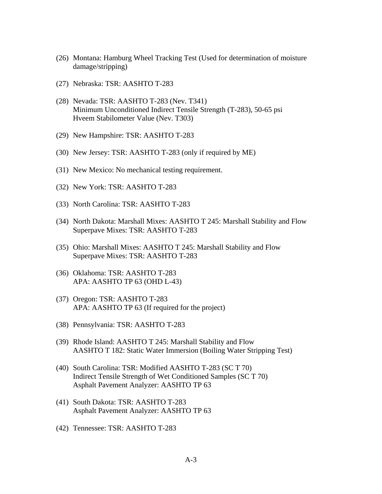- (26) Montana: Hamburg Wheel Tracking Test (Used for determination of moisture damage/stripping)
- (27) Nebraska: TSR: AASHTO T-283
- (28) Nevada: TSR: AASHTO T-283 (Nev. T341) Minimum Unconditioned Indirect Tensile Strength (T-283), 50-65 psi Hveem Stabilometer Value (Nev. T303)
- (29) New Hampshire: TSR: AASHTO T-283
- (30) New Jersey: TSR: AASHTO T-283 (only if required by ME)
- (31) New Mexico: No mechanical testing requirement.
- (32) New York: TSR: AASHTO T-283
- (33) North Carolina: TSR: AASHTO T-283
- (34) North Dakota: Marshall Mixes: AASHTO T 245: Marshall Stability and Flow Superpave Mixes: TSR: AASHTO T-283
- (35) Ohio: Marshall Mixes: AASHTO T 245: Marshall Stability and Flow Superpave Mixes: TSR: AASHTO T-283
- (36) Oklahoma: TSR: AASHTO T-283 APA: AASHTO TP 63 (OHD L-43)
- (37) Oregon: TSR: AASHTO T-283 APA: AASHTO TP 63 (If required for the project)
- (38) Pennsylvania: TSR: AASHTO T-283
- (39) Rhode Island: AASHTO T 245: Marshall Stability and Flow AASHTO T 182: Static Water Immersion (Boiling Water Stripping Test)
- (40) South Carolina: TSR: Modified AASHTO T-283 (SC T 70) Indirect Tensile Strength of Wet Conditioned Samples (SC T 70) Asphalt Pavement Analyzer: AASHTO TP 63
- (41) South Dakota: TSR: AASHTO T-283 Asphalt Pavement Analyzer: AASHTO TP 63
- (42) Tennessee: TSR: AASHTO T-283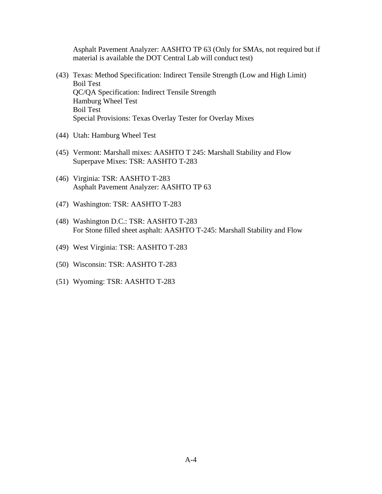Asphalt Pavement Analyzer: AASHTO TP 63 (Only for SMAs, not required but if material is available the DOT Central Lab will conduct test)

- (43) Texas: Method Specification: Indirect Tensile Strength (Low and High Limit) Boil Test QC/QA Specification: Indirect Tensile Strength Hamburg Wheel Test Boil Test Special Provisions: Texas Overlay Tester for Overlay Mixes
- (44) Utah: Hamburg Wheel Test
- (45) Vermont: Marshall mixes: AASHTO T 245: Marshall Stability and Flow Superpave Mixes: TSR: AASHTO T-283
- (46) Virginia: TSR: AASHTO T-283 Asphalt Pavement Analyzer: AASHTO TP 63
- (47) Washington: TSR: AASHTO T-283
- (48) Washington D.C.: TSR: AASHTO T-283 For Stone filled sheet asphalt: AASHTO T-245: Marshall Stability and Flow
- (49) West Virginia: TSR: AASHTO T-283
- (50) Wisconsin: TSR: AASHTO T-283
- (51) Wyoming: TSR: AASHTO T-283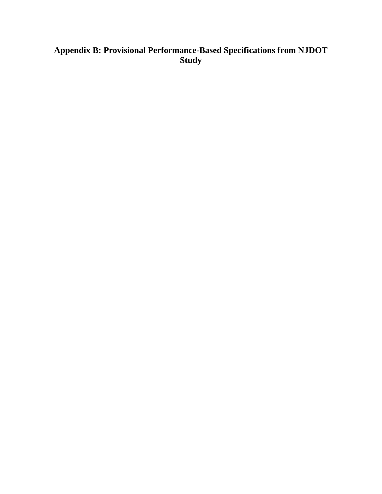# **Appendix B: Provisional Performance-Based Specifications from NJDOT Study**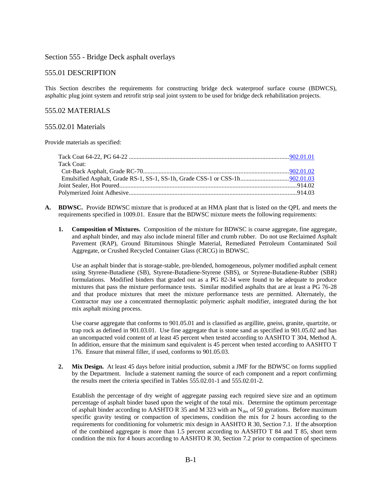### Section 555 - Bridge Deck asphalt overlays

### 555.01 DESCRIPTION

This Section describes the requirements for constructing bridge deck waterproof surface course (BDWCS), asphaltic plug joint system and retrofit strip seal joint system to be used for bridge deck rehabilitation projects.

#### 555.02 MATERIALS

#### 555.02.01 Materials

Provide materials as specified:

| Tack Coat: |  |
|------------|--|
|            |  |
|            |  |
|            |  |
|            |  |

- **A. BDWSC.** Provide BDWSC mixture that is produced at an HMA plant that is listed on the QPL and meets the requirements specified in 1009.01. Ensure that the BDWSC mixture meets the following requirements:
	- **1. Composition of Mixtures.** Composition of the mixture for BDWSC is coarse aggregate, fine aggregate, and asphalt binder, and may also include mineral filler and crumb rubber. Do not use Reclaimed Asphalt Pavement (RAP), Ground Bituminous Shingle Material, Remediated Petroleum Contaminated Soil Aggregate, or Crushed Recycled Container Glass (CRCG) in BDWSC.

Use an asphalt binder that is storage-stable, pre-blended, homogeneous, polymer modified asphalt cement using Styrene-Butadiene (SB), Styrene-Butadiene-Styrene (SBS), or Styrene-Butadiene-Rubber (SBR) formulations. Modified binders that graded out as a PG 82-34 were found to be adequate to produce mixtures that pass the mixture performance tests. Similar modified asphalts that are at least a PG 76-28 and that produce mixtures that meet the mixture performance tests are permitted. Alternately, the Contractor may use a concentrated thermoplastic polymeric asphalt modifier, integrated during the hot mix asphalt mixing process.

Use coarse aggregate that conforms to 901.05.01 and is classified as argillite, gneiss, granite, quartzite, or trap rock as defined in 901.03.01. Use fine aggregate that is stone sand as specified in 901.05.02 and has an uncompacted void content of at least 45 percent when tested according to AASHTO T 304, Method A. In addition, ensure that the minimum sand equivalent is 45 percent when tested according to AASHTO T 176. Ensure that mineral filler, if used, conforms to 901.05.03.

**2. Mix Design.** At least 45 days before initial production, submit a JMF for the BDWSC on forms supplied by the Department. Include a statement naming the source of each component and a report confirming the results meet the criteria specified in Tables 555.02.01-1 and 555.02.01-2.

Establish the percentage of dry weight of aggregate passing each required sieve size and an optimum percentage of asphalt binder based upon the weight of the total mix. Determine the optimum percentage of asphalt binder according to AASHTO R 35 and M 323 with an  $N_{\text{des}}$  of 50 gyrations. Before maximum specific gravity testing or compaction of specimens, condition the mix for 2 hours according to the requirements for conditioning for volumetric mix design in AASHTO R 30, Section 7.1. If the absorption of the combined aggregate is more than 1.5 percent according to AASHTO T 84 and T 85, short term condition the mix for 4 hours according to AASHTO R 30, Section 7.2 prior to compaction of specimens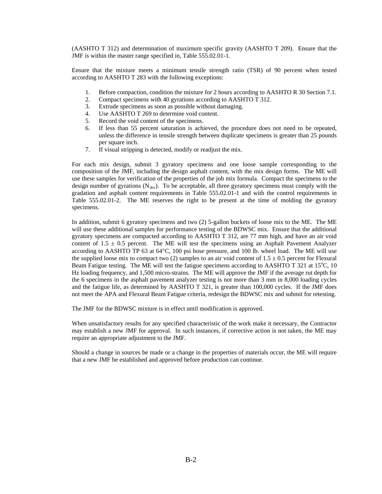(AASHTO T 312) and determination of maximum specific gravity (AASHTO T 209). Ensure that the JMF is within the master range specified in, Table 555.02.01-1.

Ensure that the mixture meets a minimum tensile strength ratio (TSR) of 90 percent when tested according to AASHTO T 283 with the following exceptions:

- 1. Before compaction, condition the mixture for 2 hours according to AASHTO R 30 Section 7.1.
- 2. Compact specimens with 40 gyrations according to AASHTO T 312.
- 3. Extrude specimens as soon as possible without damaging.
- 4. Use AASHTO T 269 to determine void content.
- 5. Record the void content of the specimens.
- 6. If less than 55 percent saturation is achieved, the procedure does not need to be repeated, unless the difference in tensile strength between duplicate specimens is greater than 25 pounds per square inch.
- 7. If visual stripping is detected, modify or readjust the mix.

For each mix design, submit 3 gyratory specimens and one loose sample corresponding to the composition of the JMF, including the design asphalt content, with the mix design forms. The ME will use these samples for verification of the properties of the job mix formula. Compact the specimens to the design number of gyrations  $(N_{des})$ . To be acceptable, all three gyratory specimens must comply with the gradation and asphalt content requirements in Table 555.02.01-1 and with the control requirements in Table 555.02.01-2. The ME reserves the right to be present at the time of molding the gyratory specimens.

In addition, submit 6 gyratory specimens and two (2) 5-gallon buckets of loose mix to the ME. The ME will use these additional samples for performance testing of the BDWSC mix. Ensure that the additional gyratory specimens are compacted according to AASHTO T 312, are 77 mm high, and have an air void content of  $1.5 \pm 0.5$  percent. The ME will test the specimens using an Asphalt Pavement Analyzer according to AASHTO TP 63 at 64°C, 100 psi hose pressure, and 100 lb. wheel load. The ME will use the supplied loose mix to compact two (2) samples to an air void content of  $1.5 \pm 0.5$  percent for Flexural Beam Fatigue testing. The ME will test the fatigue specimens according to AASHTO T 321 at 15°C, 10 Hz loading frequency, and 1,500 micro-strains. The ME will approve the JMF if the average rut depth for the 6 specimens in the asphalt pavement analyzer testing is not more than 3 mm in 8,000 loading cycles and the fatigue life, as determined by AASHTO T 321, is greater than 100,000 cycles. If the JMF does not meet the APA and Flexural Beam Fatigue criteria, redesign the BDWSC mix and submit for retesting.

The JMF for the BDWSC mixture is in effect until modification is approved.

When unsatisfactory results for any specified characteristic of the work make it necessary, the Contractor may establish a new JMF for approval. In such instances, if corrective action is not taken, the ME may require an appropriate adjustment to the JMF.

Should a change in sources be made or a change in the properties of materials occur, the ME will require that a new JMF be established and approved before production can continue.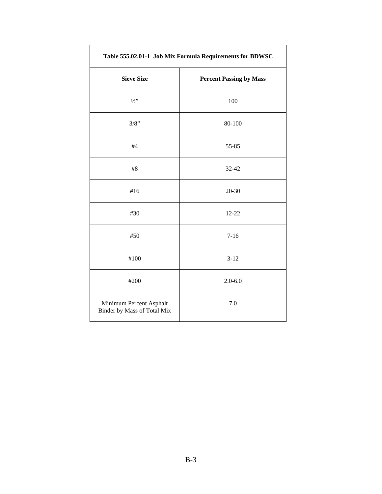| Table 555.02.01-1 Job Mix Formula Requirements for BDWSC |                                |  |
|----------------------------------------------------------|--------------------------------|--|
| <b>Sieve Size</b>                                        | <b>Percent Passing by Mass</b> |  |
| $\frac{1}{2}$                                            | 100                            |  |
| 3/8"                                                     | 80-100                         |  |
| #4                                                       | 55-85                          |  |
| $\#8$                                                    | 32-42                          |  |
| #16                                                      | 20-30                          |  |
| #30                                                      | 12-22                          |  |
| #50                                                      | $7 - 16$                       |  |
| #100                                                     | $3 - 12$                       |  |
| #200                                                     | $2.0 - 6.0$                    |  |
| Minimum Percent Asphalt<br>Binder by Mass of Total Mix   | 7.0                            |  |

٦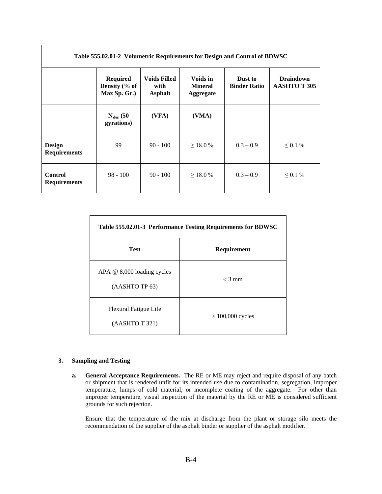| Table 555.02.01-2 Volumetric Requirements for Design and Control of BDWSC |                                                  |                                               |                                                |                                |                                         |
|---------------------------------------------------------------------------|--------------------------------------------------|-----------------------------------------------|------------------------------------------------|--------------------------------|-----------------------------------------|
|                                                                           | <b>Required</b><br>Density (% of<br>Max Sp. Gr.) | <b>Voids Filled</b><br>with<br><b>Asphalt</b> | Voids in<br><b>Mineral</b><br><b>Aggregate</b> | Dust to<br><b>Binder Ratio</b> | <b>Draindown</b><br><b>AASHTO T 305</b> |
|                                                                           | $N_{des}$ (50<br>gyrations)                      | (VFA)                                         | (VMA)                                          |                                |                                         |
| <b>Design</b><br><b>Requirements</b>                                      | 99                                               | $90 - 100$                                    | $>18.0\%$                                      | $0.3 - 0.9$                    | $\leq 0.1 \%$                           |
| <b>Control</b><br><b>Requirements</b>                                     | $98 - 100$                                       | $90 - 100$                                    | $>18.0\%$                                      | $0.3 - 0.9$                    | $0.1\%$                                 |

| Table 555.02.01-3 Performance Testing Requirements for BDWSC   |                    |  |  |
|----------------------------------------------------------------|--------------------|--|--|
| Test<br>Requirement                                            |                    |  |  |
| $APA \n\textcircled{a} 8,000$ loading cycles<br>(AASHTO TP 63) | $<$ 3 mm           |  |  |
| Flexural Fatigue Life<br>(AASHTO T 321)                        | $> 100,000$ cycles |  |  |

#### **3. Sampling and Testing**

**a. General Acceptance Requirements.** The RE or ME may reject and require disposal of any batch or shipment that is rendered unfit for its intended use due to contamination, segregation, improper temperature, lumps of cold material, or incomplete coating of the aggregate. For other than improper temperature, visual inspection of the material by the RE or ME is considered sufficient grounds for such rejection.

Ensure that the temperature of the mix at discharge from the plant or storage silo meets the recommendation of the supplier of the asphalt binder or supplier of the asphalt modifier.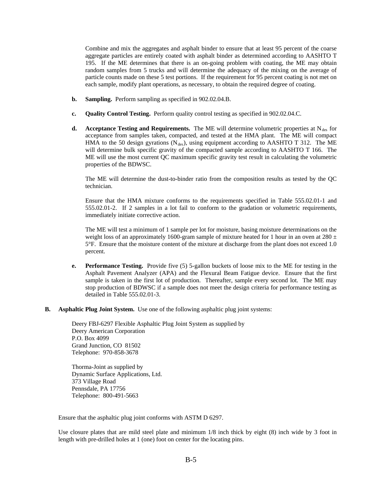Combine and mix the aggregates and asphalt binder to ensure that at least 95 percent of the coarse aggregate particles are entirely coated with asphalt binder as determined according to AASHTO T 195. If the ME determines that there is an on-going problem with coating, the ME may obtain random samples from 5 trucks and will determine the adequacy of the mixing on the average of particle counts made on these 5 test portions. If the requirement for 95 percent coating is not met on each sample, modify plant operations, as necessary, to obtain the required degree of coating.

- **b. Sampling.** Perform sampling as specified in 902.02.04.B.
- **c. Quality Control Testing.** Perform quality control testing as specified in 902.02.04.C.
- **d. Acceptance Testing and Requirements.** The ME will determine volumetric properties at  $N_{\text{des}}$  for acceptance from samples taken, compacted, and tested at the HMA plant. The ME will compact HMA to the 50 design gyrations ( $N_{des}$ ), using equipment according to AASHTO T 312. The ME will determine bulk specific gravity of the compacted sample according to AASHTO T 166. The ME will use the most current QC maximum specific gravity test result in calculating the volumetric properties of the BDWSC.

The ME will determine the dust-to-binder ratio from the composition results as tested by the QC technician.

Ensure that the HMA mixture conforms to the requirements specified in Table 555.02.01-1 and 555.02.01-2. If 2 samples in a lot fail to conform to the gradation or volumetric requirements, immediately initiate corrective action.

The ME will test a minimum of 1 sample per lot for moisture, basing moisture determinations on the weight loss of an approximately 1600-gram sample of mixture heated for 1 hour in an oven at 280  $\pm$ 5°F. Ensure that the moisture content of the mixture at discharge from the plant does not exceed 1.0 percent.

- **e. Performance Testing.** Provide five (5) 5-gallon buckets of loose mix to the ME for testing in the Asphalt Pavement Analyzer (APA) and the Flexural Beam Fatigue device. Ensure that the first sample is taken in the first lot of production. Thereafter, sample every second lot. The ME may stop production of BDWSC if a sample does not meet the design criteria for performance testing as detailed in Table 555.02.01-3.
- **B. Asphaltic Plug Joint System.** Use one of the following asphaltic plug joint systems:

Deery FBJ-6297 Flexible Asphaltic Plug Joint System as supplied by Deery American Corporation P.O. Box 4099 Grand Junction, CO 81502 Telephone: 970-858-3678

Thorma-Joint as supplied by Dynamic Surface Applications, Ltd. 373 Village Road Pennsdale, PA 17756 Telephone: 800-491-5663

Ensure that the asphaltic plug joint conforms with ASTM D 6297.

Use closure plates that are mild steel plate and minimum 1/8 inch thick by eight (8) inch wide by 3 foot in length with pre-drilled holes at 1 (one) foot on center for the locating pins.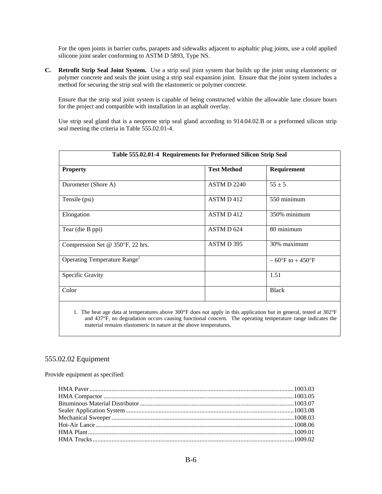For the open joints in barrier curbs, parapets and sidewalks adjacent to asphaltic plug joints, use a cold applied silicone joint sealer conforming to ASTM D 5893, Type NS.

**C. Retrofit Strip Seal Joint System.** Use a strip seal joint system that builds up the joint using elastomeric or polymer concrete and seals the joint using a strip seal expansion joint. Ensure that the joint system includes a method for securing the strip seal with the elastomeric or polymer concrete.

Ensure that the strip seal joint system is capable of being constructed within the allowable lane closure hours for the project and compatible with installation in an asphalt overlay.

Use strip seal gland that is a neoprene strip seal gland according to 914.04.02.B or a preformed silicon strip seal meeting the criteria in Table 555.02.01-4.

| Table 555.02.01-4 Requirements for Preformed Silicon Strip Seal |                    |                                     |  |
|-----------------------------------------------------------------|--------------------|-------------------------------------|--|
| <b>Property</b>                                                 | <b>Test Method</b> | Requirement                         |  |
| Durometer (Shore A)                                             | <b>ASTM D 2240</b> | $55 \pm 5$                          |  |
| Tensile (psi)                                                   | ASTM D 412         | 550 minimum                         |  |
| Elongation                                                      | ASTM D 412         | 350% minimum                        |  |
| Tear (die B ppi)                                                | ASTM D 624         | 80 minimum                          |  |
| Compression Set @ $350^{\circ}$ F, 22 hrs.                      | ASTMD 395          | 30% maximum                         |  |
| Operating Temperature Range <sup>1</sup>                        |                    | $-60^{\circ}$ F to $+450^{\circ}$ F |  |
| Specific Gravity                                                |                    | 1.51                                |  |
| Color                                                           |                    | <b>Black</b>                        |  |
|                                                                 |                    |                                     |  |

1. The heat age data at temperatures above 300°F does not apply in this application but in general, tested at 302°F and 437°F, no degradation occurs causing functional concern. The operating temperature range indicates the material remains elastomeric in nature at the above temperatures.

## 555.02.02 Equipment

Provide equipment as specified: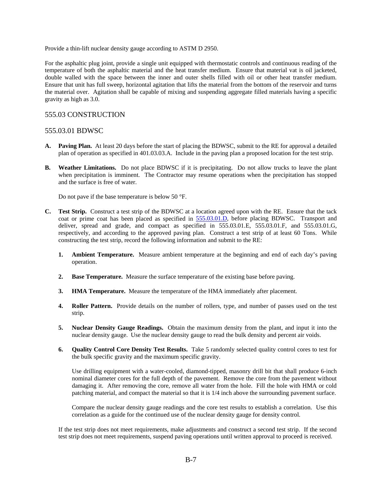Provide a thin-lift nuclear density gauge according to ASTM D 2950.

For the asphaltic plug joint, provide a single unit equipped with thermostatic controls and continuous reading of the temperature of both the asphaltic material and the heat transfer medium. Ensure that material vat is oil jacketed, double walled with the space between the inner and outer shells filled with oil or other heat transfer medium. Ensure that unit has full sweep, horizontal agitation that lifts the material from the bottom of the reservoir and turns the material over. Agitation shall be capable of mixing and suspending aggregate filled materials having a specific gravity as high as 3.0.

### 555.03 CONSTRUCTION

#### 555.03.01 BDWSC

- **A. Paving Plan.** At least 20 days before the start of placing the BDWSC, submit to the RE for approval a detailed plan of operation as specified in 401.03.03.A. Include in the paving plan a proposed location for the test strip.
- **B. Weather Limitations.** Do not place BDWSC if it is precipitating. Do not allow trucks to leave the plant when precipitation is imminent. The Contractor may resume operations when the precipitation has stopped and the surface is free of water.

Do not pave if the base temperature is below 50 °F.

- **C. Test Strip.** Construct a test strip of the BDWSC at a location agreed upon with the RE. Ensure that the tack coat or prime coat has been placed as specified in 555.03.01.D, before placing BDWSC. Transport and deliver, spread and grade, and compact as specified in 555.03.01.E, 555.03.01.F, and 555.03.01.G, respectively, and according to the approved paving plan. Construct a test strip of at least 60 Tons. While constructing the test strip, record the following information and submit to the RE:
	- **1. Ambient Temperature.** Measure ambient temperature at the beginning and end of each day's paving operation.
	- **2. Base Temperature.** Measure the surface temperature of the existing base before paving.
	- **3. HMA Temperature.** Measure the temperature of the HMA immediately after placement.
	- **4. Roller Pattern.** Provide details on the number of rollers, type, and number of passes used on the test strip.
	- **5. Nuclear Density Gauge Readings.** Obtain the maximum density from the plant, and input it into the nuclear density gauge. Use the nuclear density gauge to read the bulk density and percent air voids.
	- **6. Quality Control Core Density Test Results.** Take 5 randomly selected quality control cores to test for the bulk specific gravity and the maximum specific gravity.

Use drilling equipment with a water-cooled, diamond-tipped, masonry drill bit that shall produce 6-inch nominal diameter cores for the full depth of the pavement. Remove the core from the pavement without damaging it. After removing the core, remove all water from the hole. Fill the hole with HMA or cold patching material, and compact the material so that it is 1/4 inch above the surrounding pavement surface.

Compare the nuclear density gauge readings and the core test results to establish a correlation. Use this correlation as a guide for the continued use of the nuclear density gauge for density control.

If the test strip does not meet requirements, make adjustments and construct a second test strip. If the second test strip does not meet requirements, suspend paving operations until written approval to proceed is received.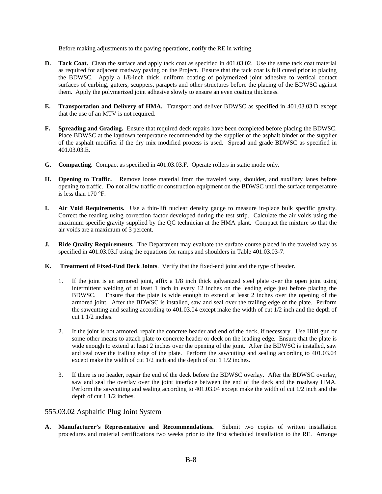Before making adjustments to the paving operations, notify the RE in writing.

- **D. Tack Coat.** Clean the surface and apply tack coat as specified in 401.03.02. Use the same tack coat material as required for adjacent roadway paving on the Project. Ensure that the tack coat is full cured prior to placing the BDWSC. Apply a 1/8-inch thick, uniform coating of polymerized joint adhesive to vertical contact surfaces of curbing, gutters, scuppers, parapets and other structures before the placing of the BDWSC against them. Apply the polymerized joint adhesive slowly to ensure an even coating thickness.
- **E. Transportation and Delivery of HMA.** Transport and deliver BDWSC as specified in 401.03.03.D except that the use of an MTV is not required.
- **F. Spreading and Grading.** Ensure that required deck repairs have been completed before placing the BDWSC. Place BDWSC at the laydown temperature recommended by the supplier of the asphalt binder or the supplier of the asphalt modifier if the dry mix modified process is used. Spread and grade BDWSC as specified in 401.03.03.E.
- **G. Compacting.** Compact as specified in 401.03.03.F. Operate rollers in static mode only.
- **H. Opening to Traffic.** Remove loose material from the traveled way, shoulder, and auxiliary lanes before opening to traffic. Do not allow traffic or construction equipment on the BDWSC until the surface temperature is less than 170 °F.
- **I. Air Void Requirements.** Use a thin-lift nuclear density gauge to measure in-place bulk specific gravity. Correct the reading using correction factor developed during the test strip. Calculate the air voids using the maximum specific gravity supplied by the QC technician at the HMA plant. Compact the mixture so that the air voids are a maximum of 3 percent.
- **J.** Ride Quality Requirements. The Department may evaluate the surface course placed in the traveled way as specified in 401.03.03.J using the equations for ramps and shoulders in Table 401.03.03-7.
- **K. Treatment of Fixed-End Deck Joints**. Verify that the fixed-end joint and the type of header.
	- 1. If the joint is an armored joint, affix a 1/8 inch thick galvanized steel plate over the open joint using intermittent welding of at least 1 inch in every 12 inches on the leading edge just before placing the BDWSC. Ensure that the plate is wide enough to extend at least 2 inches over the opening of the armored joint. After the BDWSC is installed, saw and seal over the trailing edge of the plate. Perform the sawcutting and sealing according to 401.03.04 except make the width of cut 1/2 inch and the depth of cut 1 1/2 inches.
	- 2. If the joint is not armored, repair the concrete header and end of the deck, if necessary. Use Hilti gun or some other means to attach plate to concrete header or deck on the leading edge. Ensure that the plate is wide enough to extend at least 2 inches over the opening of the joint. After the BDWSC is installed, saw and seal over the trailing edge of the plate. Perform the sawcutting and sealing according to 401.03.04 except make the width of cut 1/2 inch and the depth of cut 1 1/2 inches.
	- 3. If there is no header, repair the end of the deck before the BDWSC overlay. After the BDWSC overlay, saw and seal the overlay over the joint interface between the end of the deck and the roadway HMA. Perform the sawcutting and sealing according to 401.03.04 except make the width of cut 1/2 inch and the depth of cut 1 1/2 inches.

### 555.03.02 Asphaltic Plug Joint System

**A. Manufacturer's Representative and Recommendations.** Submit two copies of written installation procedures and material certifications two weeks prior to the first scheduled installation to the RE. Arrange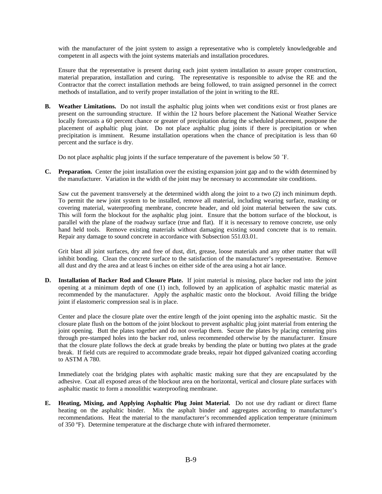with the manufacturer of the joint system to assign a representative who is completely knowledgeable and competent in all aspects with the joint systems materials and installation procedures.

Ensure that the representative is present during each joint system installation to assure proper construction, material preparation, installation and curing. The representative is responsible to advise the RE and the Contractor that the correct installation methods are being followed, to train assigned personnel in the correct methods of installation, and to verify proper installation of the joint in writing to the RE.

**B.** Weather Limitations. Do not install the asphaltic plug joints when wet conditions exist or frost planes are present on the surrounding structure. If within the 12 hours before placement the National Weather Service locally forecasts a 60 percent chance or greater of precipitation during the scheduled placement, postpone the placement of asphaltic plug joint. Do not place asphaltic plug joints if there is precipitation or when precipitation is imminent. Resume installation operations when the chance of precipitation is less than 60 percent and the surface is dry.

Do not place asphaltic plug joints if the surface temperature of the pavement is below 50 ˚F.

**C. Preparation.** Center the joint installation over the existing expansion joint gap and to the width determined by the manufacturer. Variation in the width of the joint may be necessary to accommodate site conditions.

Saw cut the pavement transversely at the determined width along the joint to a two (2) inch minimum depth. To permit the new joint system to be installed, remove all material, including wearing surface, masking or covering material, waterproofing membrane, concrete header, and old joint material between the saw cuts. This will form the blockout for the asphaltic plug joint. Ensure that the bottom surface of the blockout, is parallel with the plane of the roadway surface (true and flat). If it is necessary to remove concrete, use only hand held tools. Remove existing materials without damaging existing sound concrete that is to remain. Repair any damage to sound concrete in accordance with Subsection 551.03.01.

Grit blast all joint surfaces, dry and free of dust, dirt, grease, loose materials and any other matter that will inhibit bonding. Clean the concrete surface to the satisfaction of the manufacturer's representative. Remove all dust and dry the area and at least 6 inches on either side of the area using a hot air lance.

**D. Installation of Backer Rod and Closure Plate.** If joint material is missing, place backer rod into the joint opening at a minimum depth of one (1) inch, followed by an application of asphaltic mastic material as recommended by the manufacturer. Apply the asphaltic mastic onto the blockout. Avoid filling the bridge joint if elastomeric compression seal is in place.

Center and place the closure plate over the entire length of the joint opening into the asphaltic mastic. Sit the closure plate flush on the bottom of the joint blockout to prevent asphaltic plug joint material from entering the joint opening. Butt the plates together and do not overlap them. Secure the plates by placing centering pins through pre-stamped holes into the backer rod, unless recommended otherwise by the manufacturer. Ensure that the closure plate follows the deck at grade breaks by bending the plate or butting two plates at the grade break. If field cuts are required to accommodate grade breaks, repair hot dipped galvanized coating according to ASTM A 780.

Immediately coat the bridging plates with asphaltic mastic making sure that they are encapsulated by the adhesive. Coat all exposed areas of the blockout area on the horizontal, vertical and closure plate surfaces with asphaltic mastic to form a monolithic waterproofing membrane.

**E. Heating, Mixing, and Applying Asphaltic Plug Joint Material.** Do not use dry radiant or direct flame heating on the asphaltic binder. Mix the asphalt binder and aggregates according to manufacturer's recommendations. Heat the material to the manufacturer's recommended application temperature (minimum of 350 ºF). Determine temperature at the discharge chute with infrared thermometer.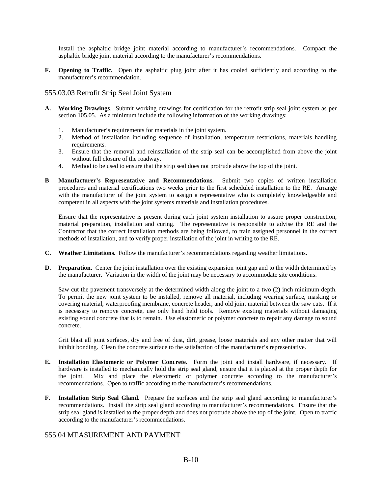Install the asphaltic bridge joint material according to manufacturer's recommendations. Compact the asphaltic bridge joint material according to the manufacturer's recommendations.

**F.** Opening to Traffic. Open the asphaltic plug joint after it has cooled sufficiently and according to the manufacturer's recommendation.

#### 555.03.03 Retrofit Strip Seal Joint System

- **A. Working Drawings**. Submit working drawings for certification for the retrofit strip seal joint system as per section 105.05. As a minimum include the following information of the working drawings:
	- 1. Manufacturer's requirements for materials in the joint system.
	- 2. Method of installation including sequence of installation, temperature restrictions, materials handling requirements.
	- 3. Ensure that the removal and reinstallation of the strip seal can be accomplished from above the joint without full closure of the roadway.
	- 4. Method to be used to ensure that the strip seal does not protrude above the top of the joint.
- **B Manufacturer's Representative and Recommendations.** Submit two copies of written installation procedures and material certifications two weeks prior to the first scheduled installation to the RE. Arrange with the manufacturer of the joint system to assign a representative who is completely knowledgeable and competent in all aspects with the joint systems materials and installation procedures.

Ensure that the representative is present during each joint system installation to assure proper construction, material preparation, installation and curing. The representative is responsible to advise the RE and the Contractor that the correct installation methods are being followed, to train assigned personnel in the correct methods of installation, and to verify proper installation of the joint in writing to the RE.

- **C. Weather Limitations.** Follow the manufacturer's recommendations regarding weather limitations.
- **D. Preparation.** Center the joint installation over the existing expansion joint gap and to the width determined by the manufacturer. Variation in the width of the joint may be necessary to accommodate site conditions.

Saw cut the pavement transversely at the determined width along the joint to a two (2) inch minimum depth. To permit the new joint system to be installed, remove all material, including wearing surface, masking or covering material, waterproofing membrane, concrete header, and old joint material between the saw cuts. If it is necessary to remove concrete, use only hand held tools. Remove existing materials without damaging existing sound concrete that is to remain. Use elastomeric or polymer concrete to repair any damage to sound concrete.

Grit blast all joint surfaces, dry and free of dust, dirt, grease, loose materials and any other matter that will inhibit bonding. Clean the concrete surface to the satisfaction of the manufacturer's representative.

- **E. Installation Elastomeric or Polymer Concrete.** Form the joint and install hardware, if necessary. If hardware is installed to mechanically hold the strip seal gland, ensure that it is placed at the proper depth for the joint. Mix and place the elastomeric or polymer concrete according to the manufacturer's recommendations. Open to traffic according to the manufacturer's recommendations.
- **F. Installation Strip Seal Gland.** Prepare the surfaces and the strip seal gland according to manufacturer's recommendations. Install the strip seal gland according to manufacturer's recommendations. Ensure that the strip seal gland is installed to the proper depth and does not protrude above the top of the joint. Open to traffic according to the manufacturer's recommendations.

## 555.04 MEASUREMENT AND PAYMENT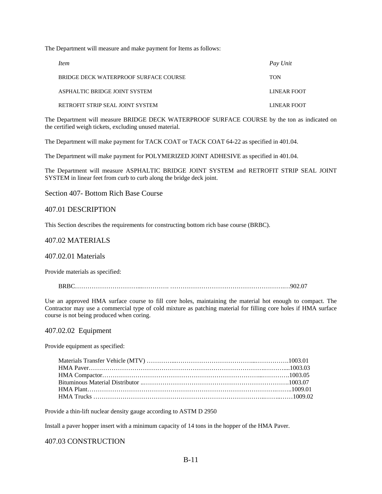The Department will measure and make payment for Items as follows:

| <i>Item</i>                           | Pay Unit    |
|---------------------------------------|-------------|
| BRIDGE DECK WATERPROOF SURFACE COURSE | <b>TON</b>  |
| ASPHALTIC BRIDGE JOINT SYSTEM         | LINEAR FOOT |
| RETROFIT STRIP SEAL JOINT SYSTEM      | LINEAR FOOT |

The Department will measure BRIDGE DECK WATERPROOF SURFACE COURSE by the ton as indicated on the certified weigh tickets, excluding unused material.

The Department will make payment for TACK COAT or TACK COAT 64-22 as specified in 401.04.

The Department will make payment for POLYMERIZED JOINT ADHESIVE as specified in 401.04.

The Department will measure ASPHALTIC BRIDGE JOINT SYSTEM and RETROFIT STRIP SEAL JOINT SYSTEM in linear feet from curb to curb along the bridge deck joint.

Section 407- Bottom Rich Base Course

### 407.01 DESCRIPTION

This Section describes the requirements for constructing bottom rich base course (BRBC).

## 407.02 MATERIALS

407.02.01 Materials

Provide materials as specified:

BRBC…………………………...…………. ……………………………………………….…902.07

Use an approved HMA surface course to fill core holes, maintaining the material hot enough to compact. The Contractor may use a commercial type of cold mixture as patching material for filling core holes if HMA surface course is not being produced when coring.

#### 407.02.02 Equipment

Provide equipment as specified:

Provide a thin-lift nuclear density gauge according to ASTM D 2950

Install a paver hopper insert with a minimum capacity of 14 tons in the hopper of the HMA Paver.

#### 407.03 CONSTRUCTION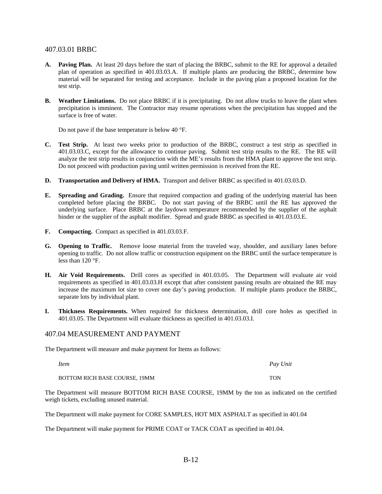### 407.03.01 BRBC

- **A. Paving Plan.** At least 20 days before the start of placing the BRBC, submit to the RE for approval a detailed plan of operation as specified in 401.03.03.A. If multiple plants are producing the BRBC, determine how material will be separated for testing and acceptance. Include in the paving plan a proposed location for the test strip.
- **B. Weather Limitations.** Do not place BRBC if it is precipitating. Do not allow trucks to leave the plant when precipitation is imminent. The Contractor may resume operations when the precipitation has stopped and the surface is free of water.

Do not pave if the base temperature is below 40 °F.

- **C. Test Strip.** At least two weeks prior to production of the BRBC, construct a test strip as specified in 401.03.03.C, except for the allowance to continue paving. Submit test strip results to the RE. The RE will analyze the test strip results in conjunction with the ME's results from the HMA plant to approve the test strip. Do not proceed with production paving until written permission is received from the RE.
- **D. Transportation and Delivery of HMA.** Transport and deliver BRBC as specified in 401.03.03.D.
- **E. Spreading and Grading.** Ensure that required compaction and grading of the underlying material has been completed before placing the BRBC. Do not start paving of the BRBC until the RE has approved the underlying surface. Place BRBC at the laydown temperature recommended by the supplier of the asphalt binder or the supplier of the asphalt modifier. Spread and grade BRBC as specified in 401.03.03.E.
- **F. Compacting.** Compact as specified in 401.03.03.F.
- **G. Opening to Traffic.** Remove loose material from the traveled way, shoulder, and auxiliary lanes before opening to traffic. Do not allow traffic or construction equipment on the BRBC until the surface temperature is less than 120 °F.
- **H. Air Void Requirements.** Drill cores as specified in 401.03.05. The Department will evaluate air void requirements as specified in 401.03.03.H except that after consistent passing results are obtained the RE may increase the maximum lot size to cover one day's paving production. If multiple plants produce the BRBC, separate lots by individual plant.
- **I. Thickness Requirements.** When required for thickness determination, drill core holes as specified in 401.03.05. The Department will evaluate thickness as specified in 401.03.03.I.

#### 407.04 MEASUREMENT AND PAYMENT

The Department will measure and make payment for Items as follows:

*Item Pay Unit*

BOTTOM RICH BASE COURSE, 19MM TON

The Department will measure BOTTOM RICH BASE COURSE, 19MM by the ton as indicated on the certified weigh tickets, excluding unused material.

The Department will make payment for CORE SAMPLES, HOT MIX ASPHALT as specified in 401.04

The Department will make payment for PRIME COAT or TACK COAT as specified in 401.04.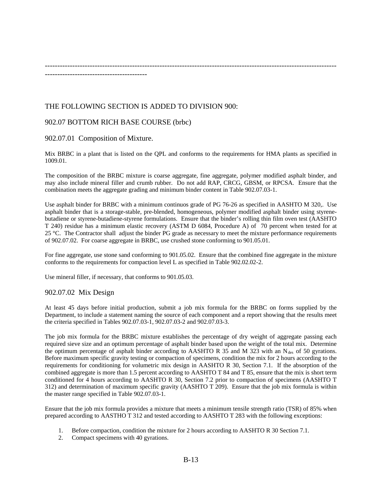--------------------------------------------------------------------------------------------------------------------- -----------------------------------------

# THE FOLLOWING SECTION IS ADDED TO DIVISION 900:

## 902.07 BOTTOM RICH BASE COURSE (brbc)

### 902.07.01 Composition of Mixture.

Mix BRBC in a plant that is listed on the QPL and conforms to the requirements for HMA plants as specified in 1009.01.

The composition of the BRBC mixture is coarse aggregate, fine aggregate, polymer modified asphalt binder, and may also include mineral filler and crumb rubber. Do not add RAP, CRCG, GBSM, or RPCSA. Ensure that the combination meets the aggregate grading and minimum binder content in Table 902.07.03-1.

Use asphalt binder for BRBC with a minimum continuos grade of PG 76-26 as specified in AASHTO M 320,. Use asphalt binder that is a storage-stable, pre-blended, homogeneous, polymer modified asphalt binder using styrenebutadiene or styrene-butadiene-styrene formulations. Ensure that the binder's rolling thin film oven test (AASHTO T 240) residue has a minimum elastic recovery (ASTM D 6084, Procedure A) of 70 percent when tested for at 25 °C. The Contractor shall adjust the binder PG grade as necessary to meet the mixture performance requirements of 902.07.02. For coarse aggregate in BRBC, use crushed stone conforming to 901.05.01.

For fine aggregate, use stone sand conforming to 901.05.02. Ensure that the combined fine aggregate in the mixture conforms to the requirements for compaction level L as specified in Table 902.02.02-2.

Use mineral filler, if necessary, that conforms to 901.05.03.

#### 902.07.02 Mix Design

At least 45 days before initial production, submit a job mix formula for the BRBC on forms supplied by the Department, to include a statement naming the source of each component and a report showing that the results meet the criteria specified in Tables 902.07.03-1, 902.07.03-2 and 902.07.03-3.

The job mix formula for the BRBC mixture establishes the percentage of dry weight of aggregate passing each required sieve size and an optimum percentage of asphalt binder based upon the weight of the total mix. Determine the optimum percentage of asphalt binder according to AASHTO R 35 and M 323 with an  $N_{des}$  of 50 gyrations. Before maximum specific gravity testing or compaction of specimens, condition the mix for 2 hours according to the requirements for conditioning for volumetric mix design in AASHTO R 30, Section 7.1. If the absorption of the combined aggregate is more than 1.5 percent according to AASHTO T 84 and T 85, ensure that the mix is short term conditioned for 4 hours according to AASHTO R 30, Section 7.2 prior to compaction of specimens (AASHTO T 312) and determination of maximum specific gravity (AASHTO T 209). Ensure that the job mix formula is within the master range specified in Table 902.07.03-1.

Ensure that the job mix formula provides a mixture that meets a minimum tensile strength ratio (TSR) of 85% when prepared according to AASTHO T 312 and tested according to AASHTO T 283 with the following exceptions:

- 1. Before compaction, condition the mixture for 2 hours according to AASHTO R 30 Section 7.1.
- 2. Compact specimens with 40 gyrations.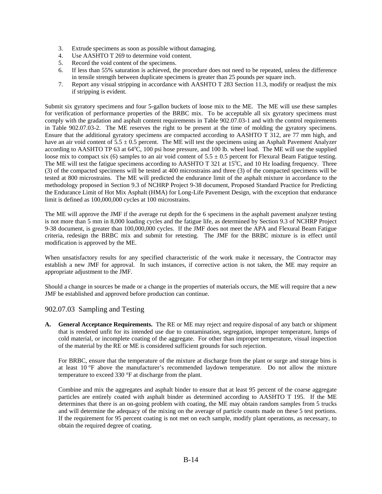- 3. Extrude specimens as soon as possible without damaging.
- 4. Use AASHTO T 269 to determine void content.
- 5. Record the void content of the specimens.
- 6. If less than 55% saturation is achieved, the procedure does not need to be repeated, unless the difference in tensile strength between duplicate specimens is greater than 25 pounds per square inch.
- 7. Report any visual stripping in accordance with AASHTO T 283 Section 11.3, modify or readjust the mix if stripping is evident.

Submit six gyratory specimens and four 5-gallon buckets of loose mix to the ME. The ME will use these samples for verification of performance properties of the BRBC mix. To be acceptable all six gyratory specimens must comply with the gradation and asphalt content requirements in Table 902.07.03-1 and with the control requirements in Table 902.07.03-2. The ME reserves the right to be present at the time of molding the gyratory specimens. Ensure that the additional gyratory specimens are compacted according to AASHTO T 312, are 77 mm high, and have an air void content of  $5.5 \pm 0.5$  percent. The ME will test the specimens using an Asphalt Pavement Analyzer according to AASHTO TP 63 at  $64^{\circ}$ C, 100 psi hose pressure, and 100 lb. wheel load. The ME will use the supplied loose mix to compact six (6) samples to an air void content of  $5.5 \pm 0.5$  percent for Flexural Beam Fatigue testing. The ME will test the fatigue specimens according to AASHTO T 321 at 15°C, and 10 Hz loading frequency. Three (3) of the compacted specimens will be tested at 400 microstrains and three (3) of the compacted specimens will be tested at 800 microstrains. The ME will predicted the endurance limit of the asphalt mixture in accordance to the methodology proposed in Section 9.3 of NCHRP Project 9-38 document, Proposed Standard Practice for Predicting the Endurance Limit of Hot Mix Asphalt (HMA) for Long-Life Pavement Design, with the exception that endurance limit is defined as 100,000,000 cycles at 100 microstrains.

The ME will approve the JMF if the average rut depth for the 6 specimens in the asphalt pavement analyzer testing is not more than 5 mm in 8,000 loading cycles and the fatigue life, as determined by Section 9.3 of NCHRP Project 9-38 document, is greater than 100,000,000 cycles. If the JMF does not meet the APA and Flexural Beam Fatigue criteria, redesign the BRBC mix and submit for retesting. The JMF for the BRBC mixture is in effect until modification is approved by the ME.

When unsatisfactory results for any specified characteristic of the work make it necessary, the Contractor may establish a new JMF for approval. In such instances, if corrective action is not taken, the ME may require an appropriate adjustment to the JMF.

Should a change in sources be made or a change in the properties of materials occurs, the ME will require that a new JMF be established and approved before production can continue.

## 902.07.03 Sampling and Testing

**A. General Acceptance Requirements.** The RE or ME may reject and require disposal of any batch or shipment that is rendered unfit for its intended use due to contamination, segregation, improper temperature, lumps of cold material, or incomplete coating of the aggregate. For other than improper temperature, visual inspection of the material by the RE or ME is considered sufficient grounds for such rejection.

For BRBC, ensure that the temperature of the mixture at discharge from the plant or surge and storage bins is at least 10 °F above the manufacturer's recommended laydown temperature. Do not allow the mixture temperature to exceed 330 °F at discharge from the plant.

Combine and mix the aggregates and asphalt binder to ensure that at least 95 percent of the coarse aggregate particles are entirely coated with asphalt binder as determined according to AASHTO T 195. If the ME determines that there is an on-going problem with coating, the ME may obtain random samples from 5 trucks and will determine the adequacy of the mixing on the average of particle counts made on these 5 test portions. If the requirement for 95 percent coating is not met on each sample, modify plant operations, as necessary, to obtain the required degree of coating.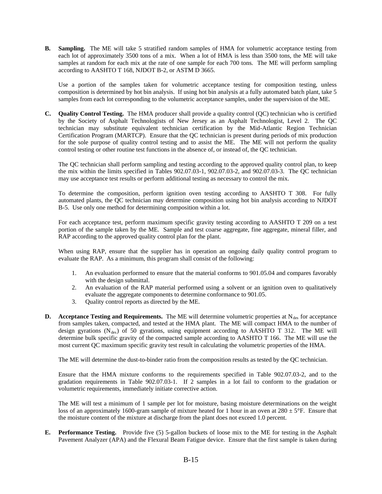**B. Sampling.** The ME will take 5 stratified random samples of HMA for volumetric acceptance testing from each lot of approximately 3500 tons of a mix. When a lot of HMA is less than 3500 tons, the ME will take samples at random for each mix at the rate of one sample for each 700 tons*.* The ME will perform sampling according to AASHTO T 168, NJDOT B-2, or ASTM D 3665.

Use a portion of the samples taken for volumetric acceptance testing for composition testing, unless composition is determined by hot bin analysis. If using hot bin analysis at a fully automated batch plant, take 5 samples from each lot corresponding to the volumetric acceptance samples, under the supervision of the ME.

**C. Quality Control Testing.** The HMA producer shall provide a quality control (QC) technician who is certified by the Society of Asphalt Technologists of New Jersey as an Asphalt Technologist, Level 2. The QC technician may substitute equivalent technician certification by the Mid-Atlantic Region Technician Certification Program (MARTCP). Ensure that the QC technician is present during periods of mix production for the sole purpose of quality control testing and to assist the ME. The ME will not perform the quality control testing or other routine test functions in the absence of, or instead of, the QC technician.

The QC technician shall perform sampling and testing according to the approved quality control plan, to keep the mix within the limits specified in Tables 902.07.03-1, 902.07.03-2, and 902.07.03-3. The QC technician may use acceptance test results or perform additional testing as necessary to control the mix.

To determine the composition, perform ignition oven testing according to AASHTO T 308. For fully automated plants, the QC technician may determine composition using hot bin analysis according to NJDOT B-5. Use only one method for determining composition within a lot.

For each acceptance test, perform maximum specific gravity testing according to AASHTO T 209 on a test portion of the sample taken by the ME. Sample and test coarse aggregate, fine aggregate, mineral filler, and RAP according to the approved quality control plan for the plant.

When using RAP, ensure that the supplier has in operation an ongoing daily quality control program to evaluate the RAP. As a minimum, this program shall consist of the following:

- 1. An evaluation performed to ensure that the material conforms to 901.05.04 and compares favorably with the design submittal.
- 2. An evaluation of the RAP material performed using a solvent or an ignition oven to qualitatively evaluate the aggregate components to determine conformance to 901.05.
- 3. Quality control reports as directed by the ME.
- **D.** Acceptance Testing and Requirements. The ME will determine volumetric properties at N<sub>des</sub> for acceptance from samples taken, compacted, and tested at the HMA plant. The ME will compact HMA to the number of design gyrations  $(N_{des})$  of 50 gyrations, using equipment according to AASHTO T 312. The ME will determine bulk specific gravity of the compacted sample according to AASHTO T 166. The ME will use the most current QC maximum specific gravity test result in calculating the volumetric properties of the HMA.

The ME will determine the dust-to-binder ratio from the composition results as tested by the QC technician.

Ensure that the HMA mixture conforms to the requirements specified in Table 902.07.03-2, and to the gradation requirements in Table 902.07.03-1. If 2 samples in a lot fail to conform to the gradation or volumetric requirements, immediately initiate corrective action.

The ME will test a minimum of 1 sample per lot for moisture, basing moisture determinations on the weight loss of an approximately 1600-gram sample of mixture heated for 1 hour in an oven at  $280 \pm 5^{\circ}$ F. Ensure that the moisture content of the mixture at discharge from the plant does not exceed 1.0 percent.

**E. Performance Testing.** Provide five (5) 5-gallon buckets of loose mix to the ME for testing in the Asphalt Pavement Analyzer (APA) and the Flexural Beam Fatigue device. Ensure that the first sample is taken during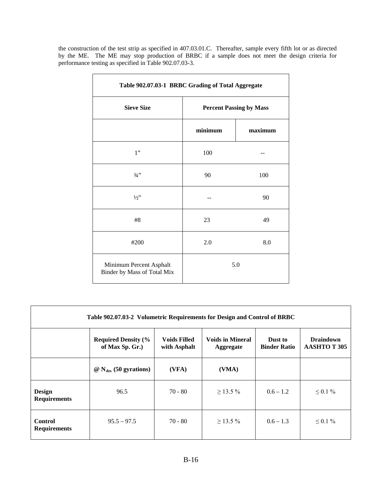the construction of the test strip as specified in 407.03.01.C. Thereafter, sample every fifth lot or as directed by the ME. The ME may stop production of BRBC if a sample does not meet the design criteria for performance testing as specified in Table 902.07.03-3.

| Table 902.07.03-1 BRBC Grading of Total Aggregate      |                                |         |  |  |
|--------------------------------------------------------|--------------------------------|---------|--|--|
| <b>Sieve Size</b>                                      | <b>Percent Passing by Mass</b> |         |  |  |
|                                                        | minimum                        | maximum |  |  |
| 1"                                                     | 100                            |         |  |  |
| $3/4$ "                                                | 90                             | 100     |  |  |
| $1/2$ "                                                |                                | 90      |  |  |
| #8                                                     | 23                             | 49      |  |  |
| #200                                                   | 2.0                            | 8.0     |  |  |
| Minimum Percent Asphalt<br>Binder by Mass of Total Mix | 5.0                            |         |  |  |

| Table 902.07.03-2 Volumetric Requirements for Design and Control of BRBC |                                               |                                     |                                             |                                |                                        |
|--------------------------------------------------------------------------|-----------------------------------------------|-------------------------------------|---------------------------------------------|--------------------------------|----------------------------------------|
|                                                                          | <b>Required Density (%</b><br>of Max Sp. Gr.) | <b>Voids Filled</b><br>with Asphalt | <b>Voids in Mineral</b><br><b>Aggregate</b> | Dust to<br><b>Binder Ratio</b> | <b>Draindown</b><br><b>AASHTOT 305</b> |
|                                                                          | $\omega$ N <sub>des</sub> (50 gyrations)      | (VFA)                               | (VMA)                                       |                                |                                        |
| <b>Design</b><br><b>Requirements</b>                                     | 96.5                                          | $70 - 80$                           | $\geq$ 13.5%                                | $0.6 - 1.2$                    | $\leq 0.1 \%$                          |
| <b>Control</b><br><b>Requirements</b>                                    | $95.5 - 97.5$                                 | $70 - 80$                           | $\geq$ 13.5%                                | $0.6 - 1.3$                    | $\leq 0.1 \%$                          |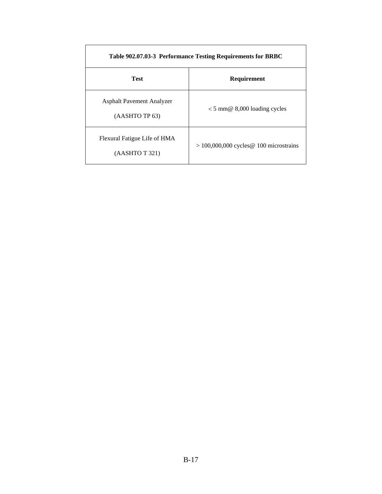| Table 902.07.03-3 Performance Testing Requirements for BRBC |                                           |  |  |
|-------------------------------------------------------------|-------------------------------------------|--|--|
| <b>Test</b>                                                 | Requirement                               |  |  |
| <b>Asphalt Pavement Analyzer</b><br>(AASHTO TP 63)          | $< 5$ mm@ 8,000 loading cycles            |  |  |
| Flexural Fatigue Life of HMA<br>(AASHTO T 321)              | $> 100,000,000$ cycles @ 100 microstrains |  |  |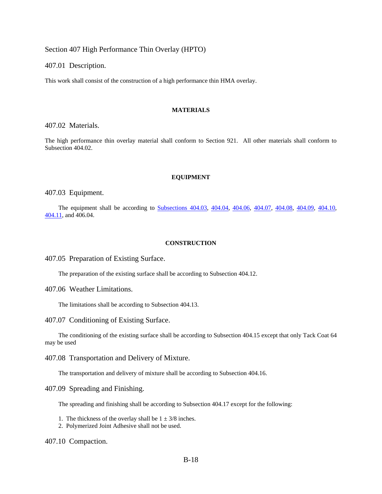Section 407 High Performance Thin Overlay (HPTO)

407.01 Description.

This work shall consist of the construction of a high performance thin HMA overlay.

#### **MATERIALS**

407.02 Materials.

The high performance thin overlay material shall conform to Section 921. All other materials shall conform to Subsection 404.02.

#### **EQUIPMENT**

407.03 Equipment.

The equipment shall be according to Subsections 404.03, 404.04, 404.06, 404.07, 404.08, 404.09, 404.10, 404.11, and 406.04.

#### **CONSTRUCTION**

407.05 Preparation of Existing Surface.

The preparation of the existing surface shall be according to Subsection 404.12.

407.06 Weather Limitations.

The limitations shall be according to Subsection 404.13.

407.07 Conditioning of Existing Surface.

The conditioning of the existing surface shall be according to Subsection 404.15 except that only Tack Coat 64 may be used

407.08 Transportation and Delivery of Mixture.

The transportation and delivery of mixture shall be according to Subsection 404.16.

407.09 Spreading and Finishing.

The spreading and finishing shall be according to Subsection 404.17 except for the following:

- 1. The thickness of the overlay shall be  $1 \pm 3/8$  inches.
- 2. Polymerized Joint Adhesive shall not be used.

407.10 Compaction.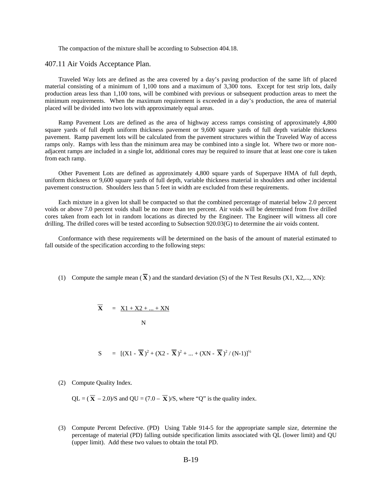The compaction of the mixture shall be according to Subsection 404.18.

#### 407.11 Air Voids Acceptance Plan.

Traveled Way lots are defined as the area covered by a day's paving production of the same lift of placed material consisting of a minimum of 1,100 tons and a maximum of 3,300 tons. Except for test strip lots, daily production areas less than 1,100 tons, will be combined with previous or subsequent production areas to meet the minimum requirements. When the maximum requirement is exceeded in a day's production, the area of material placed will be divided into two lots with approximately equal areas.

Ramp Pavement Lots are defined as the area of highway access ramps consisting of approximately 4,800 square yards of full depth uniform thickness pavement or 9,600 square yards of full depth variable thickness pavement. Ramp pavement lots will be calculated from the pavement structures within the Traveled Way of access ramps only. Ramps with less than the minimum area may be combined into a single lot. Where two or more nonadjacent ramps are included in a single lot, additional cores may be required to insure that at least one core is taken from each ramp.

Other Pavement Lots are defined as approximately 4,800 square yards of Superpave HMA of full depth, uniform thickness or 9,600 square yards of full depth, variable thickness material in shoulders and other incidental pavement construction. Shoulders less than 5 feet in width are excluded from these requirements.

Each mixture in a given lot shall be compacted so that the combined percentage of material below 2.0 percent voids or above 7.0 percent voids shall be no more than ten percent. Air voids will be determined from five drilled cores taken from each lot in random locations as directed by the Engineer. The Engineer will witness all core drilling. The drilled cores will be tested according to Subsection 920.03(G) to determine the air voids content.

Conformance with these requirements will be determined on the basis of the amount of material estimated to fall outside of the specification according to the following steps:

(1) Compute the sample mean  $(\overline{\mathbf{X}})$  and the standard deviation (S) of the N Test Results (X1, X2,..., XN):

$$
\overline{\mathbf{X}} = \underline{X1 + X2 + ... + XN}
$$
  
*N*

 $S = [(X1 - \overline{X})^2 + (X2 - \overline{X})^2 + ... + (XN - \overline{X})^2 / (N-1)]^{1/2}$ 

(2) Compute Quality Index.

QL =  $(\overline{\mathbf{X}} - 2.0)$ /S and QU =  $(7.0 - \overline{\mathbf{X}})$ /S, where "Q" is the quality index.

(3) Compute Percent Defective. (PD) Using Table 914-5 for the appropriate sample size, determine the percentage of material (PD) falling outside specification limits associated with QL (lower limit) and QU (upper limit). Add these two values to obtain the total PD.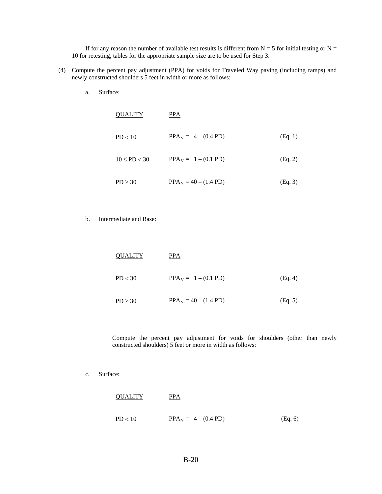If for any reason the number of available test results is different from  $N = 5$  for initial testing or  $N =$ 10 for retesting, tables for the appropriate sample size are to be used for Step 3.

- (4) Compute the percent pay adjustment (PPA) for voids for Traveled Way paving (including ramps) and newly constructed shoulders 5 feet in width or more as follows:
	- a. Surface:

| <b>QUALITY</b>     | PPA                     |         |
|--------------------|-------------------------|---------|
| PD < 10            | $PPA_V = 4 - (0.4 PD)$  | (Eq. 1) |
| $10 \leq P D < 30$ | $PPA_V = 1 - (0.1 PD)$  | (Eq. 2) |
| $PD \geq 30$       | $PPA_V = 40 - (1.4 PD)$ | (Eq. 3) |

b. Intermediate and Base:

| <b>OUALITY</b> | PPA                     |         |
|----------------|-------------------------|---------|
| PD < 30        | $PPA_v = 1 - (0.1 PD)$  | (Eq. 4) |
| $PD \geq 30$   | $PPA_V = 40 - (1.4 PD)$ | (Eq. 5) |

Compute the percent pay adjustment for voids for shoulders (other than newly constructed shoulders) 5 feet or more in width as follows:

c. Surface:

| <b>QUALITY</b> | PPA                    |         |
|----------------|------------------------|---------|
| PD < 10        | $PPA_V = 4 - (0.4 PD)$ | (Eq. 6) |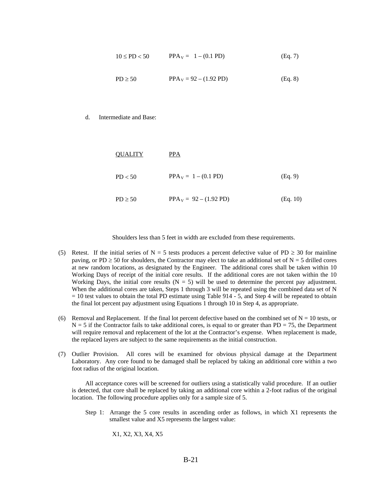$$
10 \le PD < 50 \qquad \text{PPA}_{V} = 1 - (0.1 \, PD) \tag{Eq. 7}
$$
\n
$$
PD \ge 50 \qquad \text{PPA}_{V} = 92 - (1.92 \, PD) \tag{Eq. 8}
$$

#### d. Intermediate and Base:

| <b>OUALITY</b> | PPA                              |          |
|----------------|----------------------------------|----------|
| PD < 50        | $PPA_V = 1 - (0.1 PD)$           | (Eq. 9)  |
| $PD \ge 50$    | $PPA_V = 92 - (1.92 \text{ PD})$ | (Eq. 10) |

Shoulders less than 5 feet in width are excluded from these requirements.

- (5) Retest. If the initial series of N = 5 tests produces a percent defective value of PD  $\geq$  30 for mainline paving, or PD  $\geq$  50 for shoulders, the Contractor may elect to take an additional set of N = 5 drilled cores at new random locations, as designated by the Engineer. The additional cores shall be taken within 10 Working Days of receipt of the initial core results. If the additional cores are not taken within the 10 Working Days, the initial core results  $(N = 5)$  will be used to determine the percent pay adjustment. When the additional cores are taken, Steps 1 through 3 will be repeated using the combined data set of N  $= 10$  test values to obtain the total PD estimate using Table 914 - 5, and Step 4 will be repeated to obtain the final lot percent pay adjustment using Equations 1 through 10 in Step 4, as appropriate.
- (6) Removal and Replacement. If the final lot percent defective based on the combined set of  $N = 10$  tests, or  $N = 5$  if the Contractor fails to take additional cores, is equal to or greater than PD = 75, the Department will require removal and replacement of the lot at the Contractor's expense. When replacement is made, the replaced layers are subject to the same requirements as the initial construction.
- (7) Outlier Provision. All cores will be examined for obvious physical damage at the Department Laboratory. Any core found to be damaged shall be replaced by taking an additional core within a two foot radius of the original location.

All acceptance cores will be screened for outliers using a statistically valid procedure. If an outlier is detected, that core shall be replaced by taking an additional core within a 2-foot radius of the original location. The following procedure applies only for a sample size of 5.

Step 1: Arrange the 5 core results in ascending order as follows, in which X1 represents the smallest value and X5 represents the largest value:

X1, X2, X3, X4, X5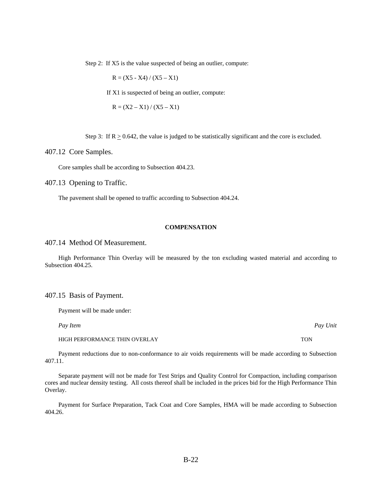Step 2: If X5 is the value suspected of being an outlier, compute:

 $R = (X5 - X4) / (X5 - X1)$ 

If X1 is suspected of being an outlier, compute:

$$
R = (X2 - X1) / (X5 - X1)
$$

Step 3: If  $R \ge 0.642$ , the value is judged to be statistically significant and the core is excluded.

407.12 Core Samples.

Core samples shall be according to Subsection 404.23.

407.13 Opening to Traffic.

The pavement shall be opened to traffic according to Subsection 404.24.

#### **COMPENSATION**

#### 407.14 Method Of Measurement.

High Performance Thin Overlay will be measured by the ton excluding wasted material and according to Subsection 404.25.

407.15 Basis of Payment.

Payment will be made under:

HIGH PERFORMANCE THIN OVERLAY TON

Payment reductions due to non-conformance to air voids requirements will be made according to Subsection 407.11.

Separate payment will not be made for Test Strips and Quality Control for Compaction, including comparison cores and nuclear density testing. All costs thereof shall be included in the prices bid for the High Performance Thin Overlay.

Payment for Surface Preparation, Tack Coat and Core Samples, HMA will be made according to Subsection 404.26.

*Pay Item Pay Unit*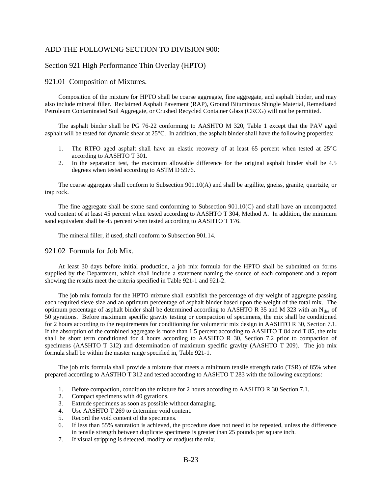### ADD THE FOLLOWING SECTION TO DIVISION 900:

#### Section 921 High Performance Thin Overlay (HPTO)

#### 921.01 Composition of Mixtures.

Composition of the mixture for HPTO shall be coarse aggregate, fine aggregate, and asphalt binder, and may also include mineral filler. Reclaimed Asphalt Pavement (RAP), Ground Bituminous Shingle Material, Remediated Petroleum Contaminated Soil Aggregate, or Crushed Recycled Container Glass (CRCG) will not be permitted.

The asphalt binder shall be PG 76-22 conforming to AASHTO M 320, Table 1 except that the PAV aged asphalt will be tested for dynamic shear at 25°C. In addition, the asphalt binder shall have the following properties:

- 1. The RTFO aged asphalt shall have an elastic recovery of at least 65 percent when tested at 25°C according to AASHTO T 301.
- 2. In the separation test, the maximum allowable difference for the original asphalt binder shall be 4.5 degrees when tested according to ASTM D 5976.

The coarse aggregate shall conform to Subsection 901.10(A) and shall be argillite, gneiss, granite, quartzite, or trap rock.

The fine aggregate shall be stone sand conforming to Subsection 901.10(C) and shall have an uncompacted void content of at least 45 percent when tested according to AASHTO T 304, Method A. In addition, the minimum sand equivalent shall be 45 percent when tested according to AASHTO T 176.

The mineral filler, if used, shall conform to Subsection 901.14.

#### 921.02 Formula for Job Mix.

At least 30 days before initial production, a job mix formula for the HPTO shall be submitted on forms supplied by the Department, which shall include a statement naming the source of each component and a report showing the results meet the criteria specified in Table 921-1 and 921-2.

The job mix formula for the HPTO mixture shall establish the percentage of dry weight of aggregate passing each required sieve size and an optimum percentage of asphalt binder based upon the weight of the total mix. The optimum percentage of asphalt binder shall be determined according to AASHTO R 35 and M 323 with an  $N_{des}$  of 50 gyrations. Before maximum specific gravity testing or compaction of specimens, the mix shall be conditioned for 2 hours according to the requirements for conditioning for volumetric mix design in AASHTO R 30, Section 7.1. If the absorption of the combined aggregate is more than 1.5 percent according to AASHTO T 84 and T 85, the mix shall be short term conditioned for 4 hours according to AASHTO R 30, Section 7.2 prior to compaction of specimens (AASHTO T 312) and determination of maximum specific gravity (AASHTO T 209). The job mix formula shall be within the master range specified in, Table 921-1.

The job mix formula shall provide a mixture that meets a minimum tensile strength ratio (TSR) of 85% when prepared according to AASTHO T 312 and tested according to AASHTO T 283 with the following exceptions:

- 1. Before compaction, condition the mixture for 2 hours according to AASHTO R 30 Section 7.1.
- 2. Compact specimens with 40 gyrations.
- 3. Extrude specimens as soon as possible without damaging.
- 4. Use AASHTO T 269 to determine void content.
- 5. Record the void content of the specimens.
- 6. If less than 55% saturation is achieved, the procedure does not need to be repeated, unless the difference in tensile strength between duplicate specimens is greater than 25 pounds per square inch.
- 7. If visual stripping is detected, modify or readjust the mix.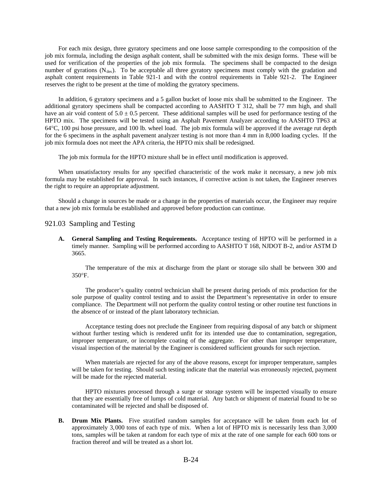For each mix design, three gyratory specimens and one loose sample corresponding to the composition of the job mix formula, including the design asphalt content, shall be submitted with the mix design forms. These will be used for verification of the properties of the job mix formula. The specimens shall be compacted to the design number of gyrations ( $N_{des}$ ). To be acceptable all three gyratory specimens must comply with the gradation and asphalt content requirements in Table 921-1 and with the control requirements in Table 921-2. The Engineer reserves the right to be present at the time of molding the gyratory specimens.

In addition, 6 gyratory specimens and a 5 gallon bucket of loose mix shall be submitted to the Engineer. The additional gyratory specimens shall be compacted according to AASHTO T 312, shall be 77 mm high, and shall have an air void content of  $5.0 \pm 0.5$  percent. These additional samples will be used for performance testing of the HPTO mix. The specimens will be tested using an Asphalt Pavement Analyzer according to AASHTO TP63 at 64°C, 100 psi hose pressure, and 100 lb. wheel load. The job mix formula will be approved if the average rut depth for the 6 specimens in the asphalt pavement analyzer testing is not more than 4 mm in 8,000 loading cycles. If the job mix formula does not meet the APA criteria, the HPTO mix shall be redesigned.

The job mix formula for the HPTO mixture shall be in effect until modification is approved.

When unsatisfactory results for any specified characteristic of the work make it necessary, a new job mix formula may be established for approval. In such instances, if corrective action is not taken, the Engineer reserves the right to require an appropriate adjustment.

Should a change in sources be made or a change in the properties of materials occur, the Engineer may require that a new job mix formula be established and approved before production can continue.

#### 921.03 Sampling and Testing

**A. General Sampling and Testing Requirements.** Acceptance testing of HPTO will be performed in a timely manner. Sampling will be performed according to AASHTO T 168, NJDOT B-2, and/or ASTM D 3665.

The temperature of the mix at discharge from the plant or storage silo shall be between 300 and 350°F.

The producer's quality control technician shall be present during periods of mix production for the sole purpose of quality control testing and to assist the Department's representative in order to ensure compliance. The Department will not perform the quality control testing or other routine test functions in the absence of or instead of the plant laboratory technician.

Acceptance testing does not preclude the Engineer from requiring disposal of any batch or shipment without further testing which is rendered unfit for its intended use due to contamination, segregation, improper temperature, or incomplete coating of the aggregate. For other than improper temperature, visual inspection of the material by the Engineer is considered sufficient grounds for such rejection.

When materials are rejected for any of the above reasons, except for improper temperature, samples will be taken for testing. Should such testing indicate that the material was erroneously rejected, payment will be made for the rejected material.

HPTO mixtures processed through a surge or storage system will be inspected visually to ensure that they are essentially free of lumps of cold material. Any batch or shipment of material found to be so contaminated will be rejected and shall be disposed of.

**B. Drum Mix Plants.** Five stratified random samples for acceptance will be taken from each lot of approximately 3,000 tons of each type of mix. When a lot of HPTO mix is necessarily less than 3,000 tons, samples will be taken at random for each type of mix at the rate of one sample for each 600 tons or fraction thereof and will be treated as a short lot*.*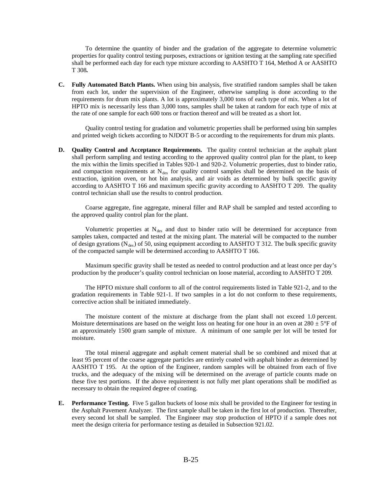To determine the quantity of binder and the gradation of the aggregate to determine volumetric properties for quality control testing purposes, extractions or ignition testing at the sampling rate specified shall be performed each day for each type mixture according to AASHTO T 164, Method A or AASHTO T 308*.*

**C. Fully Automated Batch Plants.** When using bin analysis, five stratified random samples shall be taken from each lot, under the supervision of the Engineer, otherwise sampling is done according to the requirements for drum mix plants. A lot is approximately 3,000 tons of each type of mix. When a lot of HPTO mix is necessarily less than 3,000 tons, samples shall be taken at random for each type of mix at the rate of one sample for each 600 tons or fraction thereof and will be treated as a short lot.

Quality control testing for gradation and volumetric properties shall be performed using bin samples and printed weigh tickets according to NJDOT B-5 or according to the requirements for drum mix plants.

**D. Quality Control and Acceptance Requirements.** The quality control technician at the asphalt plant shall perform sampling and testing according to the approved quality control plan for the plant, to keep the mix within the limits specified in Tables 920-1 and 920-2. Volumetric properties, dust to binder ratio, and compaction requirements at  $N_{des}$  for quality control samples shall be determined on the basis of extraction, ignition oven, or hot bin analysis, and air voids as determined by bulk specific gravity according to AASHTO T 166 and maximum specific gravity according to AASHTO T 209. The quality control technician shall use the results to control production.

Coarse aggregate, fine aggregate, mineral filler and RAP shall be sampled and tested according to the approved quality control plan for the plant.

Volumetric properties at  $N_{des}$  and dust to binder ratio will be determined for acceptance from samples taken, compacted and tested at the mixing plant. The material will be compacted to the number of design gyrations ( $N_{des}$ ) of 50, using equipment according to AASHTO T 312. The bulk specific gravity of the compacted sample will be determined according to AASHTO T 166.

Maximum specific gravity shall be tested as needed to control production and at least once per day's production by the producer's quality control technician on loose material, according to AASHTO T 209.

The HPTO mixture shall conform to all of the control requirements listed in Table 921-2, and to the gradation requirements in Table 921-1. If two samples in a lot do not conform to these requirements, corrective action shall be initiated immediately.

The moisture content of the mixture at discharge from the plant shall not exceed 1.0 percent. Moisture determinations are based on the weight loss on heating for one hour in an oven at  $280 \pm 5^{\circ}$ F of an approximately 1500 gram sample of mixture. A minimum of one sample per lot will be tested for moisture.

The total mineral aggregate and asphalt cement material shall be so combined and mixed that at least 95 percent of the coarse aggregate particles are entirely coated with asphalt binder as determined by AASHTO T 195. At the option of the Engineer, random samples will be obtained from each of five trucks, and the adequacy of the mixing will be determined on the average of particle counts made on these five test portions. If the above requirement is not fully met plant operations shall be modified as necessary to obtain the required degree of coating.

**E. Performance Testing.** Five 5 gallon buckets of loose mix shall be provided to the Engineer for testing in the Asphalt Pavement Analyzer. The first sample shall be taken in the first lot of production. Thereafter, every second lot shall be sampled. The Engineer may stop production of HPTO if a sample does not meet the design criteria for performance testing as detailed in Subsection 921.02.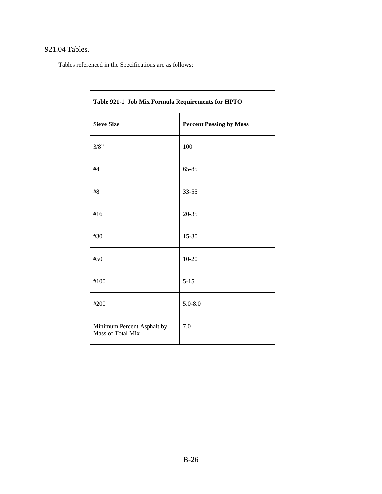# 921.04 Tables.

Tables referenced in the Specifications are as follows:

| Table 921-1 Job Mix Formula Requirements for HPTO |                                |  |
|---------------------------------------------------|--------------------------------|--|
| <b>Sieve Size</b>                                 | <b>Percent Passing by Mass</b> |  |
| 3/8"                                              | 100                            |  |
| #4                                                | 65-85                          |  |
| #8                                                | 33-55                          |  |
| #16                                               | $20 - 35$                      |  |
| #30                                               | 15-30                          |  |
| #50                                               | $10 - 20$                      |  |
| #100                                              | $5 - 15$                       |  |
| #200                                              | $5.0 - 8.0$                    |  |
| Minimum Percent Asphalt by<br>Mass of Total Mix   | 7.0                            |  |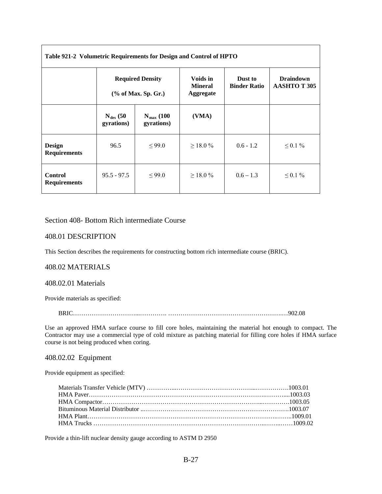| Table 921-2 Volumetric Requirements for Design and Control of HPTO |                                                   |                                     |                                                |                                |                                        |
|--------------------------------------------------------------------|---------------------------------------------------|-------------------------------------|------------------------------------------------|--------------------------------|----------------------------------------|
|                                                                    | <b>Required Density</b><br>$(\%$ of Max. Sp. Gr.) |                                     | Voids in<br><b>Mineral</b><br><b>Aggregate</b> | Dust to<br><b>Binder Ratio</b> | <b>Draindown</b><br><b>AASHTOT 305</b> |
|                                                                    | $N_{des}$ (50<br>gyrations)                       | $N_{\text{max}}$ (100<br>gyrations) | (VMA)                                          |                                |                                        |
| Design<br><b>Requirements</b>                                      | 96.5                                              | < 99.0                              | $>18.0\%$                                      | $0.6 - 1.2$                    | $0.1\%$                                |
| <b>Control</b><br><b>Requirements</b>                              | $95.5 - 97.5$                                     | < 99.0                              | $>18.0\%$                                      | $0.6 - 1.3$                    | $0.1\%$                                |

### Section 408- Bottom Rich intermediate Course

#### 408.01 DESCRIPTION

This Section describes the requirements for constructing bottom rich intermediate course (BRIC).

#### 408.02 MATERIALS

#### 408.02.01 Materials

Provide materials as specified:

BRIC…………………………...…………. ……………………………………………….…902.08

Use an approved HMA surface course to fill core holes, maintaining the material hot enough to compact. The Contractor may use a commercial type of cold mixture as patching material for filling core holes if HMA surface course is not being produced when coring.

#### 408.02.02 Equipment

Provide equipment as specified:

Provide a thin-lift nuclear density gauge according to ASTM D 2950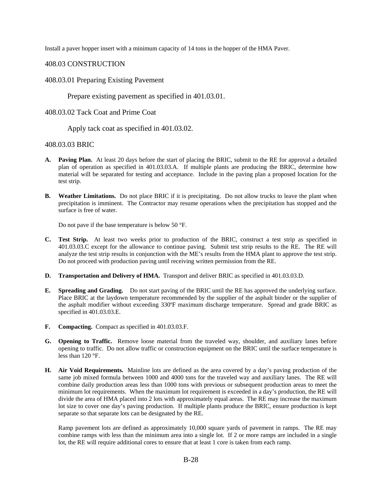Install a paver hopper insert with a minimum capacity of 14 tons in the hopper of the HMA Paver.

### 408.03 CONSTRUCTION

### 408.03.01 Preparing Existing Pavement

Prepare existing pavement as specified in 401.03.01.

### 408.03.02 Tack Coat and Prime Coat

Apply tack coat as specified in 401.03.02.

### 408.03.03 BRIC

- **A. Paving Plan.** At least 20 days before the start of placing the BRIC, submit to the RE for approval a detailed plan of operation as specified in 401.03.03.A. If multiple plants are producing the BRIC, determine how material will be separated for testing and acceptance. Include in the paving plan a proposed location for the test strip.
- **B. Weather Limitations.** Do not place BRIC if it is precipitating. Do not allow trucks to leave the plant when precipitation is imminent. The Contractor may resume operations when the precipitation has stopped and the surface is free of water.

Do not pave if the base temperature is below 50 °F.

- **C. Test Strip.** At least two weeks prior to production of the BRIC, construct a test strip as specified in 401.03.03.C except for the allowance to continue paving. Submit test strip results to the RE. The RE will analyze the test strip results in conjunction with the ME's results from the HMA plant to approve the test strip. Do not proceed with production paving until receiving written permission from the RE.
- **D. Transportation and Delivery of HMA.** Transport and deliver BRIC as specified in 401.03.03.D.
- **E. Spreading and Grading.** Do not start paving of the BRIC until the RE has approved the underlying surface. Place BRIC at the laydown temperature recommended by the supplier of the asphalt binder or the supplier of the asphalt modifier without exceeding 330ºF maximum discharge temperature. Spread and grade BRIC as specified in 401.03.03.E.
- **F. Compacting.** Compact as specified in 401.03.03.F.
- **G. Opening to Traffic.** Remove loose material from the traveled way, shoulder, and auxiliary lanes before opening to traffic. Do not allow traffic or construction equipment on the BRIC until the surface temperature is less than 120 °F.
- **H. Air Void Requirements.** Mainline lots are defined as the area covered by a day's paving production of the same job mixed formula between 1000 and 4000 tons for the traveled way and auxiliary lanes. The RE will combine daily production areas less than 1000 tons with previous or subsequent production areas to meet the minimum lot requirements. When the maximum lot requirement is exceeded in a day's production, the RE will divide the area of HMA placed into 2 lots with approximately equal areas. The RE may increase the maximum lot size to cover one day's paving production. If multiple plants produce the BRIC, ensure production is kept separate so that separate lots can be designated by the RE.

Ramp pavement lots are defined as approximately 10,000 square yards of pavement in ramps. The RE may combine ramps with less than the minimum area into a single lot. If 2 or more ramps are included in a single lot, the RE will require additional cores to ensure that at least 1 core is taken from each ramp.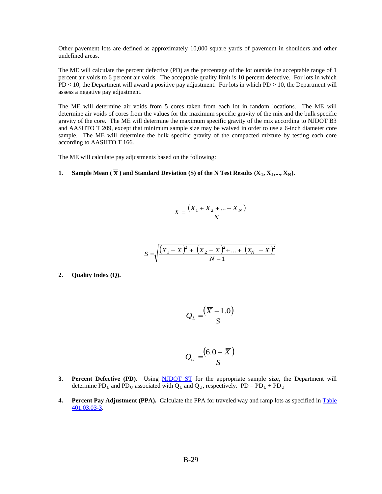Other pavement lots are defined as approximately 10,000 square yards of pavement in shoulders and other undefined areas.

The ME will calculate the percent defective (PD) as the percentage of the lot outside the acceptable range of 1 percent air voids to 6 percent air voids. The acceptable quality limit is 10 percent defective. For lots in which PD < 10, the Department will award a positive pay adjustment. For lots in which PD > 10, the Department will assess a negative pay adjustment.

The ME will determine air voids from 5 cores taken from each lot in random locations. The ME will determine air voids of cores from the values for the maximum specific gravity of the mix and the bulk specific gravity of the core. The ME will determine the maximum specific gravity of the mix according to NJDOT B3 and AASHTO T 209, except that minimum sample size may be waived in order to use a 6-inch diameter core sample. The ME will determine the bulk specific gravity of the compacted mixture by testing each core according to AASHTO T 166.

The ME will calculate pay adjustments based on the following:

#### **1. Sample Mean (** $\overline{X}$ **) and Standard Deviation (S) of the N Test Results (** $X_1, X_2, ..., X_N$ **).**

$$
\overline{X} = \frac{(X_1 + X_2 + \dots + X_N)}{N}
$$

$$
S = \sqrt{\frac{(X_1 - \overline{X})^2 + (X_2 - \overline{X})^2 + \dots + (X_N - \overline{X})^2}{N - 1}}
$$

**2. Quality Index (Q).**

$$
\mathcal{Q}_L = \frac{(\overline{X} - 1.0)}{S}
$$

$$
\mathcal{Q}_{U}=\frac{(6.0-\overline{X})}{S}
$$

- **3.** Percent Defective (PD). Using **NJDOT ST** for the appropriate sample size, the Department will determine PD<sub>L</sub> and PD<sub>U</sub> associated with  $Q_L$  and  $Q_U$ , respectively. PD = PD<sub>L</sub> + PD<sub>U</sub>
- **4.** Percent Pay Adjustment (PPA). Calculate the PPA for traveled way and ramp lots as specified in Table [401.03.03-3.](#page-79-0)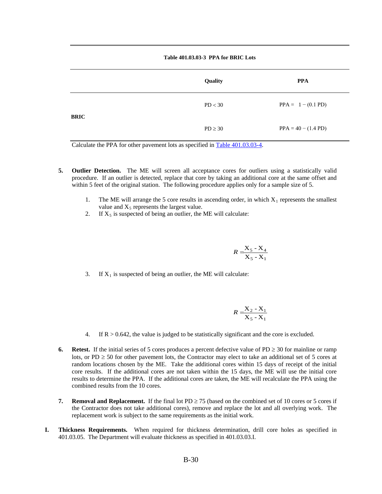#### **Table 401.03.03-3 PPA for BRIC Lots**

<span id="page-79-0"></span>

|             | Quality      | <b>PPA</b>            |
|-------------|--------------|-----------------------|
| <b>BRIC</b> | PD < 30      | $PPA = 1 - (0.1 PD)$  |
|             | $PD \geq 30$ | $PPA = 40 - (1.4 PD)$ |

Calculate the PPA for other pavement lots as specified in [Table 401.03.03-4.](#page-79-1)

- <span id="page-79-1"></span>**5. Outlier Detection.** The ME will screen all acceptance cores for outliers using a statistically valid procedure. If an outlier is detected, replace that core by taking an additional core at the same offset and within 5 feet of the original station. The following procedure applies only for a sample size of 5.
	- 1. The ME will arrange the 5 core results in ascending order, in which  $X_1$  represents the smallest value and  $X_5$  represents the largest value.
	- 2. If  $X_5$  is suspected of being an outlier, the ME will calculate:

$$
R = \frac{X_5 - X_4}{X_5 - X_1}
$$

3. If  $X_1$  is suspected of being an outlier, the ME will calculate:

$$
R = \frac{X_2 - X_1}{X_5 - X_1}
$$

- 4. If  $R > 0.642$ , the value is judged to be statistically significant and the core is excluded.
- **6. Retest.** If the initial series of 5 cores produces a percent defective value of  $PD \ge 30$  for mainline or ramp lots, or PD  $\geq$  50 for other pavement lots, the Contractor may elect to take an additional set of 5 cores at random locations chosen by the ME. Take the additional cores within 15 days of receipt of the initial core results. If the additional cores are not taken within the 15 days, the ME will use the initial core results to determine the PPA. If the additional cores are taken, the ME will recalculate the PPA using the combined results from the 10 cores.
- **7. Removal and Replacement.** If the final lot PD  $\geq$  75 (based on the combined set of 10 cores or 5 cores if the Contractor does not take additional cores), remove and replace the lot and all overlying work. The replacement work is subject to the same requirements as the initial work.
- **I. Thickness Requirements.** When required for thickness determination, drill core holes as specified in 401.03.05. The Department will evaluate thickness as specified in 401.03.03.I.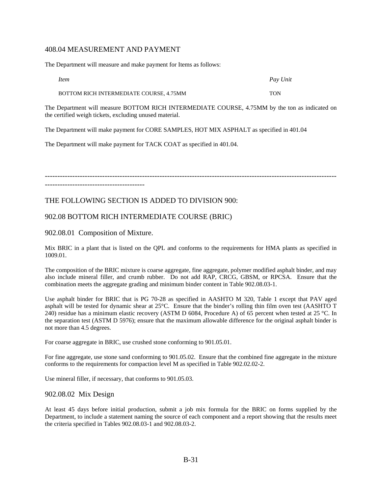### 408.04 MEASUREMENT AND PAYMENT

The Department will measure and make payment for Items as follows:

| <i>Item</i>                             | Pay Unit   |
|-----------------------------------------|------------|
| BOTTOM RICH INTERMEDIATE COURSE, 4.75MM | <b>TON</b> |

The Department will measure BOTTOM RICH INTERMEDIATE COURSE, 4.75MM by the ton as indicated on the certified weigh tickets, excluding unused material.

The Department will make payment for CORE SAMPLES, HOT MIX ASPHALT as specified in 401.04

The Department will make payment for TACK COAT as specified in 401.04.

---------------------------------------------------------------------------------------------------------------------

----------------------------------------

# THE FOLLOWING SECTION IS ADDED TO DIVISION 900:

# 902.08 BOTTOM RICH INTERMEDIATE COURSE (BRIC)

902.08.01 Composition of Mixture.

Mix BRIC in a plant that is listed on the QPL and conforms to the requirements for HMA plants as specified in 1009.01.

The composition of the BRIC mixture is coarse aggregate, fine aggregate, polymer modified asphalt binder, and may also include mineral filler, and crumb rubber. Do not add RAP, CRCG, GBSM, or RPCSA. Ensure that the combination meets the aggregate grading and minimum binder content in Table 902.08.03-1.

Use asphalt binder for BRIC that is PG 70-28 as specified in AASHTO M 320, Table 1 except that PAV aged asphalt will be tested for dynamic shear at 25°C. Ensure that the binder's rolling thin film oven test (AASHTO T 240) residue has a minimum elastic recovery (ASTM D 6084, Procedure A) of 65 percent when tested at 25 °C. In the separation test (ASTM D 5976); ensure that the maximum allowable difference for the original asphalt binder is not more than 4.5 degrees.

For coarse aggregate in BRIC, use crushed stone conforming to 901.05.01.

For fine aggregate, use stone sand conforming to 901.05.02. Ensure that the combined fine aggregate in the mixture conforms to the requirements for compaction level M as specified in Table 902.02.02-2.

Use mineral filler, if necessary, that conforms to 901.05.03.

### 902.08.02 Mix Design

At least 45 days before initial production, submit a job mix formula for the BRIC on forms supplied by the Department, to include a statement naming the source of each component and a report showing that the results meet the criteria specified in Tables 902.08.03-1 and 902.08.03-2.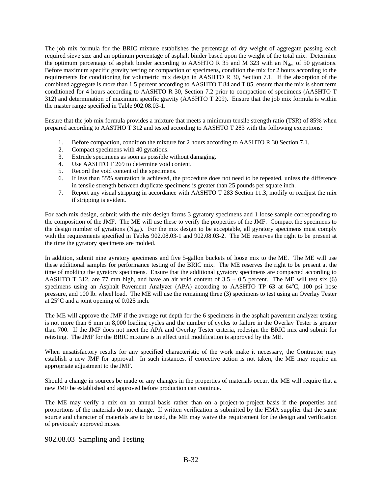The job mix formula for the BRIC mixture establishes the percentage of dry weight of aggregate passing each required sieve size and an optimum percentage of asphalt binder based upon the weight of the total mix. Determine the optimum percentage of asphalt binder according to AASHTO R 35 and M 323 with an  $N_{des}$  of 50 gyrations. Before maximum specific gravity testing or compaction of specimens, condition the mix for 2 hours according to the requirements for conditioning for volumetric mix design in AASHTO R 30, Section 7.1. If the absorption of the combined aggregate is more than 1.5 percent according to AASHTO T 84 and T 85, ensure that the mix is short term conditioned for 4 hours according to AASHTO R 30, Section 7.2 prior to compaction of specimens (AASHTO T 312) and determination of maximum specific gravity (AASHTO T 209). Ensure that the job mix formula is within the master range specified in Table 902.08.03-1.

Ensure that the job mix formula provides a mixture that meets a minimum tensile strength ratio (TSR) of 85% when prepared according to AASTHO T 312 and tested according to AASHTO T 283 with the following exceptions:

- 1. Before compaction, condition the mixture for 2 hours according to AASHTO R 30 Section 7.1.
- 2. Compact specimens with 40 gyrations.
- 3. Extrude specimens as soon as possible without damaging.
- 4. Use AASHTO T 269 to determine void content.
- 5. Record the void content of the specimens.
- 6. If less than 55% saturation is achieved, the procedure does not need to be repeated, unless the difference in tensile strength between duplicate specimens is greater than 25 pounds per square inch.
- 7. Report any visual stripping in accordance with AASHTO T 283 Section 11.3, modify or readjust the mix if stripping is evident.

For each mix design, submit with the mix design forms 3 gyratory specimens and 1 loose sample corresponding to the composition of the JMF. The ME will use these to verify the properties of the JMF. Compact the specimens to the design number of gyrations  $(N_{des})$ . For the mix design to be acceptable, all gyratory specimens must comply with the requirements specified in Tables 902.08.03-1 and 902.08.03-2. The ME reserves the right to be present at the time the gyratory specimens are molded.

In addition, submit nine gyratory specimens and five 5-gallon buckets of loose mix to the ME. The ME will use these additional samples for performance testing of the BRIC mix. The ME reserves the right to be present at the time of molding the gyratory specimens. Ensure that the additional gyratory specimens are compacted according to AASHTO T 312, are 77 mm high, and have an air void content of  $3.5 \pm 0.5$  percent. The ME will test six (6) specimens using an Asphalt Pavement Analyzer (APA) according to AASHTO TP 63 at 64°C, 100 psi hose pressure, and 100 lb. wheel load. The ME will use the remaining three (3) specimens to test using an Overlay Tester at 25°C and a joint opening of 0.025 inch.

The ME will approve the JMF if the average rut depth for the 6 specimens in the asphalt pavement analyzer testing is not more than 6 mm in 8,000 loading cycles and the number of cycles to failure in the Overlay Tester is greater than 700. If the JMF does not meet the APA and Overlay Tester criteria, redesign the BRIC mix and submit for retesting. The JMF for the BRIC mixture is in effect until modification is approved by the ME.

When unsatisfactory results for any specified characteristic of the work make it necessary, the Contractor may establish a new JMF for approval. In such instances, if corrective action is not taken, the ME may require an appropriate adjustment to the JMF.

Should a change in sources be made or any changes in the properties of materials occur, the ME will require that a new JMF be established and approved before production can continue.

The ME may verify a mix on an annual basis rather than on a project-to-project basis if the properties and proportions of the materials do not change. If written verification is submitted by the HMA supplier that the same source and character of materials are to be used, the ME may waive the requirement for the design and verification of previously approved mixes.

#### 902.08.03 Sampling and Testing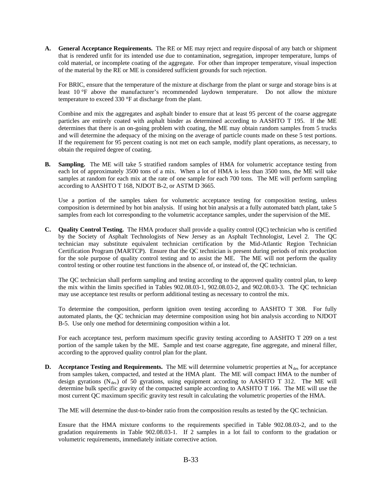**A. General Acceptance Requirements.** The RE or ME may reject and require disposal of any batch or shipment that is rendered unfit for its intended use due to contamination, segregation, improper temperature, lumps of cold material, or incomplete coating of the aggregate. For other than improper temperature, visual inspection of the material by the RE or ME is considered sufficient grounds for such rejection.

For BRIC, ensure that the temperature of the mixture at discharge from the plant or surge and storage bins is at least 10 °F above the manufacturer's recommended laydown temperature. Do not allow the mixture temperature to exceed 330 °F at discharge from the plant.

Combine and mix the aggregates and asphalt binder to ensure that at least 95 percent of the coarse aggregate particles are entirely coated with asphalt binder as determined according to AASHTO T 195. If the ME determines that there is an on-going problem with coating, the ME may obtain random samples from 5 trucks and will determine the adequacy of the mixing on the average of particle counts made on these 5 test portions. If the requirement for 95 percent coating is not met on each sample, modify plant operations, as necessary, to obtain the required degree of coating.

**B. Sampling.** The ME will take 5 stratified random samples of HMA for volumetric acceptance testing from each lot of approximately 3500 tons of a mix. When a lot of HMA is less than 3500 tons, the ME will take samples at random for each mix at the rate of one sample for each 700 tons. The ME will perform sampling according to AASHTO T 168, NJDOT B-2, or ASTM D 3665.

Use a portion of the samples taken for volumetric acceptance testing for composition testing, unless composition is determined by hot bin analysis. If using hot bin analysis at a fully automated batch plant, take 5 samples from each lot corresponding to the volumetric acceptance samples, under the supervision of the ME.

**C. Quality Control Testing.** The HMA producer shall provide a quality control (QC) technician who is certified by the Society of Asphalt Technologists of New Jersey as an Asphalt Technologist, Level 2. The QC technician may substitute equivalent technician certification by the Mid-Atlantic Region Technician Certification Program (MARTCP). Ensure that the QC technician is present during periods of mix production for the sole purpose of quality control testing and to assist the ME. The ME will not perform the quality control testing or other routine test functions in the absence of, or instead of, the QC technician.

The QC technician shall perform sampling and testing according to the approved quality control plan, to keep the mix within the limits specified in Tables 902.08.03-1, 902.08.03-2, and 902.08.03-3. The QC technician may use acceptance test results or perform additional testing as necessary to control the mix.

To determine the composition, perform ignition oven testing according to AASHTO T 308. For fully automated plants, the QC technician may determine composition using hot bin analysis according to NJDOT B-5. Use only one method for determining composition within a lot.

For each acceptance test, perform maximum specific gravity testing according to AASHTO T 209 on a test portion of the sample taken by the ME. Sample and test coarse aggregate, fine aggregate, and mineral filler, according to the approved quality control plan for the plant.

**D. Acceptance Testing and Requirements.** The ME will determine volumetric properties at  $N_{\text{des}}$  for acceptance from samples taken, compacted, and tested at the HMA plant. The ME will compact HMA to the number of design gyrations  $(N_{des})$  of 50 gyrations, using equipment according to AASHTO T 312. The ME will determine bulk specific gravity of the compacted sample according to AASHTO T 166. The ME will use the most current QC maximum specific gravity test result in calculating the volumetric properties of the HMA.

The ME will determine the dust-to-binder ratio from the composition results as tested by the QC technician.

Ensure that the HMA mixture conforms to the requirements specified in Table 902.08.03-2, and to the gradation requirements in Table 902.08.03-1. If 2 samples in a lot fail to conform to the gradation or volumetric requirements, immediately initiate corrective action.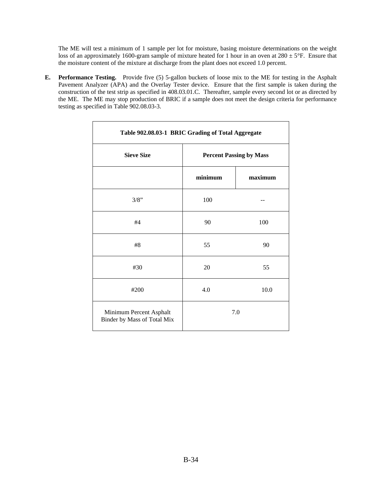The ME will test a minimum of 1 sample per lot for moisture, basing moisture determinations on the weight loss of an approximately 1600-gram sample of mixture heated for 1 hour in an oven at  $280 \pm 5^{\circ}$ F. Ensure that the moisture content of the mixture at discharge from the plant does not exceed 1.0 percent.

**E. Performance Testing.** Provide five (5) 5-gallon buckets of loose mix to the ME for testing in the Asphalt Pavement Analyzer (APA) and the Overlay Tester device. Ensure that the first sample is taken during the construction of the test strip as specified in 408.03.01.C. Thereafter, sample every second lot or as directed by the ME. The ME may stop production of BRIC if a sample does not meet the design criteria for performance testing as specified in Table 902.08.03-3.

| Table 902.08.03-1 BRIC Grading of Total Aggregate      |                                |         |  |
|--------------------------------------------------------|--------------------------------|---------|--|
| <b>Sieve Size</b>                                      | <b>Percent Passing by Mass</b> |         |  |
|                                                        | minimum                        | maximum |  |
| 3/8"                                                   | 100                            |         |  |
| #4                                                     | 90                             | 100     |  |
| #8                                                     | 55                             | 90      |  |
| #30                                                    | 20                             | 55      |  |
| #200                                                   | 4.0                            | 10.0    |  |
| Minimum Percent Asphalt<br>Binder by Mass of Total Mix |                                | 7.0     |  |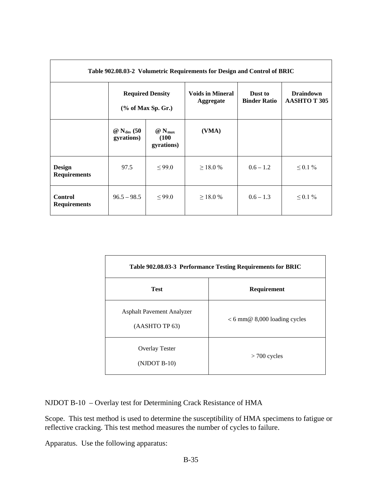| Table 902.08.03-2 Volumetric Requirements for Design and Control of BRIC |                                                  |                                                  |                                             |                                |                                        |
|--------------------------------------------------------------------------|--------------------------------------------------|--------------------------------------------------|---------------------------------------------|--------------------------------|----------------------------------------|
|                                                                          | <b>Required Density</b><br>$(\%$ of Max Sp. Gr.) |                                                  | <b>Voids in Mineral</b><br><b>Aggregate</b> | Dust to<br><b>Binder Ratio</b> | <b>Draindown</b><br><b>AASHTOT 305</b> |
|                                                                          | $\omega$ N <sub>des</sub> (50)<br>gyrations)     | $\omega$ N <sub>max</sub><br>(100)<br>gyrations) | (VMA)                                       |                                |                                        |
| <b>Design</b><br><b>Requirements</b>                                     | 97.5                                             | $\leq$ 99.0                                      | $\geq$ 18.0 %                               | $0.6 - 1.2$                    | $\leq 0.1 \%$                          |
| <b>Control</b><br><b>Requirements</b>                                    | $96.5 - 98.5$                                    | $\leq$ 99.0                                      | $\geq$ 18.0 %                               | $0.6 - 1.3$                    | $\leq 0.1 \%$                          |

| Table 902.08.03-3 Performance Testing Requirements for BRIC |                                |  |  |
|-------------------------------------------------------------|--------------------------------|--|--|
| <b>Test</b>                                                 | Requirement                    |  |  |
| <b>Asphalt Pavement Analyzer</b><br>(AASHTO TP 63)          | $< 6$ mm@ 8,000 loading cycles |  |  |
| <b>Overlay Tester</b><br>$(NJDOT B-10)$                     | $> 700$ cycles                 |  |  |

NJDOT B-10 – Overlay test for Determining Crack Resistance of HMA

Scope. This test method is used to determine the susceptibility of HMA specimens to fatigue or reflective cracking. This test method measures the number of cycles to failure.

Apparatus. Use the following apparatus: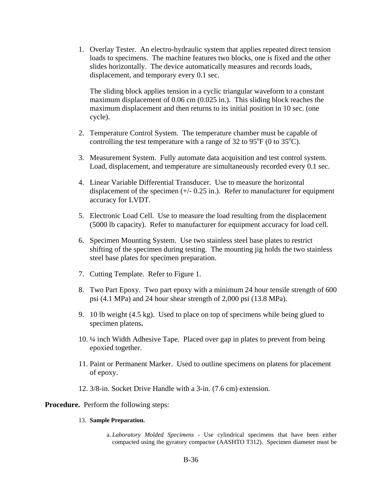1. Overlay Tester. An electro-hydraulic system that applies repeated direct tension loads to specimens. The machine features two blocks, one is fixed and the other slides horizontally. The device automatically measures and records loads, displacement, and temporary every 0.1 sec.

The sliding block applies tension in a cyclic triangular waveform to a constant maximum displacement of 0.06 cm (0.025 in.). This sliding block reaches the maximum displacement and then returns to its initial position in 10 sec. (one cycle).

- 2. Temperature Control System. The temperature chamber must be capable of controlling the test temperature with a range of 32 to 95 $\rm{^{\circ}F}$  (0 to 35 $\rm{^{\circ}C}$ ).
- 3. Measurement System. Fully automate data acquisition and test control system. Load, displacement, and temperature are simultaneously recorded every 0.1 sec.
- 4. Linear Variable Differential Transducer. Use to measure the horizontal displacement of the specimen  $(+/- 0.25 \text{ in.})$ . Refer to manufacturer for equipment accuracy for LVDT.
- 5. Electronic Load Cell. Use to measure the load resulting from the displacement (5000 lb capacity). Refer to manufacturer for equipment accuracy for load cell.
- 6. Specimen Mounting System. Use two stainless steel base plates to restrict shifting of the specimen during testing. The mounting jig holds the two stainless steel base plates for specimen preparation.
- 7. Cutting Template. Refer to Figure 1.
- 8. Two Part Epoxy. Two part epoxy with a minimum 24 hour tensile strength of 600 psi (4.1 MPa) and 24 hour shear strength of 2,000 psi (13.8 MPa).
- 9. 10 lb weight (4.5 kg). Used to place on top of specimens while being glued to specimen platens**.**
- 10. ¼ inch Width Adhesive Tape. Placed over gap in plates to prevent from being epoxied together.
- 11. Paint or Permanent Marker. Used to outline specimens on platens for placement of epoxy.
- 12. 3/8-in. Socket Drive Handle with a 3-in. (7.6 cm) extension.

**Procedure.** Perform the following steps:

- 13. **Sample Preparation.**
	- a. *Laboratory Molded Specimens* Use cylindrical specimens that have been either compacted using the gyratory compactor (AASHTO T312). Specimen diameter must be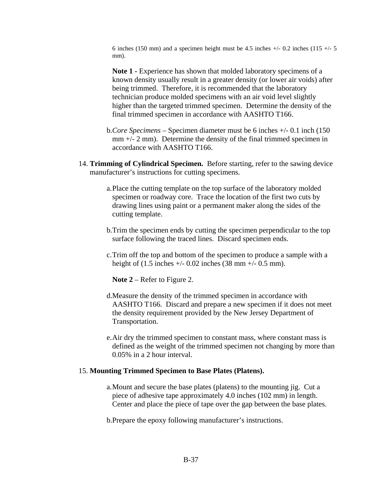6 inches (150 mm) and a specimen height must be 4.5 inches  $+/- 0.2$  inches (115  $+/- 5$ mm).

Note 1 - Experience has shown that molded laboratory specimens of a known density usually result in a greater density (or lower air voids) after being trimmed. Therefore, it is recommended that the laboratory technician produce molded specimens with an air void level slightly higher than the targeted trimmed specimen. Determine the density of the final trimmed specimen in accordance with AASHTO T166.

- b.*Core Specimens* Specimen diameter must be 6 inches +/- 0.1 inch (150  $mm +/- 2 mm$ ). Determine the density of the final trimmed specimen in accordance with AASHTO T166.
- 14. **Trimming of Cylindrical Specimen.** Before starting, refer to the sawing device manufacturer's instructions for cutting specimens.
	- a.Place the cutting template on the top surface of the laboratory molded specimen or roadway core. Trace the location of the first two cuts by drawing lines using paint or a permanent maker along the sides of the cutting template.
	- b.Trim the specimen ends by cutting the specimen perpendicular to the top surface following the traced lines. Discard specimen ends.
	- c.Trim off the top and bottom of the specimen to produce a sample with a height of (1.5 inches  $+/- 0.02$  inches (38 mm  $+/- 0.5$  mm).

**Note 2** – Refer to Figure 2.

- d.Measure the density of the trimmed specimen in accordance with AASHTO T166. Discard and prepare a new specimen if it does not meet the density requirement provided by the New Jersey Department of Transportation.
- e.Air dry the trimmed specimen to constant mass, where constant mass is defined as the weight of the trimmed specimen not changing by more than 0.05% in a 2 hour interval.

### 15. **Mounting Trimmed Specimen to Base Plates (Platens).**

a.Mount and secure the base plates (platens) to the mounting jig. Cut a piece of adhesive tape approximately 4.0 inches (102 mm) in length. Center and place the piece of tape over the gap between the base plates.

b.Prepare the epoxy following manufacturer's instructions.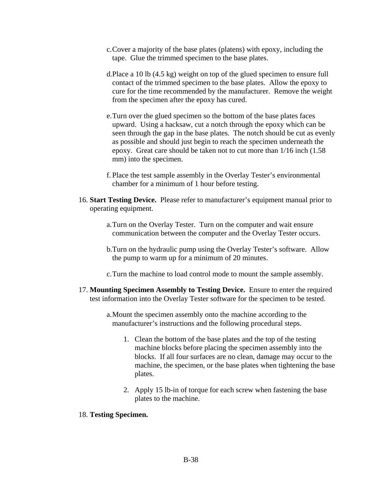- c.Cover a majority of the base plates (platens) with epoxy, including the tape. Glue the trimmed specimen to the base plates.
- d.Place a 10 lb (4.5 kg) weight on top of the glued specimen to ensure full contact of the trimmed specimen to the base plates. Allow the epoxy to cure for the time recommended by the manufacturer. Remove the weight from the specimen after the epoxy has cured.
- e.Turn over the glued specimen so the bottom of the base plates faces upward. Using a hacksaw, cut a notch through the epoxy which can be seen through the gap in the base plates. The notch should be cut as evenly as possible and should just begin to reach the specimen underneath the epoxy. Great care should be taken not to cut more than 1/16 inch (1.58 mm) into the specimen.
- f. Place the test sample assembly in the Overlay Tester's environmental chamber for a minimum of 1 hour before testing.
- 16. **Start Testing Device.** Please refer to manufacturer's equipment manual prior to operating equipment.
	- a.Turn on the Overlay Tester. Turn on the computer and wait ensure communication between the computer and the Overlay Tester occurs.
	- b.Turn on the hydraulic pump using the Overlay Tester's software. Allow the pump to warm up for a minimum of 20 minutes.
	- c.Turn the machine to load control mode to mount the sample assembly.
- 17. **Mounting Specimen Assembly to Testing Device.** Ensure to enter the required test information into the Overlay Tester software for the specimen to be tested.
	- a.Mount the specimen assembly onto the machine according to the manufacturer's instructions and the following procedural steps.
		- 1. Clean the bottom of the base plates and the top of the testing machine blocks before placing the specimen assembly into the blocks. If all four surfaces are no clean, damage may occur to the machine, the specimen, or the base plates when tightening the base plates.
		- 2. Apply 15 lb-in of torque for each screw when fastening the base plates to the machine.

### 18. **Testing Specimen.**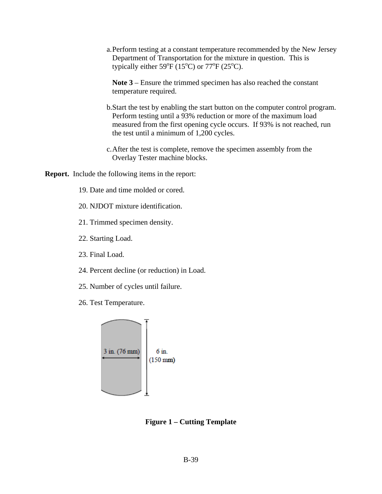a.Perform testing at a constant temperature recommended by the New Jersey Department of Transportation for the mixture in question. This is typically either 59 $\mathrm{^oF}$  (15 $\mathrm{^oC}$ ) or 77 $\mathrm{^oF}$  (25 $\mathrm{^oC}$ ).

**Note 3** – Ensure the trimmed specimen has also reached the constant temperature required.

- b.Start the test by enabling the start button on the computer control program. Perform testing until a 93% reduction or more of the maximum load measured from the first opening cycle occurs. If 93% is not reached, run the test until a minimum of 1,200 cycles.
- c.After the test is complete, remove the specimen assembly from the Overlay Tester machine blocks.

**Report.** Include the following items in the report:

- 19. Date and time molded or cored.
- 20. NJDOT mixture identification.
- 21. Trimmed specimen density.
- 22. Starting Load.
- 23. Final Load.
- 24. Percent decline (or reduction) in Load.
- 25. Number of cycles until failure.
- 26. Test Temperature.



**Figure 1 – Cutting Template**